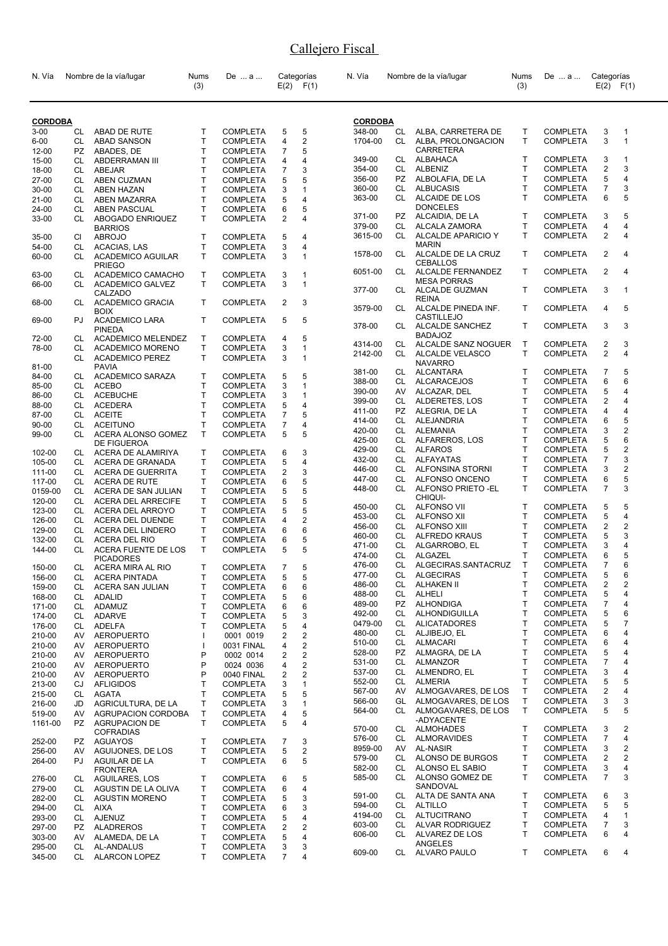| N. Vía         |           | Nombre de la vía/lugar                    | Nums<br>(3) | De  a           |                         | Categorías<br>$E(2)$ $F(1)$ | N. Vía           |           | Nombre de la vía/lugar                     | Nums<br>(3)  | De  a           | Categorías                | $E(2)$ $F(1)$  |
|----------------|-----------|-------------------------------------------|-------------|-----------------|-------------------------|-----------------------------|------------------|-----------|--------------------------------------------|--------------|-----------------|---------------------------|----------------|
| <b>CORDOBA</b> |           |                                           |             |                 |                         |                             | <b>CORDOBA</b>   |           |                                            |              |                 |                           |                |
| $3 - 00$       | CL        | <b>ABAD DE RUTE</b>                       | T           | COMPLETA        | 5                       | 5                           | 348-00           | CL        | ALBA, CARRETERA DE                         | Τ            | <b>COMPLETA</b> | 3                         | 1              |
| $6 - 00$       | CL        | <b>ABAD SANSON</b>                        | T           | <b>COMPLETA</b> | 4                       | 2                           | 1704-00          | CL        | ALBA, PROLONGACION                         | T.           | <b>COMPLETA</b> | 3                         | 1              |
| 12-00          | PZ        | ABADES, DE                                | Т           | <b>COMPLETA</b> | 7                       | 5                           |                  |           | <b>CARRETERA</b>                           |              |                 |                           |                |
| 15-00          | CL        | ABDERRAMAN III                            | T           | <b>COMPLETA</b> | 4                       | 4                           | 349-00           | CL        | ALBAHACA                                   | T            | <b>COMPLETA</b> | 3                         | 1              |
| 18-00          | CL        | <b>ABEJAR</b>                             | T           | <b>COMPLETA</b> | 7                       | 3                           | 354-00           | CL        | ALBENIZ                                    | T            | <b>COMPLETA</b> | $\overline{2}$            | 3              |
| 27-00          | CL        | ABEN CUZMAN                               | T           | <b>COMPLETA</b> | 5                       | 5                           | 356-00           | PZ        | ALBOLAFIA, DE LA                           | Τ            | <b>COMPLETA</b> | 5                         | 4              |
| 30-00          | CL        | <b>ABEN HAZAN</b>                         | Т           | <b>COMPLETA</b> | 3                       | 1                           | 360-00           | CL        | <b>ALBUCASIS</b>                           | T.           | <b>COMPLETA</b> | $\overline{7}$            | 3              |
| 21-00          | CL        | ABEN MAZARRA                              | Т           | <b>COMPLETA</b> | 5                       | 4                           | 363-00           | CL.       | ALCAIDE DE LOS                             | T.           | <b>COMPLETA</b> | 6                         | 5              |
| 24-00          | CL        | ABEN PASCUAL                              | T           | <b>COMPLETA</b> | 6                       | 5                           |                  |           | <b>DONCELES</b>                            |              |                 |                           |                |
| 33-00          | CL        | ABOGADO ENRIQUEZ                          | T.          | <b>COMPLETA</b> | 2                       | 4                           | 371-00           | PZ        | ALCAIDIA, DE LA                            | T.           | <b>COMPLETA</b> | 3                         | 5              |
|                |           | <b>BARRIOS</b>                            |             |                 |                         |                             | 379-00           | CL        | ALCALA ZAMORA                              | T            | <b>COMPLETA</b> | 4                         | 4              |
| 35-00          | CI        | <b>ABROJO</b>                             | T           | <b>COMPLETA</b> | 5                       | 4                           | 3615-00          | CL.       | ALCALDE APARICIO Y<br><b>MARIN</b>         | T.           | <b>COMPLETA</b> | 2                         | 4              |
| 54-00          | CL        | ACACIAS, LAS                              | Т           | <b>COMPLETA</b> | 3                       | 4                           | 1578-00          | CL        | ALCALDE DE LA CRUZ                         | Τ            | <b>COMPLETA</b> | 2                         | 4              |
| 60-00          | CL        | <b>ACADEMICO AGUILAR</b><br><b>PRIEGO</b> | T           | <b>COMPLETA</b> | 3                       | $\mathbf{1}$                |                  |           | <b>CEBALLOS</b>                            |              |                 |                           |                |
| 63-00          | CL        | ACADEMICO CAMACHO                         | Τ           | <b>COMPLETA</b> | 3                       | 1                           | 6051-00          | CL.       | ALCALDE FERNANDEZ                          | T.           | <b>COMPLETA</b> | $\overline{2}$            | 4              |
| 66-00          | CL        | <b>ACADEMICO GALVEZ</b>                   | т           | <b>COMPLETA</b> | 3                       | $\mathbf{1}$                |                  |           | <b>MESA PORRAS</b>                         |              |                 |                           |                |
|                |           | CALZADO                                   |             |                 |                         |                             | 377-00           | CL        | ALCALDE GUZMAN                             | T.           | <b>COMPLETA</b> | 3                         | 1              |
| 68-00          | CL        | <b>ACADEMICO GRACIA</b>                   | Т           | <b>COMPLETA</b> | 2                       | 3                           |                  |           | <b>REINA</b>                               |              |                 |                           |                |
|                |           | <b>BOIX</b>                               |             |                 |                         |                             | 3579-00          | CL        | ALCALDE PINEDA INF.                        | T.           | <b>COMPLETA</b> | 4                         | 5              |
| 69-00          | PJ        | <b>ACADEMICO LARA</b>                     | T           | <b>COMPLETA</b> | 5                       | 5                           | 378-00           |           | <b>CASTILLEJO</b><br>CL ALCALDE SANCHEZ    | T.           | <b>COMPLETA</b> | 3                         | 3              |
|                |           | <b>PINEDA</b>                             |             |                 |                         |                             |                  |           | <b>BADAJOZ</b>                             |              |                 |                           |                |
| 72-00          | CL        | <b>ACADEMICO MELENDEZ</b>                 | T.          | <b>COMPLETA</b> | 4                       | 5                           | 4314-00          | CL        | ALCALDE SANZ NOGUER                        | $\mathsf{T}$ | <b>COMPLETA</b> | 2                         | 3              |
| 78-00          | CL.       | ACADEMICO MORENO                          | T           | <b>COMPLETA</b> | 3                       | $\mathbf{1}$                | 2142-00          | CL        | ALCALDE VELASCO                            | Τ            | <b>COMPLETA</b> | 2                         | 4              |
|                | CL        | <b>ACADEMICO PEREZ</b><br><b>PAVIA</b>    | T           | <b>COMPLETA</b> | 3                       | 1                           |                  |           | <b>NAVARRO</b>                             |              |                 |                           |                |
| 81-00<br>84-00 | CL        | <b>ACADEMICO SARAZA</b>                   | T           | <b>COMPLETA</b> | 5                       | 5                           | 381-00           | CL        | ALCANTARA                                  | Τ            | <b>COMPLETA</b> | $\overline{7}$            | 5              |
| 85-00          | CL        | <b>ACEBO</b>                              | T           | <b>COMPLETA</b> | 3                       | 1                           | 388-00           | CL.       | <b>ALCARACEJOS</b>                         | T            | <b>COMPLETA</b> | 6                         | 6              |
| 86-00          | CL        | <b>ACEBUCHE</b>                           | т           | <b>COMPLETA</b> | 3                       | 1                           | 390-00           | AV        | ALCAZAR, DEL                               | T.           | <b>COMPLETA</b> | 5                         | 4              |
| 88-00          | CL        | <b>ACEDERA</b>                            | T           | <b>COMPLETA</b> | 5                       | 4                           | 399-00           | CL        | ALDERETES, LOS                             | Τ            | <b>COMPLETA</b> | 2                         | 4              |
| 87-00          | CL        | <b>ACEITE</b>                             | T           | <b>COMPLETA</b> | 7                       | 5                           | 411-00           | PZ.       | ALEGRIA, DE LA                             | T            | <b>COMPLETA</b> | 4                         | 4              |
| 90-00          | CL        | <b>ACEITUNO</b>                           | Т           | <b>COMPLETA</b> | 7                       | 4                           | 414-00           | CL        | ALEJANDRIA                                 | T            | <b>COMPLETA</b> | 6                         | 5              |
| 99-00          | CL        | ACERA ALONSO GOMEZ                        | T           | <b>COMPLETA</b> | 5                       | 5                           | 420-00           | CL        | ALEMANIA                                   | T.           | <b>COMPLETA</b> | 3                         | 2              |
|                |           | DE FIGUEROA                               |             |                 |                         |                             | 425-00           | CL        | ALFAREROS, LOS                             | T            | <b>COMPLETA</b> | 5                         | 6              |
| 102-00         | CL        | ACERA DE ALAMIRIYA                        | Т           | <b>COMPLETA</b> | 6                       | 3                           | 429-00           | CL        | <b>ALFAROS</b>                             | T            | <b>COMPLETA</b> | 5                         | 2              |
| 105-00         | CL        | ACERA DE GRANADA                          | T           | <b>COMPLETA</b> | 5                       | 4                           | 432-00           | CL        | ALFAYATAS                                  | T            | <b>COMPLETA</b> | $\overline{7}$            | 3              |
| 111-00         | CL        | <b>ACERA DE GUERRITA</b>                  | T           | <b>COMPLETA</b> | $\overline{\mathbf{c}}$ | 3                           | 446-00           | CL.       | ALFONSINA STORNI                           | T.           | <b>COMPLETA</b> | 3                         | 2              |
| 117-00         | CL        | ACERA DE RUTE                             | т           | <b>COMPLETA</b> | 6                       | 5                           | 447-00           | CL        | ALFONSO ONCENO                             | T.           | <b>COMPLETA</b> | 6                         | 5              |
| 0159-00        | CL        | ACERA DE SAN JULIAN                       | Т           | <b>COMPLETA</b> | 5                       | 5                           | 448-00           |           | CL ALFONSO PRIETO - EL                     | T.           | <b>COMPLETA</b> | $\overline{7}$            | 3              |
| 120-00         | CL        | ACERA DEL ARRECIFE                        | T           | <b>COMPLETA</b> | 5                       | 5                           |                  |           | <b>CHIQUI-</b>                             |              |                 |                           |                |
| 123-00         | CL        | ACERA DEL ARROYO                          | T           | <b>COMPLETA</b> | 5                       | 5                           | 450-00           | CL        | ALFONSO VII                                | T            | <b>COMPLETA</b> | 5                         | 5              |
| 126-00         | CL        | ACERA DEL DUENDE                          | Т           | <b>COMPLETA</b> | 4                       | 2                           | 453-00           | CL        | ALFONSO XII                                | T.           | <b>COMPLETA</b> | 5                         | 4              |
| 129-00         | CL        | ACERA DEL LINDERO                         | T           | <b>COMPLETA</b> | 6                       | 6                           | 456-00           | CL.       | <b>ALFONSO XIII</b>                        | T.           | <b>COMPLETA</b> | $\overline{2}$            | $\overline{c}$ |
| 132-00         | CL        | ACERA DEL RIO                             | Т           | COMPLETA        | 6                       | 5                           | 460-00           | CL.       | <b>ALFREDO KRAUS</b>                       | Τ            | <b>COMPLETA</b> | 5                         | 3              |
| 144-00         | CL        | ACERA FUENTE DE LOS                       | T           | <b>COMPLETA</b> | 5                       | 5                           | 471-00           | CL        | ALGARROBO, EL                              | T            | <b>COMPLETA</b> | 3                         | 4              |
|                |           | <b>PICADORES</b>                          |             |                 |                         |                             | 474-00           | CL        | ALGAZEL                                    | Τ            | <b>COMPLETA</b> | 6                         | 5              |
| 150-00         | CL        | ACERA MIRA AL RIO                         | T           | <b>COMPLETA</b> | 7                       | 5                           | 476-00           | <b>CL</b> | ALGECIRAS.SANTACRUZ                        | T            | <b>COMPLETA</b> | 7                         | 6              |
| 156-00         | CL        | <b>ACERA PINTADA</b>                      | т           | <b>COMPLETA</b> | 5                       | 5                           | 477-00           | CL.       | ALGECIRAS                                  | Τ            | <b>COMPLETA</b> | 5                         | 6              |
| 159-00         | CL        | ACERA SAN JULIAN                          | T           | <b>COMPLETA</b> | 6                       | 6                           | 486-00           | CL        | ALHAKEN II                                 | Τ            | <b>COMPLETA</b> | 2                         | 2              |
| 168-00         | CL        | <b>ADALID</b>                             | Τ           | <b>COMPLETA</b> | 5                       | 6                           | 488-00           | CL        | <b>ALHELI</b>                              | Τ            | <b>COMPLETA</b> | 5                         | 4              |
| 171-00         | CL        | ADAMUZ                                    | T           | <b>COMPLETA</b> | 6                       | 6                           | 489-00           | PZ        | <b>ALHONDIGA</b>                           | T            | <b>COMPLETA</b> | $\overline{\mathfrak{c}}$ | 4              |
| 174-00         | CL        | <b>ADARVE</b>                             | Т           | <b>COMPLETA</b> | 5                       | 3                           | 492-00           | CL        | ALHONDIGUILLA                              | T            | <b>COMPLETA</b> | 5                         | 6              |
| 176-00         | CL        | ADELFA                                    | T           | <b>COMPLETA</b> | 5                       | 4                           | 0479-00          | CL        | <b>ALICATADORES</b>                        | Τ            | <b>COMPLETA</b> | 5                         | 7              |
| 210-00         | AV        | <b>AEROPUERTO</b>                         | T           | 0001 0019       | 2                       | 2                           | 480-00           | CL        | ALJIBEJO, EL                               | T            | <b>COMPLETA</b> | 6                         | 4              |
| 210-00         | AV        | <b>AEROPUERTO</b>                         | T           | 0031 FINAL      | 4                       | 2                           | 510-00           | CL        | ALMACARI                                   | T            | <b>COMPLETA</b> | 6                         | 4              |
| 210-00         | AV        | <b>AEROPUERTO</b>                         | P           | 0002 0014       | 2                       | 2                           | 528-00           | PZ        | ALMAGRA, DE LA<br><b>ALMANZOR</b>          | Τ            | <b>COMPLETA</b> | 5                         | 4              |
| 210-00         | AV        | <b>AEROPUERTO</b>                         | P           | 0024 0036       | 4                       | 2                           | 531-00           | CL        |                                            | Τ            | <b>COMPLETA</b> | 7                         | 4              |
| 210-00         | AV        | <b>AEROPUERTO</b>                         | P           | 0040 FINAL      | 2                       | 2                           | 537-00           | CL        | ALMENDRO, EL                               | Τ            | <b>COMPLETA</b> | 3                         | 4              |
| 213-00         | CJ        | <b>AFLIGIDOS</b>                          | т           | <b>COMPLETA</b> | 3                       | 1                           | 552-00           | CL        | <b>ALMERIA</b>                             | T            | <b>COMPLETA</b> | 5                         | 5              |
| 215-00         | CL        | AGATA                                     | Т           | <b>COMPLETA</b> | 5                       | 5                           | 567-00           | AV.       | ALMOGAVARES, DE LOS<br>ALMOGAVARES, DE LOS | Τ<br>T       | <b>COMPLETA</b> | 2                         | 4              |
| 216-00         | JD        | AGRICULTURA, DE LA                        | T           | <b>COMPLETA</b> | 3                       | 1                           | 566-00<br>564-00 | GL<br>CL. | ALMOGAVARES, DE LOS                        | T            | <b>COMPLETA</b> | 3<br>5                    | 3<br>5         |
| 519-00         | AV        | AGRUPACION CORDOBA                        | T           | <b>COMPLETA</b> | 4                       | 5                           |                  |           | -ADYACENTE                                 |              | <b>COMPLETA</b> |                           |                |
| 1161-00        | PZ        | <b>AGRUPACION DE</b>                      | T           | <b>COMPLETA</b> | 5                       | 4                           | 570-00           | CL        | ALMOHADES                                  | Τ            | <b>COMPLETA</b> | 3                         | 2              |
|                |           | <b>COFRADIAS</b>                          |             |                 |                         |                             | 576-00           | CL        | ALMORAVIDES                                | T            | <b>COMPLETA</b> | $\overline{7}$            | 4              |
| 252-00         | PZ        | AGUAYOS                                   | т<br>T      | <b>COMPLETA</b> | 7<br>5                  | 3                           | 8959-00          | AV        | AL-NASIR                                   | T.           | <b>COMPLETA</b> | 3                         | 2              |
| 256-00         | AV<br>PJ. | AGUIJONES, DE LOS                         | T           | <b>COMPLETA</b> |                         | 2<br>5                      | 579-00           | CL        | ALONSO DE BURGOS                           | Τ            | <b>COMPLETA</b> | 2                         | 2              |
| 264-00         |           | AGUILAR DE LA<br><b>FRONTERA</b>          |             | <b>COMPLETA</b> | 6                       |                             | 582-00           | CL        | ALONSO EL SABIO                            | T            | <b>COMPLETA</b> | 3                         | 4              |
| 276-00         | CL        | <b>AGUILARES, LOS</b>                     | т           | <b>COMPLETA</b> | 6                       | 5                           | 585-00           |           | CL ALONSO GOMEZ DE                         | Τ            | <b>COMPLETA</b> | 7                         | 3              |
| 279-00         | CL        | AGUSTIN DE LA OLIVA                       | T           | <b>COMPLETA</b> | 6                       | 4                           |                  |           | SANDOVAL                                   |              |                 |                           |                |
| 282-00         | CL        | <b>AGUSTIN MORENO</b>                     | T           | <b>COMPLETA</b> | 5                       | 3                           | 591-00           |           | CL ALTA DE SANTA ANA                       | т            | <b>COMPLETA</b> | 6                         | 3              |
| 294-00         | CL        | AIXA                                      | T           | <b>COMPLETA</b> | 6                       | 3                           | 594-00           |           | CL ALTILLO                                 | Τ            | <b>COMPLETA</b> | 5                         | 5              |
| 293-00         | CL        | <b>AJENUZ</b>                             | T           | <b>COMPLETA</b> | 5                       | 4                           | 4194-00          | CL        | ALTUCITRANO                                | T            | <b>COMPLETA</b> | 4                         | $\mathbf{1}$   |
| 297-00         | PZ        | <b>ALADREROS</b>                          | T           | <b>COMPLETA</b> | 2                       | 2                           | 603-00           | CL        | ALVAR RODRIGUEZ                            | Τ            | <b>COMPLETA</b> | 7                         | 3              |
| 303-00         | AV        | ALAMEDA, DE LA                            | T           | <b>COMPLETA</b> | 5                       | 4                           | 606-00           | CL        | ALVAREZ DE LOS                             | Τ            | <b>COMPLETA</b> | 6                         | 4              |
| 295-00         | CL        | AL-ANDALUS                                | т           | <b>COMPLETA</b> | 3                       | 3                           |                  |           | ANGELES                                    |              |                 |                           |                |
| 345-00         | CL        | <b>ALARCON LOPEZ</b>                      | T           | <b>COMPLETA</b> | $\overline{7}$          | 4                           | 609-00           |           | CL ALVARO PAULO                            | Τ            | <b>COMPLETA</b> | 6                         | 4              |
|                |           |                                           |             |                 |                         |                             |                  |           |                                            |              |                 |                           |                |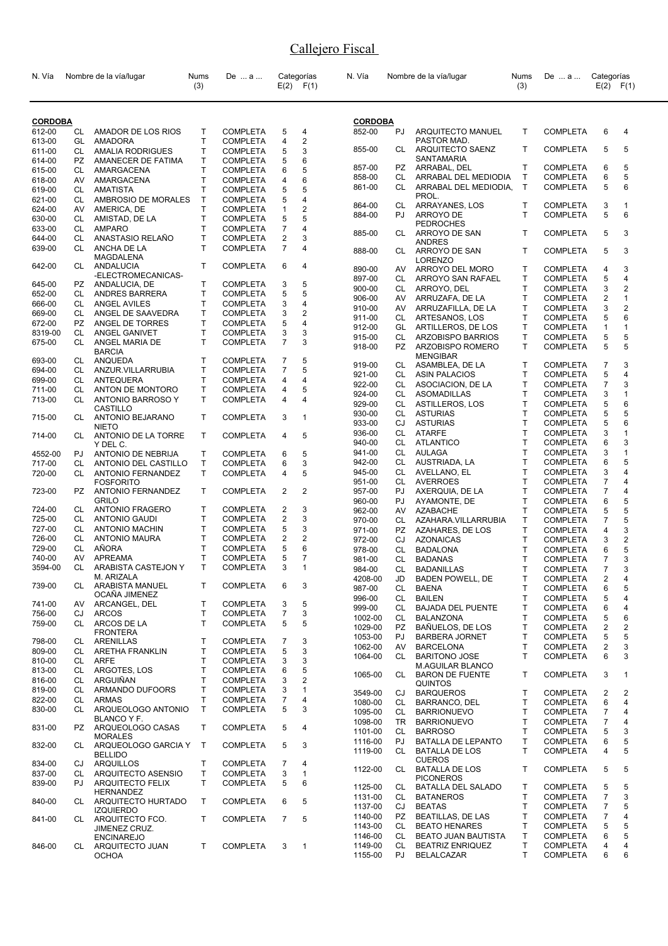| N. Vía            |           | Nombre de la vía/lugar                     | Nums<br>(3)       | De  a                              |                         | Categorías<br>$E(2)$ $F(1)$ | N. Vía           |           | Nombre de la vía/lugar                   | Nums<br>(3)  | De  a                              | Categorías     | $E(2)$ $F(1)$           |
|-------------------|-----------|--------------------------------------------|-------------------|------------------------------------|-------------------------|-----------------------------|------------------|-----------|------------------------------------------|--------------|------------------------------------|----------------|-------------------------|
| <b>CORDOBA</b>    |           |                                            |                   |                                    |                         |                             | <b>CORDOBA</b>   |           |                                          |              |                                    |                |                         |
| 612-00            | CL        | AMADOR DE LOS RIOS                         | Т                 | <b>COMPLETA</b>                    | 5                       | 4                           | 852-00           | PJ        | ARQUITECTO MANUEL                        | T            | <b>COMPLETA</b>                    | 6              | 4                       |
| 613-00            | GL        | AMADORA                                    | $\mathsf{T}$      | <b>COMPLETA</b>                    | 4                       | $\overline{2}$              |                  |           | PASTOR MAD.                              |              |                                    |                |                         |
| 611-00            | CL        | <b>AMALIA RODRIGUES</b>                    | T                 | <b>COMPLETA</b>                    | 5                       | 3                           | 855-00           | CL.       | ARQUITECTO SAENZ                         | T            | <b>COMPLETA</b>                    | 5              | 5                       |
| 614-00            | <b>PZ</b> | AMANECER DE FATIMA                         | $\mathsf{T}$      | <b>COMPLETA</b>                    | 5                       | 6                           |                  |           | SANTAMARIA                               |              |                                    |                |                         |
| 615-00            | CL        | AMARGACENA                                 | $\mathsf{T}$      | <b>COMPLETA</b>                    | 6                       | 5                           | 857-00           | PZ        | ARRABAL, DEL                             | T.           | <b>COMPLETA</b>                    | 6              | 5                       |
| 618-00            | AV        | AMARGACENA                                 | $\mathsf{T}$      | <b>COMPLETA</b>                    | 4                       | 6                           | 858-00           | CL        | ARRABAL DEL MEDIODIA                     | $\mathsf{T}$ | <b>COMPLETA</b>                    | 6              | 5                       |
| 619-00            | CL        | <b>AMATISTA</b>                            | $\mathsf{T}$      | <b>COMPLETA</b>                    | 5                       | 5                           | 861-00           | CL        | ARRABAL DEL MEDIODIA,                    | $\mathsf{T}$ | <b>COMPLETA</b>                    | 5              | 6                       |
| 621-00            | CL        | AMBROSIO DE MORALES                        | $\mathsf{T}$      | <b>COMPLETA</b>                    | 5                       | $\overline{4}$              |                  |           | PROL.                                    |              |                                    |                |                         |
| 624-00            | AV        | AMERICA, DE                                | $\mathsf{T}$      | <b>COMPLETA</b>                    | $\mathbf{1}$            | $\overline{2}$              | 864-00           | CL        | ARRAYANES, LOS                           | т<br>T       | <b>COMPLETA</b>                    | 3<br>5         | 1<br>6                  |
| 630-00            | CL        | AMISTAD, DE LA                             | Т                 | <b>COMPLETA</b>                    | 5                       | 5                           | 884-00           | PJ.       | ARROYO DE<br><b>PEDROCHES</b>            |              | <b>COMPLETA</b>                    |                |                         |
| 633-00            | CL        | AMPARO                                     | $\mathsf{T}$      | <b>COMPLETA</b>                    | $\overline{7}$          | 4                           | 885-00           | CL        | ARROYO DE SAN                            | T            | <b>COMPLETA</b>                    | 5              | 3                       |
| 644-00            | СL        | ANASTASIO RELAÑO                           | T                 | <b>COMPLETA</b>                    | $\overline{\mathbf{c}}$ | 3                           |                  |           | <b>ANDRES</b>                            |              |                                    |                |                         |
| 639-00            | CL        | ANCHA DE LA<br>MAGDALENA                   | T                 | <b>COMPLETA</b>                    | $\overline{7}$          | 4                           | 888-00           | CL        | ARROYO DE SAN<br><b>LORENZO</b>          | T            | <b>COMPLETA</b>                    | 5              | 3                       |
| 642-00            | CL        | ANDALUCIA                                  | T.                | <b>COMPLETA</b>                    | 6                       | 4                           | 890-00           | AV        | ARROYO DEL MORO                          | т            | <b>COMPLETA</b>                    | 4              | 3                       |
|                   |           | -ELECTROMECANICAS-                         |                   |                                    |                         | 5                           | 897-00           | CL        | ARROYO SAN RAFAEL                        | Τ            | <b>COMPLETA</b>                    | 5              | 4                       |
| 645-00            | PZ        | ANDALUCIA, DE                              | Т<br>T            | <b>COMPLETA</b><br><b>COMPLETA</b> | 3<br>5                  | 5                           | 900-00           | CL.       | ARROYO, DEL                              | T            | <b>COMPLETA</b>                    | 3              | $\overline{c}$          |
| 652-00<br>666-00  | CL<br>CL  | ANDRES BARRERA<br>ANGEL AVILES             | $\mathsf{T}$      | <b>COMPLETA</b>                    | 3                       | 4                           | 906-00           | AV        | ARRUZAFA, DE LA                          | Τ            | <b>COMPLETA</b>                    | 2              | $\mathbf{1}$            |
| 669-00            | CL        | ANGEL DE SAAVEDRA                          | T                 | <b>COMPLETA</b>                    | 3                       | $\overline{2}$              | 910-00           | AV        | ARRUZAFILLA, DE LA                       | т            | <b>COMPLETA</b>                    | 3              | $\overline{2}$          |
| 672-00            | PZ        | ANGEL DE TORRES                            | $\mathsf{T}$      | <b>COMPLETA</b>                    | 5                       | 4                           | 911-00           | CL        | ARTESANOS, LOS                           | Τ            | <b>COMPLETA</b>                    | 5              | 6                       |
| 8319-00           | CL        | ANGEL GANIVET                              | T                 | <b>COMPLETA</b>                    | 3                       | 3                           | 912-00           | GL        | ARTILLEROS, DE LOS                       | т            | <b>COMPLETA</b>                    | 1              | 1                       |
| 675-00            | CL        | ANGEL MARIA DE                             | T                 | <b>COMPLETA</b>                    | $\overline{7}$          | 3                           | 915-00           | CL        | ARZOBISPO BARRIOS                        | T            | <b>COMPLETA</b>                    | 5              | 5                       |
|                   |           | <b>BARCIA</b>                              |                   |                                    |                         |                             | 918-00           | PZ        | ARZOBISPO ROMERO                         | T.           | <b>COMPLETA</b>                    | 5              | 5                       |
| 693-00            | CL        | ANQUEDA                                    | T                 | <b>COMPLETA</b>                    | 7                       | 5                           |                  |           | <b>MENGIBAR</b>                          |              |                                    |                |                         |
| 694-00            | CL        | ANZUR.VILLARRUBIA                          | $\mathsf{T}$      | <b>COMPLETA</b>                    | $\overline{7}$          | 5                           | 919-00           | CL        | ASAMBLEA, DE LA                          | т            | <b>COMPLETA</b>                    | 7              | 3                       |
| 699-00            | CL        | <b>ANTEQUERA</b>                           | Т                 | <b>COMPLETA</b>                    | 4                       | 4                           | 921-00           | CL        | <b>ASIN PALACIOS</b>                     | $\mathsf{T}$ | <b>COMPLETA</b>                    | 5              | 4                       |
| 711-00            | CL        | ANTON DE MONTORO                           | $\mathsf{T}$      | <b>COMPLETA</b>                    | 4                       | 5                           | 922-00           | CL.       | ASOCIACION, DE LA                        | T            | <b>COMPLETA</b>                    | $\overline{7}$ | 3                       |
| 713-00            | CL        | <b>ANTONIO BARROSO Y</b>                   | T                 | <b>COMPLETA</b>                    | 4                       | $\overline{4}$              | 924-00           | CL        | ASOMADILLAS                              | Τ            | <b>COMPLETA</b>                    | 3              | 1                       |
|                   |           | CASTILLO                                   |                   |                                    |                         |                             | 929-00           | CL        | ASTILLEROS, LOS                          | T            | <b>COMPLETA</b>                    | 5              | 6                       |
| 715-00            | CL        | ANTONIO BEJARANO                           | T.                | <b>COMPLETA</b>                    | 3                       | $\mathbf{1}$                | 930-00<br>933-00 | CL<br>CJ  | <b>ASTURIAS</b><br><b>ASTURIAS</b>       | Τ<br>Τ       | <b>COMPLETA</b><br><b>COMPLETA</b> | 5<br>5         | 5<br>6                  |
|                   |           | <b>NIETO</b>                               |                   |                                    |                         |                             | 936-00           | CL        | <b>ATARFE</b>                            | Τ            | <b>COMPLETA</b>                    | 3              | 1                       |
| 714-00            | CL        | ANTONIO DE LA TORRE                        | $\mathsf{T}$      | <b>COMPLETA</b>                    | 4                       | 5                           | 940-00           | CL        | <b>ATLANTICO</b>                         | Τ            | <b>COMPLETA</b>                    | 6              | 3                       |
|                   |           | Y DEL C.                                   |                   |                                    |                         | 5                           | 941-00           | CL        | <b>AULAGA</b>                            | T            | <b>COMPLETA</b>                    | 3              | $\mathbf{1}$            |
| 4552-00<br>717-00 | PJ<br>CL  | ANTONIO DE NEBRIJA<br>ANTONIO DEL CASTILLO | т<br>$\mathsf{T}$ | <b>COMPLETA</b><br><b>COMPLETA</b> | 6<br>6                  | 3                           | 942-00           | CL        | AUSTRIADA, LA                            | Τ            | <b>COMPLETA</b>                    | 6              | 5                       |
| 720-00            | CL        | <b>ANTONIO FERNANDEZ</b>                   | $\mathsf{T}$      | <b>COMPLETA</b>                    | 4                       | 5                           | 945-00           | CL        | AVELLANO, EL                             | T            | <b>COMPLETA</b>                    | 3              | 4                       |
|                   |           | <b>FOSFORITO</b>                           |                   |                                    |                         |                             | 951-00           | CL        | <b>AVERROES</b>                          | Τ            | <b>COMPLETA</b>                    | 7              | 4                       |
| 723-00            | PZ        | <b>ANTONIO FERNANDEZ</b>                   | T.                | <b>COMPLETA</b>                    | $\overline{c}$          | $\overline{2}$              | 957-00           | PJ.       | AXERQUIA, DE LA                          | T            | <b>COMPLETA</b>                    | $\overline{7}$ | 4                       |
|                   |           | GRILO                                      |                   |                                    |                         |                             | 960-00           | PJ        | AYAMONTE, DE                             | Τ            | <b>COMPLETA</b>                    | 6              | 5                       |
| 724-00            | CL        | <b>ANTONIO FRAGERO</b>                     | T                 | <b>COMPLETA</b>                    | 2                       | 3                           | 962-00           | AV        | <b>AZABACHE</b>                          | T            | <b>COMPLETA</b>                    | 5              | 5                       |
| 725-00            | CL        | <b>ANTONIO GAUDI</b>                       | T                 | <b>COMPLETA</b>                    | $\overline{\mathbf{c}}$ | 3                           | 970-00           | CL        | AZAHARA.VILLARRUBIA                      | Τ            | <b>COMPLETA</b>                    | $\overline{7}$ | 5                       |
| 727-00            | CL        | <b>ANTONIO MACHIN</b>                      | T                 | <b>COMPLETA</b>                    | 5                       | 3                           | 971-00           | PZ        | AZAHARES, DE LOS                         | Τ            | <b>COMPLETA</b>                    | 4              | 3                       |
| 726-00            | CL        | <b>ANTONIO MAURA</b>                       | $\mathsf{T}$      | <b>COMPLETA</b>                    | 2                       | 2                           | 972-00           | CJ        | <b>AZONAICAS</b>                         | Τ            | <b>COMPLETA</b>                    | 3              | $\overline{\mathbf{c}}$ |
| 729-00            | СL        | AÑORA                                      | $\mathsf{T}$      | <b>COMPLETA</b>                    | 5                       | 6                           | 978-00           | CL        | <b>BADALONA</b>                          | Τ            | <b>COMPLETA</b>                    | 6              | 5                       |
| 740-00            | AV        | <b>APREAMA</b>                             | $\mathsf{T}$      | <b>COMPLETA</b>                    | 5                       | 7                           | 981-00           | CL        | <b>BADANAS</b>                           | T            | <b>COMPLETA</b>                    | $\overline{7}$ | 3                       |
| 3594-00           | CL        | ARABISTA CASTEJON Y                        | $\mathsf{T}$      | <b>COMPLETA</b>                    | 3                       | $\mathbf{1}$                | 984-00           | CL        | <b>BADANILLAS</b>                        | T            | <b>COMPLETA</b>                    | $\overline{7}$ | 3                       |
|                   |           | M. ARIZALA                                 |                   |                                    |                         |                             | 4208-00          | JD        | BADEN POWELL, DE                         | Τ            | <b>COMPLETA</b>                    | 2              | 4                       |
| 739-00            | CL        | ARABISTA MANUEL                            | T.                | <b>COMPLETA</b>                    | 6                       | 3                           | 987-00           | CL        | <b>BAENA</b>                             | T            | <b>COMPLETA</b>                    | 6              | 5                       |
| 741-00            | AV        | OCAÑA JIMENEZ<br>ARCANGEL, DEL             | $\mathsf T$       | <b>COMPLETA</b>                    | 3                       | 5                           | 996-00           | CL        | <b>BAILEN</b>                            | T            | <b>COMPLETA</b>                    | 5              | 4                       |
| 756-00            | CJ        | <b>ARCOS</b>                               | T                 | <b>COMPLETA</b>                    | $\overline{7}$          | 3                           | 999-00           | CL        | <b>BAJADA DEL PUENTE</b>                 | Τ            | <b>COMPLETA</b>                    | 6              | 4                       |
| 759-00            | CL        | ARCOS DE LA                                | T                 | <b>COMPLETA</b>                    | 5                       | 5                           | 1002-00          | CL        | <b>BALANZONA</b>                         | Τ            | <b>COMPLETA</b>                    | 5              | 6                       |
|                   |           | <b>FRONTERA</b>                            |                   |                                    |                         |                             | 1029-00          | <b>PZ</b> | BAÑUELOS, DE LOS                         | T            | <b>COMPLETA</b>                    | 2              | $\overline{\mathbf{c}}$ |
| 798-00            | CL        | ARENILLAS                                  | Т                 | <b>COMPLETA</b>                    | 7                       | 3                           | 1053-00          | PJ        | <b>BARBERA JORNET</b>                    | Τ            | <b>COMPLETA</b>                    | 5              | 5                       |
| 809-00            | CL        | <b>ARETHA FRANKLIN</b>                     | Т                 | <b>COMPLETA</b>                    | 5                       | 3                           | 1062-00          | AV        | <b>BARCELONA</b>                         | Τ            | <b>COMPLETA</b>                    | 2              | 3                       |
| 810-00            | CL        | ARFE                                       | $\mathsf{T}$      | <b>COMPLETA</b>                    | 3                       | 3                           | 1064-00          | CL        | <b>BARITONO JOSE</b>                     | T            | <b>COMPLETA</b>                    | 6              | 3                       |
| 813-00            | CL        | ARGOTES, LOS                               | Т                 | <b>COMPLETA</b>                    | 6                       | 5                           |                  |           | <b>M.AGUILAR BLANCO</b>                  |              |                                    |                |                         |
| 816-00            | CL        | ARGUIÑAN                                   | $\mathsf{T}$      | <b>COMPLETA</b>                    | 3                       | 2                           | 1065-00          | CL.       | <b>BARON DE FUENTE</b><br><b>QUINTOS</b> | T            | <b>COMPLETA</b>                    | 3              | 1                       |
| 819-00            | CL        | ARMANDO DUFOORS                            | $\mathsf{T}$      | <b>COMPLETA</b>                    | 3                       | $\mathbf{1}$                | 3549-00          | CJ        | <b>BARQUEROS</b>                         | т            | <b>COMPLETA</b>                    | 2              | 2                       |
| 822-00            | CL        | <b>ARMAS</b>                               | $\mathsf{T}$      | <b>COMPLETA</b>                    | $\overline{7}$          | 4                           | 1080-00          | CL        | BARRANCO, DEL                            | Τ            | <b>COMPLETA</b>                    | 6              | $\overline{4}$          |
| 830-00            | CL        | ARQUEOLOGO ANTONIO                         | T.                | <b>COMPLETA</b>                    | 5                       | 3                           | 1095-00          | CL        | <b>BARRIONUEVO</b>                       | Τ            | <b>COMPLETA</b>                    | 7              | 4                       |
|                   |           | <b>BLANCO Y F.</b>                         |                   |                                    |                         |                             | 1098-00          | TR.       | <b>BARRIONUEVO</b>                       | T            | <b>COMPLETA</b>                    | $\overline{7}$ | 4                       |
| 831-00            | PZ.       | ARQUEOLOGO CASAS                           | T.                | <b>COMPLETA</b>                    | 5                       | 4                           | 1101-00          | CL.       | <b>BARROSO</b>                           | т            | <b>COMPLETA</b>                    | 5              | 3                       |
|                   |           | <b>MORALES</b>                             |                   |                                    |                         |                             | 1116-00          | PJ        | BATALLA DE LEPANTO                       | Τ            | <b>COMPLETA</b>                    | 6              | 5                       |
| 832-00            | CL        | ARQUEOLOGO GARCIA Y                        | $\mathsf{T}$      | <b>COMPLETA</b>                    | 5                       | 3                           | 1119-00          | CL        | <b>BATALLA DE LOS</b>                    | T            | <b>COMPLETA</b>                    | 4              | 5                       |
|                   |           | <b>BELLIDO</b>                             |                   |                                    |                         |                             |                  |           | <b>CUEROS</b>                            |              |                                    |                |                         |
| 834-00            | CJ        | ARQUILLOS                                  | $\mathsf{T}$      | <b>COMPLETA</b>                    | 7                       | 4                           | 1122-00          | CL        | <b>BATALLA DE LOS</b>                    | T            | <b>COMPLETA</b>                    | 5              | 5                       |
| 837-00            | CL        | ARQUITECTO ASENSIO                         | $\mathsf{T}$      | <b>COMPLETA</b>                    | 3                       | $\mathbf{1}$                |                  |           | <b>PICONEROS</b>                         |              |                                    |                |                         |
| 839-00            | PJ        | ARQUITECTO FELIX<br><b>HERNANDEZ</b>       | T                 | <b>COMPLETA</b>                    | 5                       | 6                           | 1125-00          | CL        | BATALLA DEL SALADO                       | т            | <b>COMPLETA</b>                    | 5              | 5                       |
| 840-00            | CL        | ARQUITECTO HURTADO                         | T.                | <b>COMPLETA</b>                    | 6                       | 5                           | 1131-00          | CL        | <b>BATANEROS</b>                         | Τ            | <b>COMPLETA</b>                    | 7              | 3                       |
|                   |           | <b>IZQUIERDO</b>                           |                   |                                    |                         |                             | 1137-00          | CJ        | <b>BEATAS</b>                            | T            | <b>COMPLETA</b>                    | 7              | 5                       |
| 841-00            | CL        | ARQUITECTO FCO.                            | T.                | <b>COMPLETA</b>                    | $\overline{7}$          | 5                           | 1140-00          | PZ.       | <b>BEATILLAS, DE LAS</b>                 | T            | <b>COMPLETA</b>                    | $\overline{7}$ | 4                       |
|                   |           | JIMENEZ CRUZ.                              |                   |                                    |                         |                             | 1143-00          | CL.       | <b>BEATO HENARES</b>                     | т            | <b>COMPLETA</b>                    | 5              | 5                       |
|                   |           | <b>ENCINAREJO</b>                          |                   |                                    |                         |                             | 1146-00          | CL        | <b>BEATO JUAN BAUTISTA</b>               | Τ            | <b>COMPLETA</b>                    | 6              | 5                       |
| 846-00            |           | CL ARQUITECTO JUAN                         | T                 | <b>COMPLETA</b>                    | 3                       | $\mathbf{1}$                | 1149-00          | CL        | <b>BEATRIZ ENRIQUEZ</b>                  | Τ            | <b>COMPLETA</b>                    | 4              | 4                       |
|                   |           | OCHOA                                      |                   |                                    |                         |                             | 1155-00          | PJ        | <b>BELALCAZAR</b>                        | T            | <b>COMPLETA</b>                    | 6              | 6                       |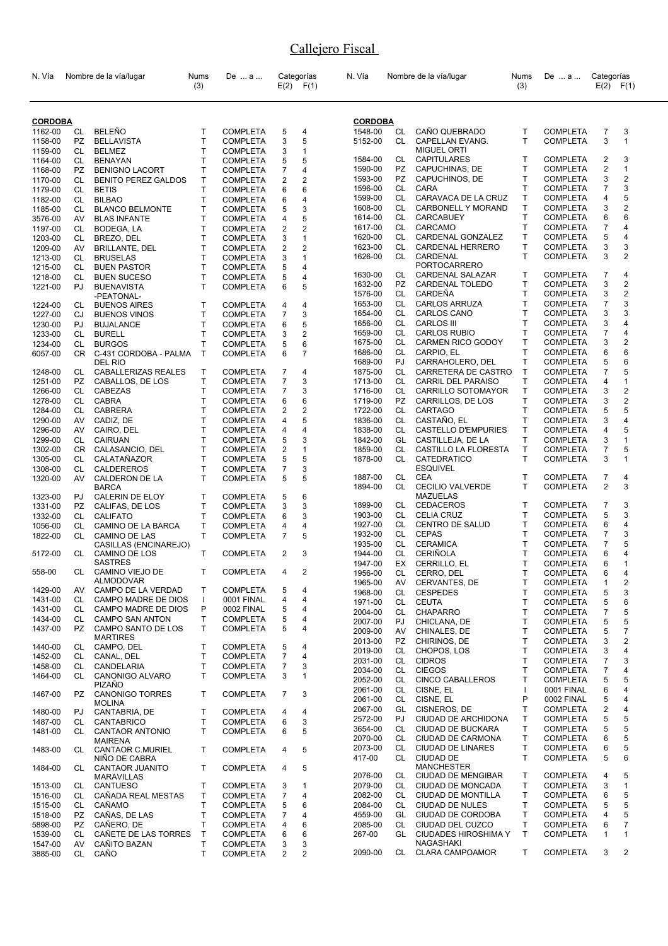| N. Vía         |           | Nombre de la vía/lugar                  | Nums<br>(3)  | De  a           |                | Categorías<br>$E(2)$ $F(1)$ | N. Vía             |           | Nombre de la vía/lugar                     | Nums<br>(3)  | De  a                              | Categorías                | $E(2)$ $F(1)$           |
|----------------|-----------|-----------------------------------------|--------------|-----------------|----------------|-----------------------------|--------------------|-----------|--------------------------------------------|--------------|------------------------------------|---------------------------|-------------------------|
| <b>CORDOBA</b> |           |                                         |              |                 |                |                             | <b>CORDOBA</b>     |           |                                            |              |                                    |                           |                         |
| 1162-00        | CL        | <b>BELEÑO</b>                           | T.           | <b>COMPLETA</b> | 5              | 4                           | 1548-00            | CL        | CAÑO QUEBRADO                              | T            | <b>COMPLETA</b>                    | 7                         | 3                       |
| 1158-00        | PZ        | <b>BELLAVISTA</b>                       | T            | <b>COMPLETA</b> | 3              | 5                           | 5152-00            | CL        | CAPELLAN EVANG.                            | T            | <b>COMPLETA</b>                    | 3                         | $\mathbf{1}$            |
| 1159-00        | CL        | <b>BELMEZ</b>                           | T            | <b>COMPLETA</b> | 3              | 1                           |                    |           | <b>MIGUEL ORTI</b>                         |              |                                    |                           |                         |
| 1164-00        | CL        | <b>BENAYAN</b>                          | T            | COMPLETA        | 5              | 5                           | 1584-00            | CL        | <b>CAPITULARES</b>                         | $\mathsf{T}$ | <b>COMPLETA</b>                    | 2                         | 3                       |
| 1168-00        | <b>PZ</b> | <b>BENIGNO LACORT</b>                   | Т            | COMPLETA        | 7              | 4                           | 1590-00            | PZ        | CAPUCHINAS, DE                             | Τ            | <b>COMPLETA</b>                    | $\overline{2}$            | $\mathbf{1}$            |
| 1170-00        | CL        | <b>BENITO PEREZ GALDOS</b>              | T            | <b>COMPLETA</b> | 2              | 2                           | 1593-00            | PZ        | CAPUCHINOS, DE                             | T            | <b>COMPLETA</b>                    | 3                         | $\overline{2}$          |
| 1179-00        | CL        | <b>BETIS</b>                            | T            | <b>COMPLETA</b> | 6              | 6                           | 1596-00            | <b>CL</b> | CARA                                       | T            | <b>COMPLETA</b>                    | $\overline{7}$            | 3                       |
| 1182-00        | CL        | <b>BILBAO</b>                           | T            | <b>COMPLETA</b> | 6              | 4                           | 1599-00            | CL        | CARAVACA DE LA CRUZ                        | Τ            | <b>COMPLETA</b>                    | 4                         | 5                       |
| 1185-00        | CL        | <b>BLANCO BELMONTE</b>                  | T            | <b>COMPLETA</b> | 5              | 3                           | 1608-00            | CL        | CARBONELL Y MORAND                         | T            | <b>COMPLETA</b>                    | 3                         | 2                       |
| 3576-00        | AV        | <b>BLAS INFANTE</b>                     | T            | <b>COMPLETA</b> | 4              | 5                           | 1614-00            | CL.       | <b>CARCABUEY</b>                           | T            | <b>COMPLETA</b>                    | 6                         | 6                       |
| 1197-00        | CL        | BODEGA, LA                              | T            | <b>COMPLETA</b> | 2              | 2                           | 1617-00            | CL.       | CARCAMO                                    | T            | <b>COMPLETA</b>                    | 7                         | 4                       |
| 1203-00        | CL        | BREZO, DEL                              | Т            | <b>COMPLETA</b> | 3              | 1                           | 1620-00            | CL        | CARDENAL GONZALEZ                          | т            | <b>COMPLETA</b>                    | 5                         | 4                       |
| 1209-00        | AV        | <b>BRILLANTE, DEL</b>                   | T            | COMPLETA        | 2              | 2                           | 1623-00            | CL        | CARDENAL HERRERO                           | т            | <b>COMPLETA</b>                    | 3                         | 3                       |
| 1213-00        | CL        | <b>BRUSELAS</b>                         | T            | <b>COMPLETA</b> | 3              | $\mathbf{1}$                | 1626-00            | CL.       | CARDENAL                                   | T            | <b>COMPLETA</b>                    | 3                         | 2                       |
| 1215-00        | CL        | <b>BUEN PASTOR</b>                      | T            | <b>COMPLETA</b> | 5              | 4                           |                    |           | PORTOCARRERO                               |              |                                    |                           |                         |
| 1218-00        | CL        | <b>BUEN SUCESO</b>                      | T            | <b>COMPLETA</b> | 5              | 4                           | 1630-00            | CL        | CARDENAL SALAZAR                           | Т            | <b>COMPLETA</b>                    | $\overline{7}$            | 4                       |
| 1221-00        | PJ        | <b>BUENAVISTA</b>                       | T.           | <b>COMPLETA</b> | 6              | 5                           | 1632-00            | PZ.       | CARDENAL TOLEDO                            | т            | <b>COMPLETA</b>                    | 3                         | 2                       |
|                |           | -PEATONAL-                              |              |                 |                |                             | 1576-00            | CL        | CARDEÑA                                    | т            | <b>COMPLETA</b>                    | 3<br>$\overline{7}$       | $\overline{2}$<br>3     |
| 1224-00        | CL        | <b>BUENOS AIRES</b>                     | T            | <b>COMPLETA</b> | 4              | 4                           | 1653-00            | CL<br>CL. | <b>CARLOS ARRUZA</b><br><b>CARLOS CANO</b> | Τ<br>T       | <b>COMPLETA</b>                    | 3                         | 3                       |
| 1227-00        | CJ        | <b>BUENOS VINOS</b>                     | Т            | <b>COMPLETA</b> | 7              | 3                           | 1654-00<br>1656-00 | CL.       | <b>CARLOS III</b>                          | T            | <b>COMPLETA</b><br><b>COMPLETA</b> | 3                         | 4                       |
| 1230-00        | PJ        | <b>BUJALANCE</b>                        | T            | <b>COMPLETA</b> | 6              | 5                           | 1659-00            | CL        | <b>CARLOS RUBIO</b>                        | Τ            | <b>COMPLETA</b>                    | $\overline{7}$            | 4                       |
| 1233-00        | CL        | <b>BURELL</b>                           | T            | <b>COMPLETA</b> | 3              | 2                           |                    | CL        | <b>CARMEN RICO GODOY</b>                   | T            |                                    | 3                         | 2                       |
| 1234-00        | CL        | <b>BURGOS</b>                           | T            | <b>COMPLETA</b> | 5              | 6                           | 1675-00<br>1686-00 | CL        | CARPIO, EL                                 | T            | <b>COMPLETA</b><br><b>COMPLETA</b> | 6                         | 6                       |
| 6057-00        | CR.       | C-431 CORDOBA - PALMA<br>DEL RIO        | T            | <b>COMPLETA</b> | 6              | $\overline{7}$              | 1689-00            | PJ        | CARRAHOLERO, DEL                           | T            | <b>COMPLETA</b>                    | 5                         | 6                       |
| 1248-00        | CL        | CABALLERIZAS REALES                     | T            | <b>COMPLETA</b> | 7              | 4                           | 1875-00            | CL.       | CARRETERA DE CASTRO                        | т            | <b>COMPLETA</b>                    | 7                         | 5                       |
| 1251-00        | PZ.       | CABALLOS, DE LOS                        | Т            | <b>COMPLETA</b> | 7              | 3                           | 1713-00            | CL.       | CARRIL DEL PARAISO                         | т            | <b>COMPLETA</b>                    | 4                         | 1                       |
| 1266-00        | CL        | CABEZAS                                 | T            | <b>COMPLETA</b> | 7              | 3                           | 1716-00            | CL        | CARRILLO SOTOMAYOR                         | т            | <b>COMPLETA</b>                    | 3                         | 2                       |
| 1278-00        | CL        | <b>CABRA</b>                            | T            | <b>COMPLETA</b> | 6              | 6                           | 1719-00            | <b>PZ</b> | CARRILLOS, DE LOS                          | T            | <b>COMPLETA</b>                    | 3                         | $\overline{2}$          |
| 1284-00        | CL        | <b>CABRERA</b>                          | T            | <b>COMPLETA</b> | 2              | 2                           | 1722-00            | CL -      | <b>CARTAGO</b>                             | T            | <b>COMPLETA</b>                    | 5                         | 5                       |
| 1290-00        | AV        | CADIZ, DE                               | Т            | <b>COMPLETA</b> | 4              | 5                           | 1836-00            | CL        | CASTAÑO, EL                                | T            | <b>COMPLETA</b>                    | 3                         | 4                       |
| 1296-00        | AV        | CAIRO, DEL                              | T            | COMPLETA        | 4              | 4                           | 1838-00            | CL        | CASTELLO D'EMPURIES                        | T.           | <b>COMPLETA</b>                    | 4                         | 5                       |
| 1299-00        | CL        | <b>CAIRUAN</b>                          | T            | <b>COMPLETA</b> | 5              | 3                           | 1842-00            | GL        | CASTILLEJA, DE LA                          | T            | <b>COMPLETA</b>                    | 3                         | $\mathbf{1}$            |
| 1302-00        | CR.       | CALASANCIO, DEL                         | Т            | <b>COMPLETA</b> | 2              | 1                           | 1859-00            | CL        | CASTILLO LA FLORESTA                       | T            | <b>COMPLETA</b>                    | 7                         | 5                       |
| 1305-00        | CL        | CALATAÑAZOR                             | T            | <b>COMPLETA</b> | 5              | 5                           | 1878-00            | CL.       | CATEDRATICO                                | T            | <b>COMPLETA</b>                    | 3                         | 1                       |
| 1308-00        | CL        | CALDEREROS                              | T            | <b>COMPLETA</b> | 7              | 3                           |                    |           | <b>ESQUIVEL</b>                            |              |                                    |                           |                         |
| 1320-00        | AV        | CALDERON DE LA                          | T            | <b>COMPLETA</b> | 5              | 5                           | 1887-00            | CL        | CEA                                        | T            | <b>COMPLETA</b>                    | $\overline{7}$            | 4                       |
|                |           | <b>BARCA</b>                            |              |                 |                |                             | 1894-00            | <b>CL</b> | <b>CECILIO VALVERDE</b>                    | T            | <b>COMPLETA</b>                    | 2                         | 3                       |
| 1323-00        | PJ        | CALERIN DE ELOY                         | Т            | <b>COMPLETA</b> | 5              | 6                           |                    |           | <b>MAZUELAS</b>                            |              |                                    |                           |                         |
| 1331-00        | PZ        | CALIFAS, DE LOS                         | т            | <b>COMPLETA</b> | 3              | 3                           | 1899-00            | CL        | <b>CEDACEROS</b>                           | Τ            | <b>COMPLETA</b>                    | $\overline{7}$            | 3                       |
| 1332-00        | CL        | <b>CALIFATO</b>                         | Т            | <b>COMPLETA</b> | 6              | 3                           | 1903-00            | CL        | <b>CELIA CRUZ</b>                          | Τ            | <b>COMPLETA</b>                    | 5                         | 3                       |
| 1056-00        | CL        | CAMINO DE LA BARCA                      | T            | <b>COMPLETA</b> | 4              | 4                           | 1927-00            | CL        | CENTRO DE SALUD                            | т            | <b>COMPLETA</b>                    | 6                         | 4                       |
| 1822-00        | CL        | <b>CAMINO DE LAS</b>                    | T.           | <b>COMPLETA</b> | 7              | 5                           | 1932-00            | CL        | <b>CEPAS</b>                               | Т            | <b>COMPLETA</b>                    | 7                         | 3                       |
|                |           | CASILLAS (ENCINAREJO)                   | т            |                 | $\overline{2}$ |                             | 1935-00            | CL.       | <b>CERAMICA</b><br><b>CERIÑOLA</b>         | T<br>T       | <b>COMPLETA</b>                    | $\overline{7}$            | 5<br>4                  |
| 5172-00        | CL        | CAMINO DE LOS<br><b>SASTRES</b>         |              | <b>COMPLETA</b> |                | 3                           | 1944-00            | CL        |                                            | T            | <b>COMPLETA</b><br><b>COMPLETA</b> | 6<br>6                    | $\mathbf{1}$            |
| 558-00         | CL        | CAMINO VIEJO DE                         | T.           | COMPLETA        | $\overline{4}$ | 2                           | 1947-00<br>1956-00 | EX<br>CL  | CERRILLO, EL<br>CERRO, DEL                 | T            | <b>COMPLETA</b>                    | 6                         | 4                       |
|                |           | <b>ALMODOVAR</b>                        |              |                 |                |                             | 1965-00            | AV        | CERVANTES, DE                              | т            | <b>COMPLETA</b>                    | 1                         | $\overline{\mathbf{c}}$ |
| 1429-00        | AV.       | CAMPO DE LA VERDAD                      | т            | <b>COMPLETA</b> | 5              | 4                           | 1968-00            | CL        | <b>CESPEDES</b>                            | T            | <b>COMPLETA</b>                    | 5                         | 3                       |
| 1431-00        | CL        | CAMPO MADRE DE DIOS                     | $\mathbf{I}$ | 0001 FINAL      | 4              | 4                           | 1971-00            | CL        | <b>CEUTA</b>                               | Τ            | <b>COMPLETA</b>                    | 5                         | 6                       |
| 1431-00        | CL        | <b>CAMPO MADRE DE DIOS</b>              | P            | 0002 FINAL      | 5              | 4                           | 2004-00            | CL        | <b>CHAPARRO</b>                            | T            | <b>COMPLETA</b>                    | $\overline{\mathfrak{c}}$ | 5                       |
| 1434-00        | CL        | <b>CAMPO SAN ANTON</b>                  | T            | <b>COMPLETA</b> | 5              | 4                           | 2007-00            | PJ        | CHICLANA, DE                               | Т            | <b>COMPLETA</b>                    | 5                         | 5                       |
| 1437-00        | <b>PZ</b> | CAMPO SANTO DE LOS                      | T            | <b>COMPLETA</b> | 5              | 4                           | 2009-00            | AV        | CHINALES, DE                               | т            | <b>COMPLETA</b>                    | 5                         | 7                       |
|                |           | <b>MARTIRES</b>                         |              |                 |                |                             | 2013-00            | PZ        | CHIRINOS, DE                               | Т            | <b>COMPLETA</b>                    | 3                         | 2                       |
| 1440-00        | CL        | CAMPO, DEL                              | T            | <b>COMPLETA</b> | 5              | 4                           | 2019-00            | CL        | CHOPOS, LOS                                | т            | <b>COMPLETA</b>                    | 3                         | 4                       |
| 1452-00        | CL        | CANAL, DEL                              | Т            | <b>COMPLETA</b> | 7              | 4                           | 2031-00            | CL        | <b>CIDROS</b>                              | Т            | <b>COMPLETA</b>                    | $\overline{7}$            | 3                       |
| 1458-00        | CL        | CANDELARIA                              | T            | <b>COMPLETA</b> | $\overline{7}$ | 3                           | 2034-00            | CL        | <b>CIEGOS</b>                              | Τ            | <b>COMPLETA</b>                    | $\overline{7}$            | 4                       |
| 1464-00        | CL        | <b>CANONIGO ALVARO</b>                  | T            | <b>COMPLETA</b> | 3              | 1                           | 2052-00            | CL        | <b>CINCO CABALLEROS</b>                    | Τ            | <b>COMPLETA</b>                    | 5                         | 5                       |
|                |           | PIZAÑO                                  |              |                 |                |                             | 2061-00            | CL        | CISNE, EL                                  | $\mathbf{I}$ | 0001 FINAL                         | 6                         | 4                       |
| 1467-00        | PZ.       | <b>CANONIGO TORRES</b><br><b>MOLINA</b> | T            | <b>COMPLETA</b> | 7              | 3                           | 2061-00            | CL        | CISNE, EL                                  | P            | 0002 FINAL                         | 5                         | 4                       |
| 1480-00        | PJ        | CANTABRIA, DE                           | т            | <b>COMPLETA</b> | 4              | 4                           | 2067-00            | GL        | CISNEROS, DE                               | Τ            | <b>COMPLETA</b>                    | 2                         | 4                       |
| 1487-00        | CL        | <b>CANTABRICO</b>                       | т            | <b>COMPLETA</b> | 6              | 3                           | 2572-00            | PJ        | CIUDAD DE ARCHIDONA                        | т            | <b>COMPLETA</b>                    | 5                         | 5                       |
| 1481-00        | CL        | <b>CANTAOR ANTONIO</b>                  | T.           | <b>COMPLETA</b> | 6              | 5                           | 3654-00            | CL        | CIUDAD DE BUCKARA                          | т            | <b>COMPLETA</b>                    | 5                         | 5                       |
|                |           | <b>MAIRENA</b>                          |              |                 |                |                             | 2070-00            | CL        | CIUDAD DE CARMONA                          | т            | <b>COMPLETA</b>                    | 6                         | 5                       |
| 1483-00        | CL        | CANTAOR C.MURIEL                        | T            | <b>COMPLETA</b> | 4              | 5                           | 2073-00            | CL        | <b>CIUDAD DE LINARES</b>                   | Т            | <b>COMPLETA</b>                    | 6                         | 5                       |
|                |           | NIÑO DE CABRA                           |              |                 |                |                             | 417-00             | CL.       | CIUDAD DE                                  | T            | <b>COMPLETA</b>                    | 5                         | 6                       |
| 1484-00        | CL        | CANTAOR JUANITO                         | T            | <b>COMPLETA</b> | 4              | 5                           |                    |           | <b>MANCHESTER</b>                          |              |                                    |                           |                         |
|                |           | <b>MARAVILLAS</b>                       |              |                 |                |                             | 2076-00            | CL        | CIUDAD DE MENGIBAR                         | т            | <b>COMPLETA</b>                    | 4                         | 5                       |
| 1513-00        | CL        | <b>CANTUESO</b>                         | т            | <b>COMPLETA</b> | 3              | 1                           | 2079-00            | CL.       | CIUDAD DE MONCADA                          | т            | <b>COMPLETA</b>                    | 3                         | $\mathbf{1}$            |
| 1516-00        | CL        | CAÑADA REAL MESTAS                      | т            | <b>COMPLETA</b> | $\overline{7}$ | 4                           | 2082-00            | CL.       | CIUDAD DE MONTILLA                         | т            | <b>COMPLETA</b>                    | 6                         | 5                       |
| 1515-00        | CL        | CAÑAMO                                  | T            | <b>COMPLETA</b> | 5              | 6                           | 2084-00            | CL.       | CIUDAD DE NULES                            | Т            | <b>COMPLETA</b>                    | 5                         | 5                       |
| 1518-00        | PZ        | CAÑAS, DE LAS                           | T            | <b>COMPLETA</b> | 7              | 4                           | 4559-00            | GL        | CIUDAD DE CORDOBA                          | T            | <b>COMPLETA</b>                    | 4                         | 5                       |
| 5898-00        | PZ        | CAÑERO, DE                              | T            | <b>COMPLETA</b> | 4              | 6                           | 2085-00            | CL        | CIUDAD DEL CUZCO                           | Т            | <b>COMPLETA</b>                    | 6                         | 7                       |
| 1539-00        | CL        | CAÑETE DE LAS TORRES                    | $\mathsf{T}$ | <b>COMPLETA</b> | 6              | 6                           | 267-00             | GL        | <b>CIUDADES HIROSHIMA Y</b>                | T            | <b>COMPLETA</b>                    | 1                         | 1                       |
| 1547-00        | AV        | CAÑITO BAZAN                            | T            | <b>COMPLETA</b> | 3              | 3                           | 2090-00            | CL        | NAGASHAKI<br><b>CLARA CAMPOAMOR</b>        | Τ            | <b>COMPLETA</b>                    | 3                         | 2                       |
| 3885-00        | CL        | CAÑO                                    | т            | <b>COMPLETA</b> | $\overline{2}$ | 2                           |                    |           |                                            |              |                                    |                           |                         |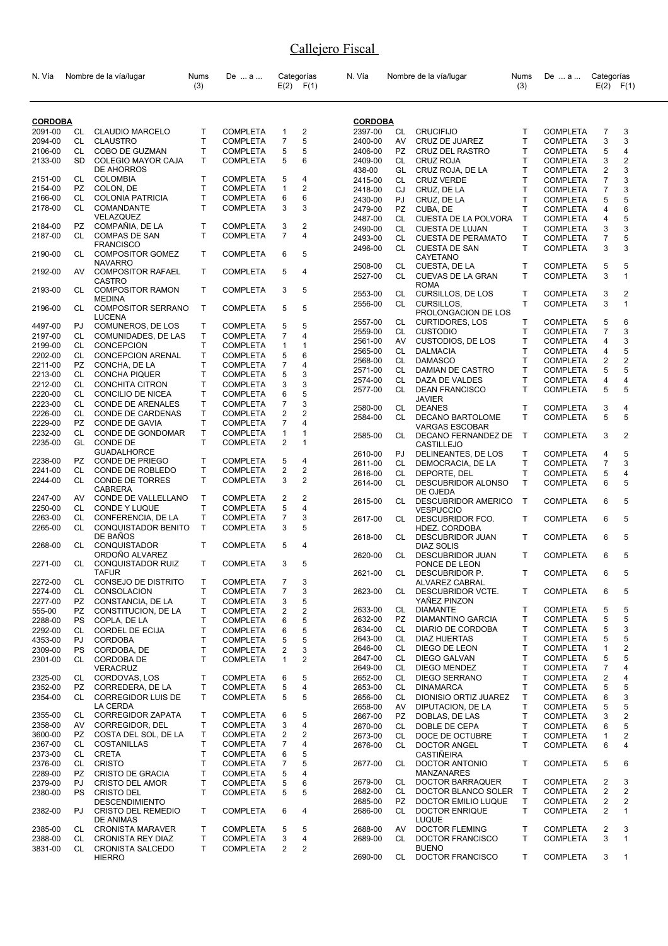| N. Vía         |           | Nombre de la vía/lugar            | Nums<br>(3) | De  a           |                | Categorías<br>$E(2)$ $F(1)$ | N. Vía         |           | Nombre de la vía/lugar                   | Nums<br>(3)  | De  a           | Categorías       | $E(2)$ $F(1)$  |
|----------------|-----------|-----------------------------------|-------------|-----------------|----------------|-----------------------------|----------------|-----------|------------------------------------------|--------------|-----------------|------------------|----------------|
| <b>CORDOBA</b> |           |                                   |             |                 |                |                             | <b>CORDOBA</b> |           |                                          |              |                 |                  |                |
| 2091-00        | CL        | <b>CLAUDIO MARCELO</b>            | T           | <b>COMPLETA</b> | 1              | $\overline{\mathbf{c}}$     | 2397-00        | CL        | <b>CRUCIFIJO</b>                         | т            | <b>COMPLETA</b> | $\overline{7}$   | 3              |
| 2094-00        | CL        | <b>CLAUSTRO</b>                   | T           | <b>COMPLETA</b> | $\overline{7}$ | 5                           | 2400-00        | AV        | CRUZ DE JUAREZ                           | T            | <b>COMPLETA</b> | 3                | 3              |
| 2106-00        | CL        | COBO DE GUZMAN                    | T           | <b>COMPLETA</b> | 5              | 5                           | 2406-00        | PZ        | CRUZ DEL RASTRO                          | Т            | <b>COMPLETA</b> | 5                | 4              |
| 2133-00        | <b>SD</b> | <b>COLEGIO MAYOR CAJA</b>         | T           | <b>COMPLETA</b> | 5              | 6                           | 2409-00        | CL.       | <b>CRUZ ROJA</b>                         | T            | <b>COMPLETA</b> | 3                | 2              |
|                |           | DE AHORROS                        |             |                 |                |                             | 438-00         | GL        | CRUZ ROJA, DE LA                         | T            | <b>COMPLETA</b> | 2                | 3              |
| 2151-00        | CL        | COLOMBIA                          | T.          | <b>COMPLETA</b> | 5              | 4                           | 2415-00        | CL        | <b>CRUZ VERDE</b>                        | T            | <b>COMPLETA</b> | 7                | 3              |
| 2154-00        | PZ.       | COLON, DE                         | T           | <b>COMPLETA</b> | 1              | 2                           | 2418-00        | CJ        | CRUZ, DE LA                              | т            | <b>COMPLETA</b> | 7                | 3              |
| 2166-00        | CL        | <b>COLONIA PATRICIA</b>           | т           | COMPLETA        | 6              | 6                           | 2430-00        | PJ        | CRUZ, DE LA                              | T            | <b>COMPLETA</b> | 5                | 5              |
| 2178-00        | CL        | COMANDANTE                        | T.          | <b>COMPLETA</b> | 3              | 3                           | 2479-00        | <b>PZ</b> | CUBA, DE                                 | T            | <b>COMPLETA</b> | 4                | 6              |
|                |           | VELAZQUEZ                         |             |                 |                |                             | 2487-00        | CL        | CUESTA DE LA POLVORA                     | Т            | <b>COMPLETA</b> | 4                | 5              |
| 2184-00        | PZ        | COMPAÑIA, DE LA                   | T.          | <b>COMPLETA</b> | 3              | 2                           | 2490-00        | CL        | CUESTA DE LUJAN                          | Τ            | <b>COMPLETA</b> | 3                | 3              |
| 2187-00        | CL        | <b>COMPAS DE SAN</b>              | T.          | <b>COMPLETA</b> | $\overline{7}$ | 4                           | 2493-00        | CL.       | <b>CUESTA DE PERAMATO</b>                | т            | <b>COMPLETA</b> | $\overline{7}$   | 5              |
|                |           | <b>FRANCISCO</b>                  |             |                 |                |                             | 2496-00        | CL.       | <b>CUESTA DE SAN</b>                     | T            | <b>COMPLETA</b> | 3                | 3              |
| 2190-00        | CL        | <b>COMPOSITOR GOMEZ</b>           | T           | <b>COMPLETA</b> | 6              | 5                           |                |           | CAYETANO                                 |              |                 |                  |                |
|                |           | <b>NAVARRO</b>                    |             |                 |                |                             | 2508-00        | CL        | CUESTA, DE LA                            | Τ            | <b>COMPLETA</b> | 5                | 5              |
| 2192-00        | AV        | <b>COMPOSITOR RAFAEL</b>          | T           | <b>COMPLETA</b> | 5              | 4                           | 2527-00        | CL        | CUEVAS DE LA GRAN                        | т            | <b>COMPLETA</b> | 3                | 1              |
|                |           | CASTRO<br><b>COMPOSITOR RAMON</b> |             |                 |                |                             |                |           | <b>ROMA</b>                              |              |                 |                  |                |
| 2193-00        | CL        | <b>MEDINA</b>                     | T           | <b>COMPLETA</b> | 3              | 5                           | 2553-00        | CL        | CURSILLOS, DE LOS                        | T            | <b>COMPLETA</b> | 3                | 2              |
| 2196-00        | CL        | <b>COMPOSITOR SERRANO</b>         | T           | <b>COMPLETA</b> | 5              | 5                           | 2556-00        | <b>CL</b> | <b>CURSILLOS,</b>                        | T            | <b>COMPLETA</b> | 3                | $\mathbf{1}$   |
|                |           | <b>LUCENA</b>                     |             |                 |                |                             |                |           | PROLONGACION DE LOS                      |              |                 |                  |                |
| 4497-00        | PJ        | COMUNEROS, DE LOS                 | т           | <b>COMPLETA</b> | 5              | 5                           | 2557-00        | CL        | <b>CURTIDORES, LOS</b>                   | Τ            | <b>COMPLETA</b> | 5                | 6              |
| 2197-00        | CL        | COMUNIDADES, DE LAS               | T.          | <b>COMPLETA</b> | 7              | 4                           | 2559-00        | CL        | <b>CUSTODIO</b>                          | т            | <b>COMPLETA</b> | 7                | 3              |
| 2199-00        | CL        | <b>CONCEPCION</b>                 | T           | <b>COMPLETA</b> | 1              | 1                           | 2561-00        | AV        | CUSTODIOS, DE LOS                        | T.           | <b>COMPLETA</b> | 4                | 3              |
| 2202-00        | CL        | <b>CONCEPCION ARENAL</b>          | T           | <b>COMPLETA</b> | 5              | 6                           | 2565-00        | CL        | <b>DALMACIA</b>                          | T            | <b>COMPLETA</b> | 4                | 5              |
| 2211-00        | PZ        | CONCHA, DE LA                     | T           | <b>COMPLETA</b> | 7              | 4                           | 2568-00        | CL        | <b>DAMASCO</b>                           | T            | <b>COMPLETA</b> | 2                | 2              |
| 2213-00        | CL        | <b>CONCHA PIQUER</b>              | T           | <b>COMPLETA</b> | 5              | 3                           | 2571-00        | CL        | DAMIAN DE CASTRO                         | T            | <b>COMPLETA</b> | 5                | 5              |
| 2212-00        | CL        | <b>CONCHITA CITRON</b>            | T           | <b>COMPLETA</b> | 3              | 3                           | 2574-00        | CL        | DAZA DE VALDES                           | T            | <b>COMPLETA</b> | 4                | 4              |
| 2220-00        | CL        | CONCILIO DE NICEA                 | T           | <b>COMPLETA</b> | 6              | 5                           | 2577-00        | CL        | <b>DEAN FRANCISCO</b>                    | T            | <b>COMPLETA</b> | 5                | 5              |
| 2223-00        | CL        | CONDE DE ARENALES                 | T           | <b>COMPLETA</b> | 7              | 3                           |                |           | <b>JAVIER</b>                            |              |                 |                  |                |
| 2226-00        | CL        | CONDE DE CARDENAS                 | T           | COMPLETA        | 2              | 2                           | 2580-00        | CL        | <b>DEANES</b>                            | Τ            | <b>COMPLETA</b> | 3                | 4              |
| 2229-00        | <b>PZ</b> | CONDE DE GAVIA                    | T           | <b>COMPLETA</b> | 7              | 4                           | 2584-00        | CL        | DECANO BARTOLOME                         | T.           | <b>COMPLETA</b> | 5                | 5              |
| 2232-00        | CL        | CONDE DE GONDOMAR                 | T           | <b>COMPLETA</b> | 1              | 1                           |                |           | <b>VARGAS ESCOBAR</b>                    |              |                 |                  |                |
| 2235-00        | GL        | CONDE DE                          | T.          | <b>COMPLETA</b> | 2              | 1                           | 2585-00        | CL        | DECANO FERNANDEZ DE<br><b>CASTILLEJO</b> | $\mathsf{T}$ | <b>COMPLETA</b> | 3                | 2              |
|                |           | <b>GUADALHORCE</b>                |             |                 |                |                             | 2610-00        | PJ        | DELINEANTES, DE LOS                      | Т            | <b>COMPLETA</b> | 4                | 5              |
| 2238-00        | PZ        | CONDE DE PRIEGO                   | т           | <b>COMPLETA</b> | 5              | 4                           | 2611-00        | CL        | DEMOCRACIA, DE LA                        | T            | <b>COMPLETA</b> | $\overline{7}$   | 3              |
| 2241-00        | CL        | CONDE DE ROBLEDO                  | T           | <b>COMPLETA</b> | 2              | $\overline{2}$              | 2616-00        | CL        | DEPORTE, DEL                             | T            | <b>COMPLETA</b> | 5                | 4              |
| 2244-00        | CL        | <b>CONDE DE TORRES</b>            | т           | <b>COMPLETA</b> | 3              | 2                           | 2614-00        | CL.       | DESCUBRIDOR ALONSO                       | T            | <b>COMPLETA</b> | 6                | 5              |
|                |           | CABRERA                           |             |                 |                |                             |                |           | DE OJEDA                                 |              |                 |                  |                |
| 2247-00        | AV        | CONDE DE VALLELLANO               | T.          | <b>COMPLETA</b> | 2              | 2                           | 2615-00        | CL        | <b>DESCUBRIDOR AMERICO</b>               | $\mathsf{T}$ | <b>COMPLETA</b> | 6                | 5              |
| 2250-00        | CL        | CONDE Y LUQUE                     | T           | <b>COMPLETA</b> | 5              | 4                           |                |           | <b>VESPUCCIO</b>                         |              |                 |                  |                |
| 2263-00        | CL        | CONFERENCIA, DE LA                | T           | <b>COMPLETA</b> | 7              | 3                           | 2617-00        | CL        | DESCUBRIDOR FCO.                         | Τ            | <b>COMPLETA</b> | 6                | 5              |
| 2265-00        | CL        | <b>CONQUISTADOR BENITO</b>        | T           | <b>COMPLETA</b> | 3              | 5                           |                |           | <b>HDEZ. CORDOBA</b>                     |              |                 |                  |                |
|                |           | DE BAÑOS                          |             |                 |                |                             | 2618-00        | CL.       | <b>DESCUBRIDOR JUAN</b>                  | Т            | <b>COMPLETA</b> | 6                | 5              |
| 2268-00        | CL        | <b>CONQUISTADOR</b>               | T           | <b>COMPLETA</b> | 5              | 4                           |                |           | DIAZ SOLIS                               |              |                 |                  |                |
|                |           | ORDONO ALVAREZ                    |             |                 |                |                             | 2620-00        | CL        | <b>DESCUBRIDOR JUAN</b>                  | T            | <b>COMPLETA</b> | 6                | 5              |
| 2271-00        | CL        | CONQUISTADOR RUIZ<br><b>TAFUR</b> | т           | <b>COMPLETA</b> | 3              | 5                           |                |           | PONCE DE LEON                            |              |                 |                  |                |
| 2272-00        | CL        | CONSEJO DE DISTRITO               | Т           | <b>COMPLETA</b> | 7              | 3                           | 2621-00        | CL        | DESCUBRIDOR P.<br><b>ALVAREZ CABRAL</b>  | T.           | COMPLETA 6      |                  | 5              |
| 2274-00        | CL        | CONSOLACION                       | Т           | <b>COMPLETA</b> | 7              | 3                           | 2623-00        | CL        | <b>DESCUBRIDOR VCTE.</b>                 | T            | <b>COMPLETA</b> | 6                | 5              |
| 2277-00        | <b>PZ</b> | CONSTANCIA. DE LA                 | т           | <b>COMPLETA</b> | 3              | 5                           |                |           | YAÑEZ PINZON                             |              |                 |                  |                |
| 555-00         | PZ        | CONSTITUCION, DE LA               | т           | <b>COMPLETA</b> | 2              | $\mathbf 2$                 | 2633-00        | CL        | <b>DIAMANTE</b>                          | т            | <b>COMPLETA</b> | 5                | 5              |
| 2288-00        | PS        | COPLA, DE LA                      | T           | <b>COMPLETA</b> | 6              | 5                           | 2632-00        | PZ        | DIAMANTINO GARCIA                        | T.           | <b>COMPLETA</b> | 5                | 5              |
| 2292-00        | CL        | <b>CORDEL DE ECIJA</b>            | T           | <b>COMPLETA</b> | 6              | 5                           | 2634-00        | CL        | DIARIO DE CORDOBA                        | т            | <b>COMPLETA</b> | 5                | 3              |
| 4353-00        | PJ        | <b>CORDOBA</b>                    | T           | <b>COMPLETA</b> | 5              | 5                           | 2643-00        | CL        | <b>DIAZ HUERTAS</b>                      | T.           | <b>COMPLETA</b> | 5                | 5              |
| 2309-00        | <b>PS</b> | CORDOBA, DE                       | T           | <b>COMPLETA</b> | 2              | 3                           | 2646-00        | CL        | DIEGO DE LEON                            | Т            | <b>COMPLETA</b> | 1                | 2              |
| 2301-00        | CL        | <b>CORDOBA DE</b>                 | T.          | <b>COMPLETA</b> | 1              | 2                           | 2647-00        | CL        | <b>DIEGO GALVAN</b>                      | Т            | <b>COMPLETA</b> | 5                | 5              |
|                |           | <b>VERACRUZ</b>                   |             |                 |                |                             | 2649-00        | CL        | <b>DIEGO MENDEZ</b>                      | Т            | <b>COMPLETA</b> | $\boldsymbol{7}$ | 4              |
| 2325-00        | CL        | CORDOVAS, LOS                     | т           | <b>COMPLETA</b> | 6              | 5                           | 2652-00        | CL        | <b>DIEGO SERRANO</b>                     | Т            | <b>COMPLETA</b> | 2                | 4              |
| 2352-00        | PZ        | CORREDERA, DE LA                  | Т           | <b>COMPLETA</b> | 5              | 4                           | 2653-00        | CL        | <b>DINAMARCA</b>                         | Т            | <b>COMPLETA</b> | 5                | 5              |
| 2354-00        | CL        | <b>CORREGIDOR LUIS DE</b>         | T           | <b>COMPLETA</b> | 5              | 5                           | 2656-00        | CL        | DIONISIO ORTIZ JUAREZ                    | Τ            | <b>COMPLETA</b> | 6                | 3              |
|                |           | LA CERDA                          |             |                 |                |                             | 2658-00        | AV        | DIPUTACION. DE LA                        | T.           | <b>COMPLETA</b> | 5                | 5              |
| 2355-00        | CL        | CORREGIDOR ZAPATA                 | T           | <b>COMPLETA</b> | 6              | 5                           | 2667-00        | <b>PZ</b> | <b>DOBLAS. DE LAS</b>                    | Т            | <b>COMPLETA</b> | 3                | 2              |
| 2358-00        | AV        | CORREGIDOR, DEL                   | Т           | <b>COMPLETA</b> | 3              | 4                           | 2670-00        | CL        | DOBLE DE CEPA                            | т            | <b>COMPLETA</b> | 6                | 5              |
| 3600-00        | PZ        | COSTA DEL SOL, DE LA              | т           | <b>COMPLETA</b> | 2              | 2                           | 2673-00        | CL        | DOCE DE OCTUBRE                          | т            | <b>COMPLETA</b> | 1                | 2              |
| 2367-00        | CL        | COSTANILLAS                       | Т           | <b>COMPLETA</b> | 7              | 4                           | 2676-00        | CL        | <b>DOCTOR ANGEL</b>                      | T            | <b>COMPLETA</b> | 6                | 4              |
| 2373-00        | CL        | <b>CRETA</b>                      | T           | <b>COMPLETA</b> | 6              | 5                           |                |           | <b>CASTIÑEIRA</b>                        |              |                 |                  |                |
| 2376-00        | CL        | <b>CRISTO</b>                     | T           | <b>COMPLETA</b> | 7              | 5                           | 2677-00        | CL.       | DOCTOR ANTONIO                           | $\mathsf{T}$ | <b>COMPLETA</b> | 5                | 6              |
| 2289-00        | <b>PZ</b> | <b>CRISTO DE GRACIA</b>           | Т           | <b>COMPLETA</b> | 5              | 4                           |                |           | <b>MANZANARES</b>                        |              |                 |                  |                |
| 2379-00        | PJ        | <b>CRISTO DEL AMOR</b>            | Т           | <b>COMPLETA</b> | 5              | 6                           | 2679-00        | CL        | DOCTOR BARRAQUER                         | T            | <b>COMPLETA</b> | $\overline{2}$   | 3              |
| 2380-00        | <b>PS</b> | <b>CRISTO DEL</b>                 | T           | <b>COMPLETA</b> | 5              | 5                           | 2682-00        | CL        | DOCTOR BLANCO SOLER                      | $\mathsf{T}$ | <b>COMPLETA</b> | 2                | $\overline{c}$ |
|                |           | <b>DESCENDIMIENTO</b>             |             |                 |                |                             | 2685-00        | PZ.       | DOCTOR EMILIO LUQUE                      | Τ            | <b>COMPLETA</b> | 2                | 2              |
| 2382-00        | PJ        | <b>CRISTO DEL REMEDIO</b>         | T           | <b>COMPLETA</b> | 6              | 4                           | 2686-00        | CL.       | <b>DOCTOR ENRIQUE</b>                    | Τ            | <b>COMPLETA</b> | 2                | 1              |
|                |           | <b>DE ANIMAS</b>                  |             |                 |                |                             |                |           | LUQUE                                    |              |                 |                  |                |
| 2385-00        | CL        | <b>CRONISTA MARAVER</b>           | T           | <b>COMPLETA</b> | 5              | 5                           | 2688-00        | AV        | <b>DOCTOR FLEMING</b>                    | т            | <b>COMPLETA</b> | 2                | 3              |
| 2388-00        | CL        | <b>CRONISTA REY DIAZ</b>          | т           | <b>COMPLETA</b> | 3              | 4                           | 2689-00        | CL        | DOCTOR FRANCISCO                         | Τ            | <b>COMPLETA</b> | 3                | $\mathbf{1}$   |
| 3831-00        | CL        | <b>CRONISTA SALCEDO</b>           | T.          | <b>COMPLETA</b> | $\overline{2}$ | 2                           |                |           | <b>BUENO</b>                             |              |                 |                  |                |
|                |           | <b>HIERRO</b>                     |             |                 |                |                             | 2690-00        | CL        | DOCTOR FRANCISCO                         | T            | <b>COMPLETA</b> | 3                | 1              |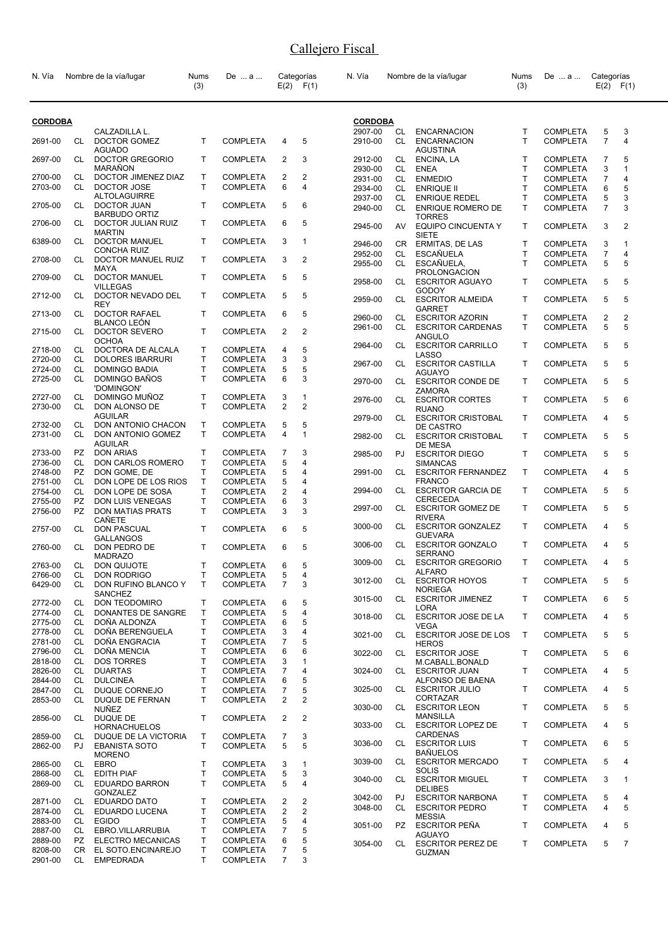| N. Vía             |                  | Nombre de la vía/lugar                      | Nums<br>(3)                  | De  a                              |                     | Categorías<br>$E(2)$ $F(1)$ | N. Vía             |           | Nombre de la vía/lugar                             | Nums<br>(3) | De  a                              | Categorías          | $E(2)$ $F(1)$ |
|--------------------|------------------|---------------------------------------------|------------------------------|------------------------------------|---------------------|-----------------------------|--------------------|-----------|----------------------------------------------------|-------------|------------------------------------|---------------------|---------------|
| <b>CORDOBA</b>     |                  |                                             |                              |                                    |                     |                             | <b>CORDOBA</b>     |           |                                                    |             |                                    |                     |               |
| 2691-00            | CL               | CALZADILLA L.<br>DOCTOR GOMEZ               | T                            | <b>COMPLETA</b>                    | 4                   | 5                           | 2907-00<br>2910-00 | CL<br>CL  | <b>ENCARNACION</b><br><b>ENCARNACION</b>           | T<br>T      | <b>COMPLETA</b><br><b>COMPLETA</b> | 5<br>$\overline{7}$ | 3<br>4        |
|                    |                  | <b>AGUADO</b>                               |                              |                                    |                     |                             |                    |           | <b>AGUSTINA</b>                                    |             |                                    |                     |               |
| 2697-00            | CL               | DOCTOR GREGORIO<br>MARAÑON                  | T.                           | <b>COMPLETA</b>                    | 2                   | 3                           | 2912-00<br>2930-00 | CL<br>CL. | ENCINA, LA<br><b>ENEA</b>                          | T.<br>T     | <b>COMPLETA</b><br><b>COMPLETA</b> | 7<br>3              | 5<br>1        |
| 2700-00            | CL               | DOCTOR JIMENEZ DIAZ                         | Τ                            | <b>COMPLETA</b>                    | 2                   | 2                           | 2931-00            | CL        | <b>ENMEDIO</b>                                     | T           | <b>COMPLETA</b>                    | 7                   | 4             |
| 2703-00            | CL               | DOCTOR JOSE                                 | T.                           | <b>COMPLETA</b>                    | 6                   | 4                           | 2934-00            | CL        | <b>ENRIQUE II</b>                                  | T           | <b>COMPLETA</b>                    | 6                   | 5             |
| 2705-00            | CL               | <b>ALTOLAGUIRRE</b><br>DOCTOR JUAN          | T                            | <b>COMPLETA</b>                    | 5                   | 6                           | 2937-00<br>2940-00 | CL<br>CL  | <b>ENRIQUE REDEL</b><br><b>ENRIQUE ROMERO DE</b>   | T<br>T      | <b>COMPLETA</b><br><b>COMPLETA</b> | 5<br>$\overline{7}$ | 3<br>3        |
| 2706-00            | CL               | <b>BARBUDO ORTIZ</b><br>DOCTOR JULIAN RUIZ  | T                            | <b>COMPLETA</b>                    | 6                   | 5                           | 2945-00            | AV.       | <b>TORRES</b><br><b>EQUIPO CINCUENTA Y</b>         | T.          | <b>COMPLETA</b>                    | 3                   | 2             |
| 6389-00            | CL               | <b>MARTIN</b><br><b>DOCTOR MANUEL</b>       | T                            | <b>COMPLETA</b>                    | 3                   | $\mathbf{1}$                | 2946-00            | CR.       | <b>SIETE</b><br>ERMITAS, DE LAS                    | Т           | <b>COMPLETA</b>                    | 3                   | 1             |
| 2708-00            | CL               | <b>CONCHA RUIZ</b><br>DOCTOR MANUEL RUIZ    | T.                           | <b>COMPLETA</b>                    | 3                   | $\overline{2}$              | 2952-00<br>2955-00 | CL<br>CL. | <b>ESCAÑUELA</b><br>ESCAÑUELA,                     | T<br>T      | <b>COMPLETA</b><br><b>COMPLETA</b> | 7<br>5              | 4<br>5        |
| 2709-00            | CL               | MAYA<br>DOCTOR MANUEL                       | T                            | <b>COMPLETA</b>                    | 5                   | 5                           | 2958-00            | CL.       | <b>PROLONGACION</b><br><b>ESCRITOR AGUAYO</b>      | T           | <b>COMPLETA</b>                    | 5                   | 5             |
| 2712-00            | CL               | <b>VILLEGAS</b><br>DOCTOR NEVADO DEL        | T                            | <b>COMPLETA</b>                    | 5                   | 5                           |                    |           | <b>GODOY</b><br><b>ESCRITOR ALMEIDA</b>            |             |                                    |                     | 5             |
| 2713-00            | CL               | <b>REY</b><br><b>DOCTOR RAFAEL</b>          | T.                           | <b>COMPLETA</b>                    | 6                   | 5                           | 2959-00            | CL.       | <b>GARRET</b>                                      | Τ           | <b>COMPLETA</b>                    | 5                   |               |
|                    |                  | <b>BLANCO LEON</b>                          |                              |                                    |                     |                             | 2960-00<br>2961-00 | CL<br>CL. | <b>ESCRITOR AZORIN</b><br><b>ESCRITOR CARDENAS</b> | т<br>T      | <b>COMPLETA</b><br><b>COMPLETA</b> | 2<br>5              | 2<br>5        |
| 2715-00            | CL               | DOCTOR SEVERO                               | T                            | <b>COMPLETA</b>                    | 2                   | $\overline{2}$              |                    |           | ANGULO                                             |             |                                    |                     |               |
| 2718-00            | CL               | <b>OCHOA</b><br>DOCTORA DE ALCALA           | Т                            | <b>COMPLETA</b>                    | 4                   | 5                           | 2964-00            |           | CL ESCRITOR CARRILLO                               | T.          | <b>COMPLETA</b>                    | 5                   | 5             |
| 2720-00            | CL               | <b>DOLORES IBARRURI</b>                     | T.                           | <b>COMPLETA</b>                    | 3                   | 3                           | 2967-00            |           | LASSO<br>CL ESCRITOR CASTILLA                      | т           | <b>COMPLETA</b>                    | 5                   | 5             |
| 2724-00            | CL               | <b>DOMINGO BADIA</b>                        | T                            | <b>COMPLETA</b>                    | 5                   | 5                           |                    |           | <b>AGUAYO</b>                                      |             |                                    |                     |               |
| 2725-00            | CL               | DOMINGO BAÑOS<br>'DOMINGON'                 | T.                           | <b>COMPLETA</b>                    | 6                   | 3                           | 2970-00            | CL.       | <b>ESCRITOR CONDE DE</b><br>ZAMORA                 | Τ           | <b>COMPLETA</b>                    | 5                   | 5             |
| 2727-00<br>2730-00 | CL<br>CL         | DOMINGO MUÑOZ<br>DON ALONSO DE              | Τ<br>T.                      | <b>COMPLETA</b><br><b>COMPLETA</b> | 3<br>$\overline{2}$ | 1<br>$\overline{2}$         | 2976-00            |           | CL ESCRITOR CORTES<br><b>RUANO</b>                 | T.          | <b>COMPLETA</b>                    | 5                   | 6             |
| 2732-00            | CL               | <b>AGUILAR</b><br>DON ANTONIO CHACON        | T                            | <b>COMPLETA</b>                    | 5                   | 5                           | 2979-00            |           | CL ESCRITOR CRISTOBAL<br>DE CASTRO                 | T.          | <b>COMPLETA</b>                    | 4                   | 5             |
| 2731-00            | CL               | DON ANTONIO GOMEZ<br><b>AGUILAR</b>         | T.                           | <b>COMPLETA</b>                    | 4                   | $\mathbf{1}$                | 2982-00            | CL.       | <b>ESCRITOR CRISTOBAL</b>                          | Τ           | <b>COMPLETA</b>                    | 5                   | 5             |
| 2733-00            | PZ               | <b>DON ARIAS</b>                            | Т                            | <b>COMPLETA</b>                    | 7                   | 3                           | 2985-00            | PJ.       | DE MESA<br><b>ESCRITOR DIEGO</b>                   | T.          | <b>COMPLETA</b>                    | 5                   | 5             |
| 2736-00<br>2748-00 | CL<br>PZ         | DON CARLOS ROMERO<br>DON GOME, DE           | $\mathsf{T}$<br>T            | <b>COMPLETA</b><br><b>COMPLETA</b> | 5<br>5              | 4<br>4                      | 2991-00            |           | <b>SIMANCAS</b><br>CL ESCRITOR FERNANDEZ           | Τ           | <b>COMPLETA</b>                    | 4                   | 5             |
| 2751-00            | CL               | DON LOPE DE LOS RIOS                        | T                            | <b>COMPLETA</b>                    | 5                   | 4                           |                    |           | <b>FRANCO</b>                                      |             |                                    |                     |               |
| 2754-00            | CL               | DON LOPE DE SOSA                            | T                            | <b>COMPLETA</b>                    | 2                   | 4                           | 2994-00            | CL.       | <b>ESCRITOR GARCIA DE</b><br>CERECEDA              | T.          | <b>COMPLETA</b>                    | 5                   | 5             |
| 2755-00<br>2756-00 | PZ.<br><b>PZ</b> | DON LUIS VENEGAS<br><b>DON MATIAS PRATS</b> | T<br>T                       | <b>COMPLETA</b><br><b>COMPLETA</b> | 6<br>3              | 3<br>3                      | 2997-00            |           | CL ESCRITOR GOMEZ DE<br><b>RIVERA</b>              | T.          | <b>COMPLETA</b>                    | 5                   | 5             |
| 2757-00            | CL               | CAÑETE<br><b>DON PASCUAL</b>                | T.                           | <b>COMPLETA</b>                    | 6                   | 5                           | 3000-00            |           | CL ESCRITOR GONZALEZ                               | Τ           | <b>COMPLETA</b>                    | 4                   | 5             |
| 2760-00            | CL               | <b>GALLANGOS</b><br>DON PEDRO DE            | T                            | <b>COMPLETA</b>                    | 6                   | 5                           | 3006-00            | CL.       | <b>GUEVARA</b><br><b>ESCRITOR GONZALO</b>          | Τ           | <b>COMPLETA</b>                    | 4                   | 5             |
| 2763-00            | СL               | <b>MADRAZO</b><br>DON QUIJOTE               | T                            | <b>COMPLETA</b>                    | 6                   | 5                           | 3009-00            | CL        | <b>SERRANO</b><br><b>ESCRITOR GREGORIO</b>         | T.          | <b>COMPLETA</b>                    | 4                   | 5             |
| 2766-00            | CL               | DON RODRIGO                                 | Τ                            | <b>COMPLETA</b>                    | 5                   | 4                           |                    |           | <b>ALFARO</b>                                      |             |                                    |                     |               |
| 6429-00            | CL               | DON RUFINO BLANCO Y<br><b>SANCHEZ</b>       | T                            | <b>COMPLETA</b>                    | $\overline{7}$      | 3                           | 3012-00            |           | CL ESCRITOR HOYOS<br><b>NORIEGA</b>                | Τ           | <b>COMPLETA</b>                    | 5                   | 5             |
| 2772-00            | CL               | DON TEODOMIRO                               | Т                            | <b>COMPLETA</b>                    | 6                   | 5                           | 3015-00            | CL        | <b>ESCRITOR JIMENEZ</b><br>LORA                    | Τ           | <b>COMPLETA</b>                    | 6                   | 5             |
| 2774-00            | CL               | DONANTES DE SANGRE                          | Т                            | <b>COMPLETA</b>                    | 5                   | 4                           | 3018-00            | CL.       | <b>ESCRITOR JOSE DE LA</b>                         | Τ           | <b>COMPLETA</b>                    | 4                   | 5             |
| 2775-00<br>2778-00 | CL.<br>CL        | DOÑA ALDONZA<br>DOÑA BERENGUELA             | T<br>T.                      | <b>COMPLETA</b><br><b>COMPLETA</b> | 6<br>3              | 5<br>4                      |                    |           | <b>VEGA</b>                                        |             |                                    |                     |               |
| 2781-00            | CL               | DOÑA ENGRACIA                               | Т                            | <b>COMPLETA</b>                    | 7                   | 5                           | 3021-00            | CL        | <b>ESCRITOR JOSE DE LOS</b><br><b>HEROS</b>        | T           | <b>COMPLETA</b>                    | 5                   | 5             |
| 2796-00            | CL               | DOÑA MENCIA                                 | Т                            | <b>COMPLETA</b>                    | 6                   | 6                           | 3022-00            | CL.       | <b>ESCRITOR JOSE</b>                               | т           | <b>COMPLETA</b>                    | 5                   | 6             |
| 2818-00            | CL               | <b>DOS TORRES</b>                           | $\mathsf{T}$                 | <b>COMPLETA</b>                    | 3                   | 1                           |                    |           | M.CABALL.BONALD                                    |             |                                    |                     |               |
| 2826-00<br>2844-00 | CL.<br>CL        | <b>DUARTAS</b><br><b>DULCINEA</b>           | $\mathsf{T}$<br>$\mathsf{T}$ | <b>COMPLETA</b><br><b>COMPLETA</b> | 7<br>6              | 4<br>5                      | 3024-00            | CL.       | <b>ESCRITOR JUAN</b><br>ALFONSO DE BAENA           | Τ           | <b>COMPLETA</b>                    | 4                   | 5             |
| 2847-00            | CL               | DUQUE CORNEJO                               | Т                            | <b>COMPLETA</b>                    | 7                   | 5                           | 3025-00            |           | CL ESCRITOR JULIO                                  | T.          | <b>COMPLETA</b>                    | 4                   | 5             |
| 2853-00            | CL               | DUQUE DE FERNAN<br><b>NUÑEZ</b>             | T                            | <b>COMPLETA</b>                    | $\overline{2}$      | 2                           | 3030-00            | CL        | <b>CORTAZAR</b><br><b>ESCRITOR LEON</b>            | Τ           | <b>COMPLETA</b>                    | 5                   | 5             |
| 2856-00            | CL               | DUQUE DE                                    | T.                           | <b>COMPLETA</b>                    | 2                   | 2                           | 3033-00            | CL.       | <b>MANSILLA</b><br><b>ESCRITOR LOPEZ DE</b>        | Τ           | <b>COMPLETA</b>                    | 4                   | 5             |
| 2859-00            | CL               | <b>HORNACHUELOS</b><br>DUQUE DE LA VICTORIA | Τ                            | <b>COMPLETA</b>                    | 7                   | 3                           |                    |           | <b>CARDENAS</b>                                    |             |                                    |                     |               |
| 2862-00            | PJ               | <b>EBANISTA SOTO</b><br><b>MORENO</b>       | $\mathsf{T}$                 | <b>COMPLETA</b>                    | 5                   | 5                           | 3036-00            | CL        | <b>ESCRITOR LUIS</b><br><b>BAÑUELOS</b>            | T.          | <b>COMPLETA</b>                    | 6                   | 5             |
| 2865-00            | CL               | <b>EBRO</b>                                 | Т                            | <b>COMPLETA</b>                    | 3                   | 1                           | 3039-00            | CL        | <b>ESCRITOR MERCADO</b>                            | Τ           | <b>COMPLETA</b>                    | 5                   | 4             |
| 2868-00<br>2869-00 | CL<br>CL         | <b>EDITH PIAF</b><br>EDUARDO BARRON         | $\mathsf{T}$<br>T            | <b>COMPLETA</b><br><b>COMPLETA</b> | 5<br>5              | 3<br>4                      | 3040-00            | CL        | <b>SOLIS</b><br><b>ESCRITOR MIGUEL</b>             | T           | <b>COMPLETA</b>                    | 3                   | 1             |
|                    |                  | <b>GONZALEZ</b>                             |                              |                                    |                     |                             | 3042-00            | PJ.       | <b>DELIBES</b><br><b>ESCRITOR NARBONA</b>          | T.          | <b>COMPLETA</b>                    | 5                   | 4             |
| 2871-00<br>2874-00 | CL<br>CL         | <b>EDUARDO DATO</b><br>EDUARDO LUCENA       | Т<br>Τ                       | <b>COMPLETA</b><br><b>COMPLETA</b> | 2<br>2              | 2<br>2                      | 3048-00            | CL        | <b>ESCRITOR PEDRO</b>                              | T.          | <b>COMPLETA</b>                    | 4                   | 5             |
| 2883-00            | CL               | <b>EGIDO</b>                                | $\mathsf{T}$                 | <b>COMPLETA</b>                    | 5                   | 4                           |                    |           | <b>MESSIA</b>                                      |             |                                    |                     |               |
| 2887-00            | CL               | EBRO.VILLARRUBIA                            | Т                            | <b>COMPLETA</b>                    | 7                   | 5                           | 3051-00            | PZ        | ESCRITOR PEÑA<br><b>AGUAYO</b>                     | Τ           | <b>COMPLETA</b>                    | 4                   | 5             |
| 2889-00            | PZ.              | <b>ELECTRO MECANICAS</b>                    | T                            | <b>COMPLETA</b>                    | 6                   | 5                           | 3054-00            | CL        | <b>ESCRITOR PEREZ DE</b>                           | Τ           | <b>COMPLETA</b>                    | 5                   | 7             |
| 8208-00<br>2901-00 | CR.<br>CL        | EL SOTO.ENCINAREJO<br><b>EMPEDRADA</b>      | Τ<br>T.                      | <b>COMPLETA</b><br><b>COMPLETA</b> | 7<br>$\overline{7}$ | 5<br>3                      |                    |           | <b>GUZMAN</b>                                      |             |                                    |                     |               |
|                    |                  |                                             |                              |                                    |                     |                             |                    |           |                                                    |             |                                    |                     |               |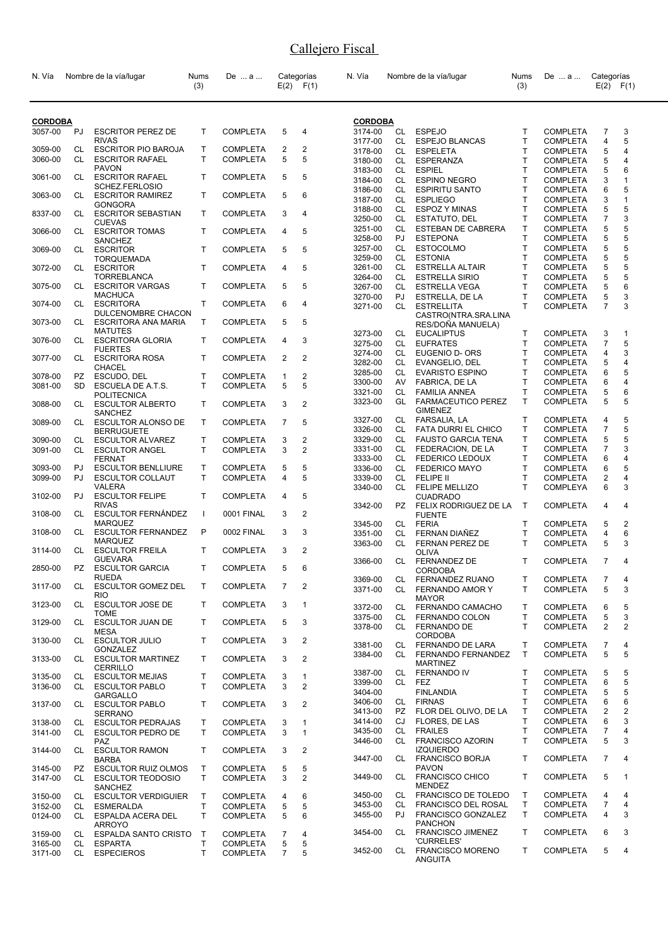| N. Vía         |           | Nombre de la vía/lugar                           | Nums<br>(3)  | De  a           |                | Categorías<br>$E(2)$ $F(1)$ | N. Vía             |           | Nombre de la vía/lugar                          | Nums<br>(3)  | De  a                              | Categorías          | $E(2)$ $F(1)$     |
|----------------|-----------|--------------------------------------------------|--------------|-----------------|----------------|-----------------------------|--------------------|-----------|-------------------------------------------------|--------------|------------------------------------|---------------------|-------------------|
| <b>CORDOBA</b> |           |                                                  |              |                 |                |                             | <b>CORDOBA</b>     |           |                                                 |              |                                    |                     |                   |
| 3057-00        | PJ        | <b>ESCRITOR PEREZ DE</b>                         | T            | <b>COMPLETA</b> | 5              | 4                           | 3174-00            | CL        | <b>ESPEJO</b>                                   | T            | <b>COMPLETA</b>                    | $\overline{7}$      | 3                 |
|                |           | <b>RIVAS</b>                                     |              |                 |                |                             | 3177-00            | CL        | <b>ESPEJO BLANCAS</b>                           | T            | <b>COMPLETA</b>                    | 4                   | 5                 |
| 3059-00        | CL        | <b>ESCRITOR PIO BAROJA</b>                       | т            | <b>COMPLETA</b> | 2              | 2                           | 3178-00            | CL.       | <b>ESPELETA</b>                                 | T            | <b>COMPLETA</b>                    | 5                   | 4                 |
| 3060-00        | CL.       | <b>ESCRITOR RAFAEL</b>                           | T.           | <b>COMPLETA</b> | 5              | 5                           | 3180-00            | CL.       | <b>ESPERANZA</b>                                | T            | <b>COMPLETA</b>                    | 5                   | 4                 |
| 3061-00        | CL        | <b>PAVON</b><br><b>ESCRITOR RAFAEL</b>           | T.           | <b>COMPLETA</b> | 5              | 5                           | 3183-00            | CL.       | <b>ESPIEL</b>                                   | T            | <b>COMPLETA</b>                    | 5                   | 6                 |
|                |           | SCHEZ.FERLOSIO                                   |              |                 |                |                             | 3184-00            | CL        | <b>ESPINO NEGRO</b>                             | T            | <b>COMPLETA</b>                    | 3                   | 1<br>5            |
| 3063-00        | CL        | <b>ESCRITOR RAMIREZ</b>                          | T            | <b>COMPLETA</b> | 5              | 6                           | 3186-00<br>3187-00 | CL<br>CL  | <b>ESPIRITU SANTO</b><br><b>ESPLIEGO</b>        | т<br>T       | <b>COMPLETA</b><br><b>COMPLETA</b> | 6<br>3              | $\mathbf{1}$      |
|                |           | GONGORA                                          |              |                 |                |                             | 3188-00            | CL        | <b>ESPOZ Y MINAS</b>                            | T            | <b>COMPLETA</b>                    | 5                   | 5                 |
| 8337-00        | CL        | <b>ESCRITOR SEBASTIAN</b><br><b>CUEVAS</b>       | T            | <b>COMPLETA</b> | 3              | 4                           | 3250-00            | CL        | ESTATUTO, DEL                                   | Т            | <b>COMPLETA</b>                    | $\overline{7}$      | 3                 |
| 3066-00        | CL        | <b>ESCRITOR TOMAS</b>                            | т            | <b>COMPLETA</b> | 4              | 5                           | 3251-00            | CL        | ESTEBAN DE CABRERA                              | Т            | <b>COMPLETA</b>                    | 5                   | 5                 |
|                |           | SANCHEZ                                          |              |                 |                |                             | 3258-00            | PJ        | <b>ESTEPONA</b>                                 | T            | <b>COMPLETA</b>                    | 5                   | 5                 |
| 3069-00        | CL        | <b>ESCRITOR</b>                                  | T.           | <b>COMPLETA</b> | 5              | 5                           | 3257-00            | CL.       | <b>ESTOCOLMO</b>                                | T            | <b>COMPLETA</b>                    | 5                   | 5                 |
|                |           | <b>TORQUEMADA</b>                                |              |                 |                |                             | 3259-00            | CL        | <b>ESTONIA</b>                                  | T            | <b>COMPLETA</b>                    | 5                   | 5<br>5            |
| 3072-00        | CL.       | <b>ESCRITOR</b><br><b>TORREBLANCA</b>            | T.           | <b>COMPLETA</b> | 4              | 5                           | 3261-00<br>3264-00 | CL<br>CL  | <b>ESTRELLA ALTAIR</b><br><b>ESTRELLA SIRIO</b> | т<br>T       | <b>COMPLETA</b><br><b>COMPLETA</b> | 5<br>5              | 5                 |
| 3075-00        | CL        | <b>ESCRITOR VARGAS</b>                           | т            | <b>COMPLETA</b> | 5              | 5                           | 3267-00            | CL.       | <b>ESTRELLA VEGA</b>                            | T            | <b>COMPLETA</b>                    | 5                   | 6                 |
|                |           | <b>MACHUCA</b>                                   |              |                 |                |                             | 3270-00            | PJ.       | ESTRELLA, DE LA                                 | T            | <b>COMPLETA</b>                    | 5                   | 3                 |
| 3074-00        | CL        | <b>ESCRITORA</b>                                 | т            | <b>COMPLETA</b> | 6              | 4                           | 3271-00            | CL        | <b>ESTRELLITA</b>                               | T            | <b>COMPLETA</b>                    | $\overline{7}$      | 3                 |
|                |           | DULCENOMBRE CHACON<br><b>ESCRITORA ANA MARIA</b> | T.           | <b>COMPLETA</b> | 5              | 5                           |                    |           | CASTRO(NTRA.SRA.LINA                            |              |                                    |                     |                   |
| 3073-00        | CL        | <b>MATUTES</b>                                   |              |                 |                |                             |                    |           | RES/DOÑA MANUELA)                               |              |                                    |                     |                   |
| 3076-00        | CL        | <b>ESCRITORA GLORIA</b>                          | T            | <b>COMPLETA</b> | 4              | 3                           | 3273-00<br>3275-00 | CL<br>CL. | <b>EUCALIPTUS</b><br><b>EUFRATES</b>            | т<br>T       | <b>COMPLETA</b><br><b>COMPLETA</b> | 3<br>$\overline{7}$ | $\mathbf{1}$<br>5 |
|                |           | <b>FUERTES</b>                                   |              |                 |                |                             | 3274-00            | CL.       | EUGENIO D- ORS                                  | T            | <b>COMPLETA</b>                    | 4                   | 3                 |
| 3077-00        | CL        | <b>ESCRITORA ROSA</b>                            | т            | <b>COMPLETA</b> | 2              | 2                           | 3282-00            | CL.       | EVANGELIO, DEL                                  | T            | <b>COMPLETA</b>                    | 5                   | 4                 |
| 3078-00        | <b>PZ</b> | <b>CHACEL</b><br>ESCUDO, DEL                     | T            | <b>COMPLETA</b> | 1              | $\overline{2}$              | 3285-00            | CL        | <b>EVARISTO ESPINO</b>                          | T            | <b>COMPLETA</b>                    | 6                   | 5                 |
| 3081-00        | <b>SD</b> | ESCUELA DE A.T.S.                                | T            | <b>COMPLETA</b> | 5              | 5                           | 3300-00            | AV        | FABRICA, DE LA                                  | т            | <b>COMPLETA</b>                    | 6                   | 4                 |
|                |           | POLITECNICA                                      |              |                 |                |                             | 3321-00            | CL        | <b>FAMILIA ANNEA</b>                            | T            | <b>COMPLETA</b>                    | 5                   | 6                 |
| 3088-00        | CL        | <b>ESCULTOR ALBERTO</b>                          | T            | <b>COMPLETA</b> | 3              | 2                           | 3323-00            | GL        | <b>FARMACEUTICO PEREZ</b>                       | T            | <b>COMPLETA</b>                    | 5                   | 5                 |
|                |           | <b>SANCHEZ</b>                                   |              |                 |                |                             | 3327-00            | CL        | <b>GIMENEZ</b><br>FARSALIA, LA                  | т            | <b>COMPLETA</b>                    | 4                   | 5                 |
| 3089-00        | CL        | <b>ESCULTOR ALONSO DE</b><br><b>BERRUGUETE</b>   | T            | <b>COMPLETA</b> | $\overline{7}$ | 5                           | 3326-00            | CL        | <b>FATA DURRI EL CHICO</b>                      | т            | <b>COMPLETA</b>                    | $\overline{7}$      | 5                 |
| 3090-00        | CL        | <b>ESCULTOR ALVAREZ</b>                          | T            | <b>COMPLETA</b> | 3              | 2                           | 3329-00            | CL        | <b>FAUSTO GARCIA TENA</b>                       | т            | <b>COMPLETA</b>                    | 5                   | 5                 |
| 3091-00        | CL        | <b>ESCULTOR ANGEL</b>                            | T.           | <b>COMPLETA</b> | 3              | $\overline{2}$              | 3331-00            | CL        | FEDERACION, DE LA                               | T            | <b>COMPLETA</b>                    | $\overline{7}$      | 3                 |
|                |           | <b>FERNAT</b>                                    |              |                 |                |                             | 3333-00            | CL.       | <b>FEDERICO LEDOUX</b>                          | T            | <b>COMPLETA</b>                    | 6                   | 4                 |
| 3093-00        | PJ        | <b>ESCULTOR BENLLIURE</b>                        | T.           | <b>COMPLETA</b> | 5              | 5                           | 3336-00            | CL.       | <b>FEDERICO MAYO</b>                            | T            | <b>COMPLETA</b>                    | 6                   | 5                 |
| 3099-00        | PJ        | <b>ESCULTOR COLLAUT</b>                          | T.           | <b>COMPLETA</b> | 4              | 5                           | 3339-00            | CL        | FELIPE II                                       | T            | <b>COMPLETA</b>                    | 2                   | 4                 |
| 3102-00        | PJ        | VALERA<br><b>ESCULTOR FELIPE</b>                 | T.           | <b>COMPLETA</b> | 4              | 5                           | 3340-00            | <b>CL</b> | <b>FELIPE MELLIZO</b><br><b>CUADRADO</b>        | T            | COMPLEYA                           | 6                   | 3                 |
|                |           | <b>RIVAS</b>                                     |              |                 |                |                             | 3342-00            | PZ.       | FELIX RODRIGUEZ DE LA                           | $\mathsf{T}$ | <b>COMPLETA</b>                    | 4                   | 4                 |
| 3108-00        | CL        | <b>ESCULTOR FERNÁNDEZ</b>                        | $\mathbf{I}$ | 0001 FINAL      | 3              | $\overline{2}$              |                    |           | <b>FUENTE</b>                                   |              |                                    |                     |                   |
|                |           | <b>MARQUEZ</b>                                   |              |                 |                |                             | 3345-00            | CL        | <b>FERIA</b>                                    | T            | <b>COMPLETA</b>                    | 5                   | 2                 |
| 3108-00        | CL        | <b>ESCULTOR FERNANDEZ</b>                        | P            | 0002 FINAL      | 3              | 3                           | 3351-00            | CL        | <b>FERNAN DIAÑEZ</b>                            | т            | <b>COMPLETA</b>                    | 4                   | 6                 |
| 3114-00        | CL        | <b>MARQUEZ</b><br><b>ESCULTOR FREILA</b>         | т            | COMPLETA        | 3              | $\overline{2}$              | 3363-00            | CL.       | <b>FERNAN PEREZ DE</b>                          | T            | <b>COMPLETA</b>                    | 5                   | 3                 |
|                |           | <b>GUEVARA</b>                                   |              |                 |                |                             | 3366-00            | CL        | <b>OLIVA</b><br>FERNANDEZ DE                    | T            | <b>COMPLETA</b>                    | $\overline{7}$      | 4                 |
| 2850-00        | PZ.       | <b>ESCULTOR GARCIA</b>                           | т            | <b>COMPLETA</b> | 5              | 6                           |                    |           | CORDOBA                                         |              |                                    |                     |                   |
|                |           | <b>RUEDA</b>                                     |              |                 |                |                             | 3369-00            | CL        | FERNANDEZ RUANO                                 | T            | <b>COMPLETA</b>                    | $\overline{7}$      | 4                 |
| 3117-00        | CL        | <b>ESCULTOR GOMEZ DEL</b><br><b>RIO</b>          | Τ            | <b>COMPLETA</b> | 7              | $\overline{2}$              | 3371-00            | CL        | FERNANDO AMOR Y                                 | T            | <b>COMPLETA</b>                    | 5                   | 3                 |
| 3123-00        | CL        | <b>ESCULTOR JOSE DE</b>                          | T.           | <b>COMPLETA</b> | 3              | 1                           |                    |           | <b>MAYOR</b>                                    |              |                                    |                     |                   |
|                |           | <b>TOME</b>                                      |              |                 |                |                             | 3372-00<br>3375-00 | CL<br>CL. | FERNANDO CAMACHO<br><b>FERNANDO COLON</b>       | Τ<br>T       | <b>COMPLETA</b><br><b>COMPLETA</b> | 6<br>5              | 5<br>3            |
| 3129-00        | CL        | <b>ESCULTOR JUAN DE</b>                          | T            | <b>COMPLETA</b> | 5              | 3                           | 3378-00            | CL.       | FERNANDO DE                                     | T            | <b>COMPLETA</b>                    | 2                   | 2                 |
|                |           | <b>MESA</b>                                      |              |                 |                |                             |                    |           | <b>CORDOBA</b>                                  |              |                                    |                     |                   |
| 3130-00        | CL        | <b>ESCULTOR JULIO</b><br><b>GONZALEZ</b>         | T            | <b>COMPLETA</b> | 3              | 2                           | 3381-00            | CL        | FERNANDO DE LARA                                | Τ            | <b>COMPLETA</b>                    | 7                   | 4                 |
| 3133-00        | CL        | <b>ESCULTOR MARTINEZ</b>                         | T            | <b>COMPLETA</b> | 3              | 2                           | 3384-00            | CL        | FERNANDO FERNANDEZ                              | Τ            | <b>COMPLETA</b>                    | 5                   | 5                 |
|                |           | <b>CERRILLO</b>                                  |              |                 |                |                             |                    |           | <b>MARTINEZ</b>                                 |              |                                    |                     |                   |
| 3135-00        | CL        | <b>ESCULTOR MEJIAS</b>                           | т            | <b>COMPLETA</b> | 3              | 1                           | 3387-00<br>3399-00 | CL<br>CL  | <b>FERNANDO IV</b><br>FEZ                       | Τ<br>Т       | <b>COMPLETA</b><br><b>COMPLETA</b> | 5<br>6              | 5<br>5            |
| 3136-00        | CL        | <b>ESCULTOR PABLO</b>                            | T.           | <b>COMPLETA</b> | 3              | $\overline{2}$              | 3404-00            |           | <b>FINLANDIA</b>                                | T            | <b>COMPLETA</b>                    | 5                   | 5                 |
|                |           | <b>GARGALLO</b><br><b>ESCULTOR PABLO</b>         | T.           |                 | 3              | 2                           | 3406-00            | CL        | <b>FIRNAS</b>                                   | T            | <b>COMPLETA</b>                    | 6                   | 6                 |
| 3137-00        | CL        | <b>SERRANO</b>                                   |              | <b>COMPLETA</b> |                |                             | 3413-00            | PZ        | FLOR DEL OLIVO, DE LA                           | т            | <b>COMPLETA</b>                    | 2                   | $\overline{2}$    |
| 3138-00        | CL        | <b>ESCULTOR PEDRAJAS</b>                         | T            | <b>COMPLETA</b> | 3              | 1                           | 3414-00            | CJ        | FLORES, DE LAS                                  | T            | <b>COMPLETA</b>                    | 6                   | 3                 |
| 3141-00        | CL.       | <b>ESCULTOR PEDRO DE</b>                         | T.           | COMPLETA        | 3              | $\mathbf{1}$                | 3435-00            | CL        | <b>FRAILES</b>                                  | T            | <b>COMPLETA</b>                    | $\overline{7}$      | 4                 |
|                |           | PAZ                                              |              |                 |                |                             | 3446-00            | CL        | <b>FRANCISCO AZORIN</b>                         | T            | <b>COMPLETA</b>                    | 5                   | 3                 |
| 3144-00        | CL        | <b>ESCULTOR RAMON</b>                            | T            | <b>COMPLETA</b> | 3              | 2                           | 3447-00            | CL        | <b>IZQUIERDO</b><br><b>FRANCISCO BORJA</b>      | T            | <b>COMPLETA</b>                    | $\overline{7}$      | 4                 |
| 3145-00        | PZ        | <b>BARBA</b><br><b>ESCULTOR RUIZ OLMOS</b>       | T            | <b>COMPLETA</b> | 5              | 5                           |                    |           | <b>PAVON</b>                                    |              |                                    |                     |                   |
| 3147-00        | CL        | <b>ESCULTOR TEODOSIO</b>                         | T.           | <b>COMPLETA</b> | 3              | 2                           | 3449-00            | CL.       | <b>FRANCISCO CHICO</b>                          | T            | <b>COMPLETA</b>                    | 5                   | 1                 |
|                |           | <b>SANCHEZ</b>                                   |              |                 |                |                             |                    |           | <b>MENDEZ</b>                                   |              |                                    |                     |                   |
| 3150-00        | CL        | <b>ESCULTOR VERDIGUIER</b>                       | т            | <b>COMPLETA</b> | 4              | 6                           | 3450-00            | CL        | FRANCISCO DE TOLEDO                             | Т            | <b>COMPLETA</b>                    | 4                   | 4                 |
| 3152-00        | CL        | <b>ESMERALDA</b>                                 | Т            | <b>COMPLETA</b> | 5              | 5                           | 3453-00            | CL        | <b>FRANCISCO DEL ROSAL</b>                      | T            | <b>COMPLETA</b>                    | $\overline{7}$      | 4                 |
| 0124-00        | CL.       | ESPALDA ACERA DEL                                | T.           | <b>COMPLETA</b> | 5              | 6                           | 3455-00            | PJ        | <b>FRANCISCO GONZALEZ</b><br><b>PANCHON</b>     | T.           | <b>COMPLETA</b>                    | 4                   | 3                 |
| 3159-00        |           | <b>ARROYO</b><br>CL ESPALDA SANTO CRISTO         | Т            | <b>COMPLETA</b> | 7              | 4                           | 3454-00            | CL        | <b>FRANCISCO JIMENEZ</b>                        | $\mathsf{T}$ | <b>COMPLETA</b>                    | 6                   | 3                 |
| 3165-00        | CL        | <b>ESPARTA</b>                                   | т            | <b>COMPLETA</b> | 5              | 5                           |                    |           | 'CURRELES'                                      |              |                                    |                     |                   |
| 3171-00        | CL        | <b>ESPECIEROS</b>                                | T.           | <b>COMPLETA</b> | $\overline{7}$ | 5                           | 3452-00            | CL.       | <b>FRANCISCO MORENO</b><br><b>ANGUITA</b>       | $\mathsf{T}$ | <b>COMPLETA</b>                    | 5                   | 4                 |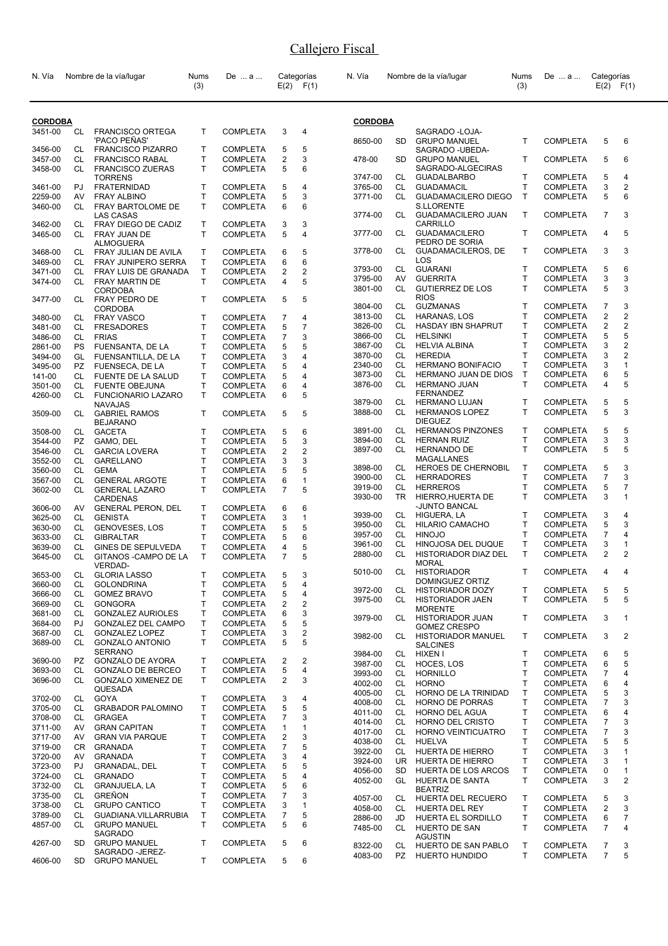| N. Vía             |                 | Nombre de la vía/lugar                            | Nums<br>(3)       | De  a                              |                         | Categorías<br>$E(2)$ $F(1)$ | N. Vía             |                 | Nombre de la vía/lugar                                              | Nums<br>(3)  | De  a                              | Categorías     | $E(2)$ $F(1)$                  |
|--------------------|-----------------|---------------------------------------------------|-------------------|------------------------------------|-------------------------|-----------------------------|--------------------|-----------------|---------------------------------------------------------------------|--------------|------------------------------------|----------------|--------------------------------|
| <b>CORDOBA</b>     |                 |                                                   |                   |                                    |                         |                             | <b>CORDOBA</b>     |                 |                                                                     |              |                                    |                |                                |
| 3451-00            | CL              | <b>FRANCISCO ORTEGA</b>                           | $\mathsf{T}$      | <b>COMPLETA</b>                    | 3                       | $\overline{4}$              |                    |                 | SAGRADO - LOJA-                                                     |              |                                    |                |                                |
| 3456-00            | CL              | 'PACO PEÑAS'<br><b>FRANCISCO PIZARRO</b>          | $\mathsf{T}$      | <b>COMPLETA</b>                    | 5                       | 5                           | 8650-00            | <b>SD</b>       | <b>GRUPO MANUEL</b><br>SAGRADO - UBEDA-                             | T.           | <b>COMPLETA</b>                    | 5              | 6                              |
| 3457-00            | CL              | <b>FRANCISCO RABAL</b>                            | T                 | <b>COMPLETA</b>                    | 2                       | 3                           | 478-00             | <b>SD</b>       | <b>GRUPO MANUEL</b>                                                 | T            | <b>COMPLETA</b>                    | 5              | 6                              |
| 3458-00            | CL              | <b>FRANCISCO ZUERAS</b>                           | T                 | <b>COMPLETA</b>                    | 5                       | 6                           |                    |                 | SAGRADO-ALGECIRAS                                                   |              |                                    |                |                                |
| 3461-00            | PJ              | <b>TORRENS</b><br><b>FRATERNIDAD</b>              | $\mathsf{T}$      | <b>COMPLETA</b>                    | 5                       | 4                           | 3747-00<br>3765-00 | CL<br>CL        | <b>GUADALBARBO</b><br><b>GUADAMACIL</b>                             | T<br>T       | <b>COMPLETA</b><br><b>COMPLETA</b> | 5<br>3         | 4<br>2                         |
| 2259-00            | AV              | <b>FRAY ALBINO</b>                                | $\mathsf{T}$      | <b>COMPLETA</b>                    | 5                       | 3                           | 3771-00            | CL              | <b>GUADAMACILERO DIEGO</b>                                          | $\mathsf{T}$ | <b>COMPLETA</b>                    | 5              | 6                              |
| 3460-00            | CL              | FRAY BARTOLOME DE<br><b>LAS CASAS</b>             | $\mathsf{T}$      | <b>COMPLETA</b>                    | 6                       | 6                           | 3774-00            | CL              | <b>S.LLORENTE</b><br><b>GUADAMACILERO JUAN</b>                      | T            | <b>COMPLETA</b>                    | $\overline{7}$ | 3                              |
| 3462-00<br>3465-00 | CL<br>CL        | FRAY DIEGO DE CADIZ<br>FRAY JUAN DE               | T<br>$\mathsf{T}$ | <b>COMPLETA</b><br><b>COMPLETA</b> | 3<br>5                  | 3<br>4                      | 3777-00            | CL.             | <b>CARRILLO</b><br><b>GUADAMACILERO</b>                             | T            | <b>COMPLETA</b>                    | 4              | 5                              |
| 3468-00            | CL              | <b>ALMOGUERA</b><br>FRAY JULIAN DE AVILA          | $\mathsf{T}$      | <b>COMPLETA</b>                    | 6                       | 5                           | 3778-00            | CL              | PEDRO DE SORIA<br><b>GUADAMACILEROS, DE</b>                         | T            | <b>COMPLETA</b>                    | 3              | 3                              |
| 3469-00            | CL              | <b>FRAY JUNIPERO SERRA</b>                        | T.                | <b>COMPLETA</b>                    | 6                       | 6                           |                    |                 | LOS                                                                 |              |                                    |                |                                |
| 3471-00            | CL              | FRAY LUIS DE GRANADA                              | Т                 | <b>COMPLETA</b>                    | 2                       | $\overline{2}$              | 3793-00            | CL              | <b>GUARANI</b>                                                      | т            | <b>COMPLETA</b>                    | 5              | 6                              |
| 3474-00            | CL.             | FRAY MARTIN DE                                    | $\mathsf{T}$      | <b>COMPLETA</b>                    | $\overline{4}$          | 5                           | 3795-00<br>3801-00 | AV<br><b>CL</b> | <b>GUERRITA</b><br><b>GUTIERREZ DE LOS</b>                          | Τ<br>т       | <b>COMPLETA</b><br><b>COMPLETA</b> | 3<br>5         | 3<br>3                         |
| 3477-00            | CL              | <b>CORDOBA</b><br>FRAY PEDRO DE<br><b>CORDOBA</b> | $\mathsf{T}$      | <b>COMPLETA</b>                    | 5                       | 5                           | 3804-00            | CL.             | <b>RIOS</b><br><b>GUZMANAS</b>                                      | т            | <b>COMPLETA</b>                    | 7              | 3                              |
| 3480-00            | CL              | <b>FRAY VASCO</b>                                 | $\mathsf{T}$      | <b>COMPLETA</b>                    | 7                       | 4                           | 3813-00            | CL.             | HARANAS, LOS                                                        | Τ            | <b>COMPLETA</b>                    | 2              | $\overline{2}$                 |
| 3481-00            | CL              | <b>FRESADORES</b>                                 | $\mathsf{T}$      | <b>COMPLETA</b>                    | 5                       | $\overline{7}$              | 3826-00            | CL              | HASDAY IBN SHAPRUT                                                  | Τ            | <b>COMPLETA</b>                    | 2              | $\overline{2}$                 |
| 3486-00            | CL              | <b>FRIAS</b>                                      | T                 | <b>COMPLETA</b>                    | $\overline{7}$          | 3                           | 3866-00            | CL              | <b>HELSINKI</b>                                                     | T            | <b>COMPLETA</b>                    | 5              | 5                              |
| 2861-00            | <b>PS</b>       | FUENSANTA, DE LA                                  | T                 | <b>COMPLETA</b>                    | 5                       | 5                           | 3867-00            | CL              | <b>HELVIA ALBINA</b>                                                | Τ            | <b>COMPLETA</b>                    | 3              | $\overline{c}$                 |
| 3494-00            | GL              | FUENSANTILLA, DE LA                               | T                 | <b>COMPLETA</b>                    | 3                       | 4                           | 3870-00<br>2340-00 | CL.<br>CL       | <b>HEREDIA</b><br><b>HERMANO BONIFACIO</b>                          | T<br>Τ       | <b>COMPLETA</b><br><b>COMPLETA</b> | 3<br>3         | $\overline{2}$<br>$\mathbf{1}$ |
| 3495-00<br>141-00  | PZ<br><b>CL</b> | FUENSECA, DE LA<br>FUENTE DE LA SALUD             | Т<br>$\mathsf{T}$ | <b>COMPLETA</b><br><b>COMPLETA</b> | 5<br>5                  | 4<br>4                      | 3873-00            | CL              | HERMANO JUAN DE DIOS                                                | Τ            | <b>COMPLETA</b>                    | 6              | 5                              |
| 3501-00            | CL              | <b>FUENTE OBEJUNA</b>                             | $\mathsf{T}$      | <b>COMPLETA</b>                    | 6                       | 4                           | 3876-00            | CL.             | <b>HERMANO JUAN</b>                                                 | T            | <b>COMPLETA</b>                    | 4              | 5                              |
| 4260-00            | CL              | <b>FUNCIONARIO LAZARO</b>                         | $\mathsf{T}$      | <b>COMPLETA</b>                    | 6                       | 5                           |                    |                 | FERNANDEZ                                                           |              |                                    |                |                                |
|                    |                 | <b>NAVAJAS</b>                                    |                   |                                    |                         |                             | 3879-00            | CL              | <b>HERMANO LUJAN</b>                                                | T            | <b>COMPLETA</b>                    | 5              | 5                              |
| 3509-00            | CL              | <b>GABRIEL RAMOS</b><br><b>BEJARANO</b>           | $\mathsf{T}$<br>T | <b>COMPLETA</b>                    | 5                       | 5<br>6                      | 3888-00<br>3891-00 | CL<br>CL        | <b>HERMANOS LOPEZ</b><br><b>DIEGUEZ</b><br><b>HERMANOS PINZONES</b> | T<br>т       | <b>COMPLETA</b><br><b>COMPLETA</b> | 5<br>5         | 3<br>5                         |
| 3508-00<br>3544-00 | CL<br>PZ.       | <b>GACETA</b><br>GAMO, DEL                        | T                 | <b>COMPLETA</b><br><b>COMPLETA</b> | 5<br>5                  | 3                           | 3894-00            | CL              | <b>HERNAN RUIZ</b>                                                  | T            | <b>COMPLETA</b>                    | 3              | 3                              |
| 3546-00            | CL              | <b>GARCIA LOVERA</b>                              | $\mathsf{T}$      | <b>COMPLETA</b>                    | 2                       | 2                           | 3897-00            | CL              | <b>HERNANDO DE</b>                                                  | T            | <b>COMPLETA</b>                    | 5              | 5                              |
| 3552-00            | CL              | <b>GARELLANO</b>                                  | Т                 | <b>COMPLETA</b>                    | 3                       | 3                           |                    |                 | MAGALLANES                                                          |              |                                    |                |                                |
| 3560-00            | <b>CL</b>       | <b>GEMA</b>                                       | $\mathsf{T}$      | <b>COMPLETA</b>                    | 5                       | 5                           | 3898-00            | CL.             | <b>HEROES DE CHERNOBIL</b>                                          | т            | <b>COMPLETA</b>                    | 5              | 3                              |
| 3567-00            | CL              | <b>GENERAL ARGOTE</b>                             | $\mathsf{T}$      | <b>COMPLETA</b>                    | 6                       | $\mathbf{1}$                | 3900-00<br>3919-00 | CL<br>CL        | <b>HERRADORES</b><br><b>HERREROS</b>                                | T<br>T       | <b>COMPLETA</b><br><b>COMPLETA</b> | 7<br>5         | 3<br>7                         |
| 3602-00            | CL              | <b>GENERAL LAZARO</b><br><b>CARDENAS</b>          | $\mathsf{T}$      | <b>COMPLETA</b>                    | $\overline{7}$          | 5                           | 3930-00            | <b>TR</b>       | HIERRO, HUERTA DE<br>-JUNTO BANCAL                                  | T            | <b>COMPLETA</b>                    | 3              | 1                              |
| 3606-00<br>3625-00 | AV.<br>CL       | <b>GENERAL PERON, DEL</b><br><b>GENISTA</b>       | Т<br>$\mathsf{T}$ | <b>COMPLETA</b><br>COMPLETA        | 6<br>3                  | 6<br>$\mathbf{1}$           | 3939-00            | CL              | HIGUERA, LA                                                         | т            | <b>COMPLETA</b>                    | 3              | 4                              |
| 3630-00            | CL              | <b>GENOVESES, LOS</b>                             | $\mathsf{T}$      | <b>COMPLETA</b>                    | 5                       | 5                           | 3950-00            | CL              | HILARIO CAMACHO                                                     | Τ            | <b>COMPLETA</b>                    | 5              | 3                              |
| 3633-00            | <b>CL</b>       | <b>GIBRALTAR</b>                                  | $\mathsf{T}$      | <b>COMPLETA</b>                    | 5                       | 6                           | 3957-00            | CL              | <b>HINOJO</b>                                                       | T            | <b>COMPLETA</b>                    | $\overline{7}$ | 4                              |
| 3639-00            | CL              | GINES DE SEPULVEDA                                | $\mathsf{T}$      | <b>COMPLETA</b>                    | 4                       | 5                           | 3961-00            | CL              | HINOJOSA DEL DUQUE                                                  | T            | <b>COMPLETA</b>                    | 3              | $\mathbf{1}$                   |
| 3645-00            | CL              | GITANOS - CAMPO DE LA<br><b>VERDAD-</b>           | T                 | <b>COMPLETA</b>                    | $\overline{7}$          | 5                           | 2880-00<br>5010-00 | CL<br>CL        | HISTORIADOR DIAZ DEL<br><b>MORAL</b><br><b>HISTORIADOR</b>          | T<br>T.      | <b>COMPLETA</b><br>COMPLETA 4      | $\overline{2}$ | $\overline{2}$<br>$\mathbf{A}$ |
| 3653-00<br>3660-00 | CL<br>CL        | <b>GLORIA LASSO</b><br><b>GOLONDRINA</b>          | Т<br>$\mathsf{T}$ | <b>COMPLETA</b><br><b>COMPLETA</b> | 5<br>5                  | 3<br>4                      |                    |                 | DOMINGUEZ ORTIZ                                                     |              |                                    |                |                                |
| 3666-00            | CL              | <b>GOMEZ BRAVO</b>                                | $\mathsf{T}$      | <b>COMPLETA</b>                    | 5                       | 4                           | 3972-00            | CL              | <b>HISTORIADOR DOZY</b>                                             | т            | <b>COMPLETA</b>                    | 5              | 5                              |
| 3669-00            | CL              | <b>GONGORA</b>                                    | Т                 | <b>COMPLETA</b>                    | 2                       | $\sqrt{2}$                  | 3975-00            | CL.             | <b>HISTORIADOR JAEN</b>                                             | T            | <b>COMPLETA</b>                    | 5              | 5                              |
| 3681-00            | CL              | <b>GONZALEZ AURIOLES</b>                          | т                 | <b>COMPLETA</b>                    | 6                       | 3                           | 3979-00            | CL              | <b>MORENTE</b><br>HISTORIADOR JUAN                                  | T            | <b>COMPLETA</b>                    | 3              | 1                              |
| 3684-00            | PJ              | <b>GONZALEZ DEL CAMPO</b>                         | Т                 | <b>COMPLETA</b>                    | 5                       | 5                           |                    |                 | <b>GOMEZ CRESPO</b>                                                 |              |                                    |                |                                |
| 3687-00<br>3689-00 | CL<br>CL        | <b>GONZALEZ LOPEZ</b><br><b>GONZALO ANTONIO</b>   | T<br>$\mathsf{T}$ | <b>COMPLETA</b><br><b>COMPLETA</b> | 3<br>5                  | 2<br>5                      | 3982-00            | CL.             | <b>HISTORIADOR MANUEL</b>                                           | T.           | <b>COMPLETA</b>                    | 3              | 2                              |
|                    |                 | <b>SERRANO</b>                                    |                   |                                    |                         |                             | 3984-00            | CL              | <b>SALCINES</b><br>HIXEN I                                          | т            | <b>COMPLETA</b>                    | 6              | 5                              |
| 3690-00            | PZ              | <b>GONZALO DE AYORA</b>                           | $\mathsf{T}$      | <b>COMPLETA</b>                    | $\overline{\mathbf{c}}$ | $\sqrt{2}$                  | 3987-00            | CL              | HOCES, LOS                                                          | Τ            | <b>COMPLETA</b>                    | 6              | 5                              |
| 3693-00            | CL              | <b>GONZALO DE BERCEO</b>                          | T                 | <b>COMPLETA</b>                    | 5                       | 4                           | 3993-00            | CL              | <b>HORNILLO</b>                                                     | Τ            | <b>COMPLETA</b>                    | 7              | 4                              |
| 3696-00            | CL              | <b>GONZALO XIMENEZ DE</b><br>QUESADA              | T.                | <b>COMPLETA</b>                    | 2                       | 3                           | 4002-00            | CL              | <b>HORNO</b>                                                        | Τ            | <b>COMPLETA</b>                    | 6              | 4                              |
| 3702-00            | CL              | GOYA                                              | Т                 | <b>COMPLETA</b>                    | 3                       | 4                           | 4005-00            | CL              | HORNO DE LA TRINIDAD                                                | T            | <b>COMPLETA</b>                    | 5              | 3                              |
| 3705-00            | CL              | <b>GRABADOR PALOMINO</b>                          | Т                 | <b>COMPLETA</b>                    | 5                       | 5                           | 4008-00            | CL<br>CL.       | HORNO DE PORRAS<br>HORNO DEL AGUA                                   | Τ<br>T       | <b>COMPLETA</b><br><b>COMPLETA</b> | 7              | 3                              |
| 3708-00            | CL              | <b>GRAGEA</b>                                     | T                 | <b>COMPLETA</b>                    | 7                       | 3                           | 4011-00<br>4014-00 | CL              | HORNO DEL CRISTO                                                    | Τ            | <b>COMPLETA</b>                    | 6<br>7         | 4<br>3                         |
| 3711-00            | AV              | <b>GRAN CAPITAN</b>                               | $\mathsf T$       | <b>COMPLETA</b>                    | 1                       | $\mathbf{1}$                | 4017-00            | CL              | HORNO VEINTICUATRO                                                  | Τ            | <b>COMPLETA</b>                    | 7              | 3                              |
| 3717-00            | AV              | <b>GRAN VIA PARQUE</b>                            | Т                 | <b>COMPLETA</b>                    | 2                       | 3                           | 4038-00            | CL              | <b>HUELVA</b>                                                       | T            | <b>COMPLETA</b>                    | 5              | 5                              |
| 3719-00<br>3720-00 | CR<br>AV        | <b>GRANADA</b><br><b>GRANADA</b>                  | Т<br>Т            | <b>COMPLETA</b><br><b>COMPLETA</b> | $\overline{7}$<br>3     | 5<br>4                      | 3922-00            | CL              | HUERTA DE HIERRO                                                    | Τ            | <b>COMPLETA</b>                    | 3              | 1                              |
| 3723-00            | PJ              | GRANADAL, DEL                                     | $\mathsf{T}$      | <b>COMPLETA</b>                    | 5                       | 5                           | 3924-00            | UR.             | HUERTA DE HIERRO                                                    | Τ            | <b>COMPLETA</b>                    | 3              | 1                              |
| 3724-00            | CL              | <b>GRANADO</b>                                    | $\mathsf{T}$      | <b>COMPLETA</b>                    | 5                       | 4                           | 4056-00            | <b>SD</b><br>GL | HUERTA DE LOS ARCOS                                                 | т<br>T       | <b>COMPLETA</b>                    | 0<br>3         | 1<br>$\overline{2}$            |
| 3732-00            | CL              | GRANJUELA, LA                                     | $\mathsf{T}$      | <b>COMPLETA</b>                    | 5                       | 6                           | 4052-00            |                 | HUERTA DE SANTA<br><b>BEATRIZ</b>                                   |              | <b>COMPLETA</b>                    |                |                                |
| 3735-00            | CL              | <b>GREÑON</b>                                     | $\mathsf{T}$      | <b>COMPLETA</b>                    | 7                       | 3                           | 4057-00            | CL              | HUERTA DEL RECUERO                                                  | т            | <b>COMPLETA</b>                    | 5              | 3                              |
| 3738-00            | CL              | <b>GRUPO CANTICO</b>                              | T                 | <b>COMPLETA</b>                    | 3                       | 1                           | 4058-00            | CL.             | HUERTA DEL REY                                                      | Τ            | <b>COMPLETA</b>                    | 2              | 3                              |
| 3789-00<br>4857-00 | CL<br>CL        | GUADIANA.VILLARRUBIA<br><b>GRUPO MANUEL</b>       | Т<br>$\mathsf{T}$ | <b>COMPLETA</b><br><b>COMPLETA</b> | 7<br>5                  | 5<br>6                      | 2886-00            | JD              | HUERTA EL SORDILLO                                                  | Τ            | <b>COMPLETA</b>                    | 6              | 7                              |
| 4267-00            | SD              | <b>SAGRADO</b><br><b>GRUPO MANUEL</b>             | $\mathsf{T}$      | <b>COMPLETA</b>                    | 5                       | 6                           | 7485-00            | CL              | HUERTO DE SAN<br><b>AGUSTIN</b>                                     | T            | <b>COMPLETA</b>                    | $\overline{7}$ | 4                              |
| 4606-00            | SD              | SAGRADO - JEREZ-<br><b>GRUPO MANUEL</b>           | T.                | <b>COMPLETA</b>                    | 5                       | 6                           | 8322-00<br>4083-00 | CL<br>PZ        | HUERTO DE SAN PABLO<br>HUERTO HUNDIDO                               | т<br>Τ       | <b>COMPLETA</b><br><b>COMPLETA</b> | 7<br>7         | 3<br>5                         |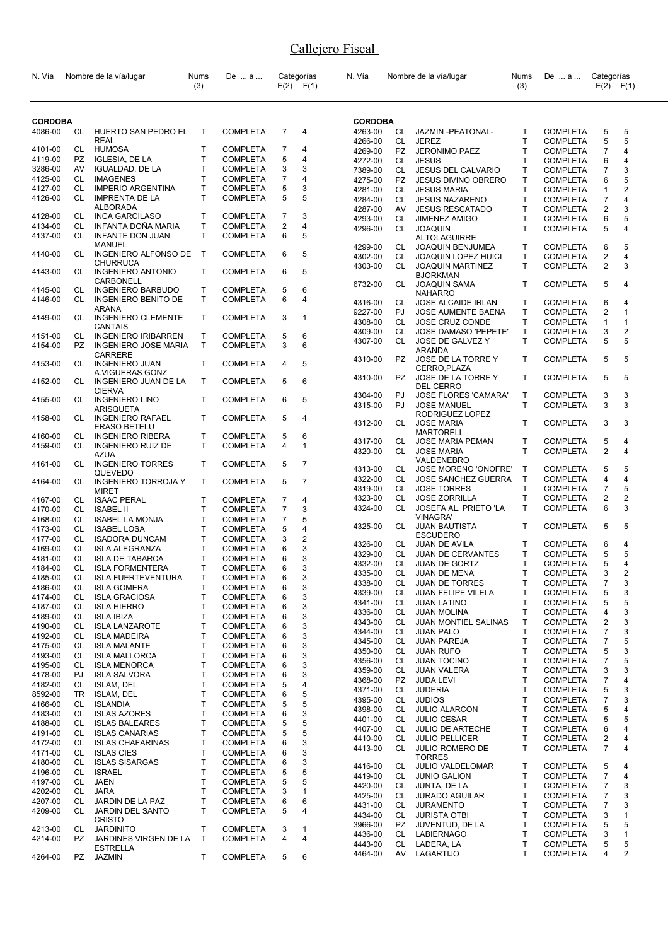| N. Vía             |                 | Nombre de la vía/lugar                      | Nums<br>(3)  | De  a                              |                | Categorías<br>$E(2)$ $F(1)$ | N. Vía             |                 | Nombre de la vía/lugar                                | Nums<br>(3) | De  a                              | Categorías                | $E(2)$ $F(1)$  |
|--------------------|-----------------|---------------------------------------------|--------------|------------------------------------|----------------|-----------------------------|--------------------|-----------------|-------------------------------------------------------|-------------|------------------------------------|---------------------------|----------------|
| <b>CORDOBA</b>     |                 |                                             |              |                                    |                |                             | <b>CORDOBA</b>     |                 |                                                       |             |                                    |                           |                |
| 4086-00            | CL              | HUERTO SAN PEDRO EL                         | T            | <b>COMPLETA</b>                    | $\overline{7}$ | 4                           | 4263-00            | CL              | JAZMIN - PEATONAL-                                    | т           | <b>COMPLETA</b>                    | 5                         | 5              |
|                    |                 | <b>REAL</b>                                 |              |                                    |                |                             | 4266-00            | CL              | <b>JEREZ</b>                                          | T           | <b>COMPLETA</b>                    | 5                         | 5              |
| 4101-00            | CL              | HUMOSA                                      | T            | <b>COMPLETA</b>                    | 7              | 4                           | 4269-00            | PZ              | <b>JERONIMO PAEZ</b>                                  | T           | <b>COMPLETA</b>                    | 7                         | 4              |
| 4119-00            | PZ.             | <b>IGLESIA, DE LA</b>                       | $\mathsf{T}$ | <b>COMPLETA</b>                    | 5              | 4                           | 4272-00            | CL              | <b>JESUS</b>                                          | Т           | <b>COMPLETA</b>                    | 6                         | 4              |
| 3286-00            | AV              | <b>IGUALDAD, DE LA</b>                      | $\mathsf{T}$ | COMPLETA                           | 3              | 3                           | 7389-00            | <b>CL</b>       | <b>JESUS DEL CALVARIO</b>                             | T.          | <b>COMPLETA</b>                    | 7                         | 3              |
| 4125-00            | CL              | <b>IMAGENES</b>                             | $\mathsf{T}$ | <b>COMPLETA</b>                    | $\overline{7}$ | 4                           | 4275-00            | <b>PZ</b>       | <b>JESUS DIVINO OBRERO</b>                            | T           | <b>COMPLETA</b>                    | 6                         | 5              |
| 4127-00            | <b>CL</b>       | <b>IMPERIO ARGENTINA</b>                    | $\mathsf{T}$ | <b>COMPLETA</b>                    | 5              | 3                           | 4281-00            | CL              | <b>JESUS MARIA</b>                                    | T           | <b>COMPLETA</b>                    | 1                         | 2              |
| 4126-00            | CL              | <b>IMPRENTA DE LA</b>                       | T.           | <b>COMPLETA</b>                    | 5              | 5                           | 4284-00            | CL              | <b>JESUS NAZARENO</b>                                 | T           | <b>COMPLETA</b>                    | $\overline{7}$            | 4              |
|                    |                 | <b>ALBORADA</b>                             | T            |                                    |                | 3                           | 4287-00            | AV              | <b>JESUS RESCATADO</b>                                | Т           | <b>COMPLETA</b>                    | 2                         | 3              |
| 4128-00<br>4134-00 | CL<br><b>CL</b> | <b>INCA GARCILASO</b><br>INFANTA DOÑA MARIA | $\mathsf{T}$ | <b>COMPLETA</b><br><b>COMPLETA</b> | 7<br>2         | 4                           | 4293-00            | CL              | <b>JIMENEZ AMIGO</b>                                  | T           | <b>COMPLETA</b>                    | 6                         | 5              |
| 4137-00            | CL              | <b>INFANTE DON JUAN</b>                     | $\mathsf{T}$ | <b>COMPLETA</b>                    | 6              | 5                           | 4296-00            | CL              | <b>JOAQUIN</b>                                        | T           | <b>COMPLETA</b>                    | 5                         | 4              |
|                    |                 | <b>MANUEL</b>                               |              |                                    |                |                             |                    |                 | <b>ALTOLAGUIRRE</b>                                   | Τ           |                                    | 6                         | 5              |
| 4140-00            | CL              | <b>INGENIERO ALFONSO DE</b>                 | $\mathsf{T}$ | <b>COMPLETA</b>                    | 6              | 5                           | 4299-00<br>4302-00 | CL<br>CL        | <b>JOAQUIN BENJUMEA</b><br><b>JOAQUIN LOPEZ HUICI</b> | T           | <b>COMPLETA</b><br><b>COMPLETA</b> | 2                         | 4              |
|                    |                 | <b>CHURRUCA</b>                             |              |                                    |                |                             | 4303-00            | CL              | <b>JOAQUIN MARTINEZ</b>                               | T           | <b>COMPLETA</b>                    | $\overline{2}$            | 3              |
| 4143-00            | CL              | <b>INGENIERO ANTONIO</b>                    | T            | <b>COMPLETA</b>                    | 6              | 5                           |                    |                 | <b>BJORKMAN</b>                                       |             |                                    |                           |                |
|                    |                 | CARBONELL                                   |              |                                    |                |                             | 6732-00            | CL              | <b>JOAQUIN SAMA</b>                                   | T           | <b>COMPLETA</b>                    | 5                         | 4              |
| 4145-00            | CL              | <b>INGENIERO BARBUDO</b>                    | T            | <b>COMPLETA</b>                    | 5              | 6                           |                    |                 | <b>NAHARRO</b>                                        |             |                                    |                           |                |
| 4146-00            | CL              | <b>INGENIERO BENITO DE</b>                  | T            | <b>COMPLETA</b>                    | 6              | 4                           | 4316-00            | CL              | <b>JOSE ALCAIDE IRLAN</b>                             | т           | <b>COMPLETA</b>                    | 6                         | 4              |
|                    |                 | <b>ARANA</b>                                |              | <b>COMPLETA</b>                    |                | 1                           | 9227-00            | PJ              | JOSE AUMENTE BAENA                                    | T.          | <b>COMPLETA</b>                    | 2                         | $\mathbf{1}$   |
| 4149-00            | CL              | <b>INGENIERO CLEMENTE</b><br><b>CANTAIS</b> | T            |                                    | 3              |                             | 4308-00            | <b>CL</b>       | <b>JOSE CRUZ CONDE</b>                                | Т           | <b>COMPLETA</b>                    | 1                         | $\mathbf{1}$   |
| 4151-00            | CL              | <b>INGENIERO IRIBARREN</b>                  | T            | <b>COMPLETA</b>                    | 5              | 6                           | 4309-00            | CL              | JOSE DAMASO 'PEPETE'                                  | т           | <b>COMPLETA</b>                    | 3                         | 2              |
| 4154-00            | PZ              | <b>INGENIERO JOSE MARIA</b>                 | T            | <b>COMPLETA</b>                    | 3              | 6                           | 4307-00            | CL              | JOSE DE GALVEZ Y                                      | T           | <b>COMPLETA</b>                    | 5                         | 5              |
|                    |                 | <b>CARRERE</b>                              |              |                                    |                |                             |                    |                 | <b>ARANDA</b>                                         |             |                                    |                           |                |
| 4153-00            | CL              | <b>INGENIERO JUAN</b>                       | T            | <b>COMPLETA</b>                    | $\overline{4}$ | 5                           | 4310-00            | PZ.             | JOSE DE LA TORRE Y<br>CERRO, PLAZA                    | T           | <b>COMPLETA</b>                    | 5                         | 5              |
|                    |                 | A.VIGUERAS GONZ                             |              |                                    |                |                             | 4310-00            | PZ              | JOSE DE LA TORRE Y                                    | T           | <b>COMPLETA</b>                    | 5                         | 5              |
| 4152-00            | CL              | INGENIERO JUAN DE LA                        | T            | <b>COMPLETA</b>                    | 5              | 6                           |                    |                 | DEL CERRO                                             |             |                                    |                           |                |
|                    |                 | <b>CIERVA</b>                               |              |                                    |                |                             | 4304-00            | PJ              | <b>JOSE FLORES 'CAMARA'</b>                           | Τ           | <b>COMPLETA</b>                    | 3                         | 3              |
| 4155-00            | CL              | <b>INGENIERO LINO</b><br><b>ARISQUETA</b>   | T.           | <b>COMPLETA</b>                    | 6              | 5                           | 4315-00            | PJ              | <b>JOSE MANUEL</b>                                    | T           | <b>COMPLETA</b>                    | 3                         | 3              |
| 4158-00            | CL              | <b>INGENIERO RAFAEL</b>                     | T            | <b>COMPLETA</b>                    | 5              | 4                           |                    |                 | RODRIGUEZ LOPEZ                                       |             |                                    |                           |                |
|                    |                 | <b>ERASO BETELU</b>                         |              |                                    |                |                             | 4312-00            | CL              | <b>JOSE MARIA</b>                                     | T           | <b>COMPLETA</b>                    | 3                         | 3              |
| 4160-00            | CL              | <b>INGENIERO RIBERA</b>                     | T            | <b>COMPLETA</b>                    | 5              | 6                           |                    |                 | <b>MARTORELL</b>                                      |             |                                    |                           |                |
| 4159-00            | CL              | <b>INGENIERO RUIZ DE</b>                    | T.           | <b>COMPLETA</b>                    | 4              | $\mathbf{1}$                | 4317-00            | CL              | <b>JOSE MARIA PEMAN</b>                               | T           | <b>COMPLETA</b>                    | 5                         | 4              |
|                    |                 | <b>AZUA</b>                                 |              |                                    |                |                             | 4320-00            | CL              | <b>JOSE MARIA</b><br>VALDENEBRO                       | T           | <b>COMPLETA</b>                    | $\overline{2}$            | 4              |
| 4161-00            | CL              | <b>INGENIERO TORRES</b>                     | T            | <b>COMPLETA</b>                    | 5              | 7                           | 4313-00            | CL              | JOSE MORENO 'ONOFRE'                                  | $\mathsf T$ | <b>COMPLETA</b>                    | 5                         | 5              |
|                    |                 | QUEVEDO                                     |              |                                    |                |                             | 4322-00            | CL              | <b>JOSE SANCHEZ GUERRA</b>                            | T           | <b>COMPLETA</b>                    | 4                         | 4              |
| 4164-00            | CL              | <b>INGENIERO TORROJA Y</b>                  | T            | <b>COMPLETA</b>                    | 5              | $\overline{7}$              | 4319-00            | CL              | <b>JOSE TORRES</b>                                    | T           | <b>COMPLETA</b>                    | $\overline{7}$            | 5              |
| 4167-00            | CL              | <b>MIRET</b><br><b>ISAAC PERAL</b>          | Т            | <b>COMPLETA</b>                    | 7              | 4                           | 4323-00            | CL              | <b>JOSE ZORRILLA</b>                                  | T           | <b>COMPLETA</b>                    | 2                         | $\overline{2}$ |
| 4170-00            | CL              | <b>ISABEL II</b>                            | $\mathsf{T}$ | COMPLETA                           | 7              | 3                           | 4324-00            | CL              | JOSEFA AL, PRIETO 'LA                                 | T           | <b>COMPLETA</b>                    | 6                         | 3              |
| 4168-00            | CL              | <b>ISABEL LA MONJA</b>                      | $\mathsf{T}$ | COMPLETA                           | 7              | 5                           |                    |                 | <b>VINAGRA'</b>                                       |             |                                    |                           |                |
| 4173-00            | СL              | <b>ISABEL LOSA</b>                          | $\mathsf{T}$ | <b>COMPLETA</b>                    | 5              | 4                           | 4325-00            | CL.             | <b>JUAN BAUTISTA</b>                                  | т           | <b>COMPLETA</b>                    | 5                         | 5              |
| 4177-00            | <b>CL</b>       | <b>ISADORA DUNCAM</b>                       | $\mathsf{T}$ | <b>COMPLETA</b>                    | 3              | 2                           |                    |                 | ESCUDERO                                              |             |                                    |                           |                |
| 4169-00            | СL              | <b>ISLA ALEGRANZA</b>                       | $\mathsf{T}$ | <b>COMPLETA</b>                    | 6              | 3                           | 4326-00            | CL              | JUAN DE AVILA                                         | T           | <b>COMPLETA</b>                    | 6                         | 4              |
| 4181-00            | СL              | <b>ISLA DE TABARCA</b>                      | $\mathsf{T}$ | COMPLETA                           | 6              | 3                           | 4329-00            | CL              | <b>JUAN DE CERVANTES</b>                              | T           | <b>COMPLETA</b>                    | 5                         | 5              |
| 4184-00            | СL              | <b>ISLA FORMENTERA</b>                      | Т            | COMPLETA                           | 6              | 3                           | 4332-00            | CL              | <b>JUAN DE GORTZ</b>                                  | T           | <b>COMPLETA</b>                    | 5                         | 4              |
| 4185-00            | CL              | <b>ISLA FUERTEVENTURA</b>                   | Т            | <b>COMPLETA</b>                    | 6              | 3                           | 4335-00            | CL              | <b>JUAN DE MENA</b>                                   | Τ           | <b>COMPLETA</b>                    | 3                         | 2              |
| 4186-00            | CL              | <b>ISLA GOMERA</b>                          | Τ            | <b>COMPLETA</b>                    | 6              | 3                           | 4338-00            | CL              | <b>JUAN DE TORRES</b>                                 | T           | <b>COMPLETA</b>                    | $\overline{\mathfrak{c}}$ | 3              |
| 4174-00            | CL              | <b>ISLA GRACIOSA</b>                        | Τ            | <b>COMPLETA</b>                    | 6              | 3                           | 4339-00            | CL              | <b>JUAN FELIPE VILELA</b>                             | Т           | <b>COMPLETA</b>                    | 5                         | 3              |
| 4187-00            | CL              | <b>ISLA HIERRO</b>                          | Т            | COMPLETA                           | 6              | 3                           | 4341-00            | CL              | <b>JUAN LATINO</b>                                    | Т           | <b>COMPLETA</b>                    | 5                         | 5              |
| 4189-00            | CL              | <b>ISLA IBIZA</b>                           | $\mathsf{T}$ | <b>COMPLETA</b>                    | 6              | 3                           | 4336-00            | CL              | <b>JUAN MOLINA</b>                                    | Т           | <b>COMPLETA</b>                    | 4                         | 3              |
| 4190-00            | CL              | <b>ISLA LANZAROTE</b>                       | Т            | <b>COMPLETA</b>                    | 6              | 3                           | 4343-00            | CL              | JUAN MONTIEL SALINAS                                  | Τ           | <b>COMPLETA</b>                    | 2                         | 3              |
| 4192-00            | CL              | <b>ISLA MADEIRA</b>                         | Т            | <b>COMPLETA</b>                    | 6              | 3                           | 4344-00            | CL              | <b>JUAN PALO</b>                                      | Т           | <b>COMPLETA</b>                    | 7                         | 3              |
| 4175-00            | CL              | <b>ISLA MALANTE</b>                         | $\mathsf{T}$ | COMPLETA                           | 6              | 3                           | 4345-00            | CL              | <b>JUAN PAREJA</b>                                    | Т           | <b>COMPLETA</b>                    | 7                         | 5              |
| 4193-00            | CL              | <b>ISLA MALLORCA</b>                        | Т            | <b>COMPLETA</b>                    | 6              | 3                           | 4350-00            | CL              | <b>JUAN RUFO</b>                                      | T           | <b>COMPLETA</b>                    | 5                         | 3              |
| 4195-00            | CL              | <b>ISLA MENORCA</b>                         | Τ            | <b>COMPLETA</b>                    | 6              | 3                           | 4356-00            | CL              | <b>JUAN TOCINO</b>                                    | T           | <b>COMPLETA</b>                    | 7                         | 5              |
| 4178-00            | PJ              | <b>ISLA SALVORA</b>                         | Τ            | <b>COMPLETA</b>                    | 6              | 3                           | 4359-00            | CL              | <b>JUAN VALERA</b>                                    | Т           | <b>COMPLETA</b>                    | 3                         | 3              |
| 4182-00            | CL              | <b>ISLAM, DEL</b>                           | Т            | COMPLETA                           | 5              | 4                           | 4368-00            | PZ              | <b>JUDA LEVI</b>                                      | Т           | <b>COMPLETA</b>                    | 7                         | 4              |
| 8592-00            | TR              | <b>ISLAM, DEL</b>                           | Т            | <b>COMPLETA</b>                    | 6              | 5                           | 4371-00            | CL              | <b>JUDERIA</b>                                        | Т           | <b>COMPLETA</b>                    | 5                         | 3              |
| 4166-00            | CL              | <b>ISLANDIA</b>                             | $\mathsf{T}$ | <b>COMPLETA</b>                    | 5              | 5                           | 4395-00            | CL              | <b>JUDIOS</b>                                         | Т<br>Τ      | <b>COMPLETA</b>                    | $\overline{7}$            | 3<br>4         |
| 4183-00            | СL              | <b>ISLAS AZORES</b>                         | Т            | <b>COMPLETA</b>                    | 6              | 3                           | 4398-00            | CL<br><b>CL</b> | <b>JULIO ALARCON</b>                                  |             | <b>COMPLETA</b>                    | 5                         |                |
| 4188-00            | CL              | <b>ISLAS BALEARES</b>                       | Т            | <b>COMPLETA</b>                    | 5              | 5                           | 4401-00<br>4407-00 | CL              | <b>JULIO CESAR</b>                                    | Т<br>Т      | <b>COMPLETA</b>                    | 5                         | 5<br>4         |
| 4191-00            | CL              | <b>ISLAS CANARIAS</b>                       | $\mathsf{T}$ | COMPLETA                           | 5              | 5                           |                    |                 | <b>JULIO DE ARTECHE</b>                               |             | <b>COMPLETA</b>                    | 6                         |                |
| 4172-00            | CL              | <b>ISLAS CHAFARINAS</b>                     | Т            | <b>COMPLETA</b>                    | 6              | 3                           | 4410-00            | CL<br>CL        | <b>JULIO PELLICER</b><br><b>JULIO ROMERO DE</b>       | Т<br>Т      | <b>COMPLETA</b>                    | 2<br>7                    | 4<br>4         |
| 4171-00            | CL              | <b>ISLAS CIES</b>                           | $\mathsf{T}$ | <b>COMPLETA</b>                    | 6              | 3                           | 4413-00            |                 | <b>TORRES</b>                                         |             | <b>COMPLETA</b>                    |                           |                |
| 4180-00            | CL              | <b>ISLAS SISARGAS</b>                       | Т            | <b>COMPLETA</b>                    | 6              | 3                           | 4416-00            | CL              | JULIO VALDELOMAR                                      | Т           | <b>COMPLETA</b>                    | 5                         | 4              |
| 4196-00            | CL              | <b>ISRAEL</b>                               | $\mathsf{T}$ | COMPLETA                           | 5              | 5                           | 4419-00            | CL              | <b>JUNIO GALION</b>                                   | Т           | <b>COMPLETA</b>                    | 7                         | 4              |
| 4197-00            | CL              | <b>JAEN</b>                                 | $\mathsf{T}$ | <b>COMPLETA</b>                    | 5              | 5                           | 4420-00            | CL              | JUNTA, DE LA                                          | T           | <b>COMPLETA</b>                    | 7                         | 3              |
| 4202-00            | CL              | <b>JARA</b>                                 | $\mathsf{T}$ | <b>COMPLETA</b>                    | 3              | 1                           | 4425-00            | CL              | <b>JURADO AGUILAR</b>                                 | Т           | <b>COMPLETA</b>                    | 7                         | 3              |
| 4207-00            | CL              | JARDIN DE LA PAZ                            | Т            | COMPLETA                           | 6              | 6                           | 4431-00            | <b>CL</b>       | <b>JURAMENTO</b>                                      | T           | <b>COMPLETA</b>                    | $\overline{7}$            | 3              |
| 4209-00            | CL              | JARDIN DEL SANTO                            | T            | <b>COMPLETA</b>                    | 5              | 4                           | 4434-00            | CL              | <b>JURISTA OTBI</b>                                   | Т           | <b>COMPLETA</b>                    | 3                         | 1              |
|                    |                 | <b>CRISTO</b>                               |              |                                    |                |                             | 3966-00            | PZ              | JUVENTUD, DE LA                                       | Т           | <b>COMPLETA</b>                    | 5                         | 5              |
| 4213-00            | CL              | <b>JARDINITO</b>                            | Т            | <b>COMPLETA</b>                    | 3              | 1                           | 4436-00            | CL              | <b>LABIERNAGO</b>                                     | Т           | <b>COMPLETA</b>                    | 3                         | $\mathbf{1}$   |
| 4214-00            | PZ.             | JARDINES VIRGEN DE LA                       | Τ            | <b>COMPLETA</b>                    | 4              | 4                           | 4443-00            | CL              | LADERA, LA                                            | Τ           | <b>COMPLETA</b>                    | 5                         | 5              |
| 4264-00            | PZ              | <b>ESTRELLA</b><br>JAZMIN                   | Т            | <b>COMPLETA</b>                    | 5              | 6                           | 4464-00            | AV              | LAGARTIJO                                             | Т           | <b>COMPLETA</b>                    | 4                         | 2              |
|                    |                 |                                             |              |                                    |                |                             |                    |                 |                                                       |             |                                    |                           |                |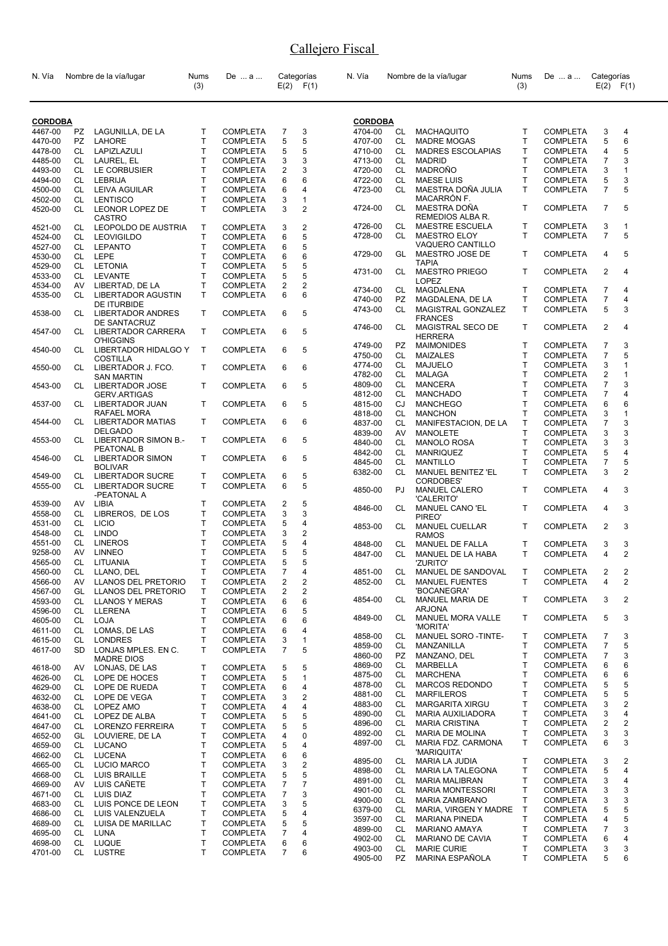| N. Vía             |           | Nombre de la vía/lugar                              | Nums<br>(3) | De  a                              |                | Categorías<br>$E(2)$ $F(1)$ | N. Vía         |     | Nombre de la vía/lugar                 | Nums<br>(3)  | De  a           | Categorías     | $E(2)$ $F(1)$  |
|--------------------|-----------|-----------------------------------------------------|-------------|------------------------------------|----------------|-----------------------------|----------------|-----|----------------------------------------|--------------|-----------------|----------------|----------------|
| <b>CORDOBA</b>     |           |                                                     |             |                                    |                |                             | <b>CORDOBA</b> |     |                                        |              |                 |                |                |
| 4467-00            | PZ        | LAGUNILLA, DE LA                                    | т           | <b>COMPLETA</b>                    | 7              | 3                           | 4704-00        | CL  | <b>MACHAQUITO</b>                      | т            | <b>COMPLETA</b> | 3              | 4              |
| 4470-00            | PZ        | LAHORE                                              | T           | <b>COMPLETA</b>                    | 5              | 5                           | 4707-00        | CL  | <b>MADRE MOGAS</b>                     | T            | <b>COMPLETA</b> | 5              | 6              |
| 4478-00            | CL        | LAPIZLAZULI                                         | T           | COMPLETA                           | 5              | 5                           | 4710-00        | CL. | <b>MADRES ESCOLAPIAS</b>               | Т            | <b>COMPLETA</b> | 4              | 5              |
| 4485-00            | CL        | LAUREL, EL                                          | T           | <b>COMPLETA</b>                    | 3              | 3                           | 4713-00        | CL. | <b>MADRID</b>                          | T            | <b>COMPLETA</b> | 7              | 3              |
|                    |           |                                                     | T           |                                    |                |                             |                | CL. |                                        | T            |                 |                | $\mathbf{1}$   |
| 4493-00            | CL        | LE CORBUSIER                                        |             | <b>COMPLETA</b>                    | 2              | 3                           | 4720-00        |     | MADROÑO                                |              | <b>COMPLETA</b> | 3              |                |
| 4494-00            | CL        | LEBRIJA                                             | Т           | <b>COMPLETA</b>                    | 6              | 6                           | 4722-00        | CL  | <b>MAESE LUIS</b>                      | T            | <b>COMPLETA</b> | 5              | 3<br>5         |
| 4500-00            | CL        | LEIVA AGUILAR                                       | T           | <b>COMPLETA</b>                    | 6              | 4                           | 4723-00        | CL  | MAESTRA DOÑA JULIA<br>MACARRÓN F.      | T            | <b>COMPLETA</b> | 7              |                |
| 4502-00<br>4520-00 | CL<br>CL  | <b>LENTISCO</b><br>LEONOR LOPEZ DE<br><b>CASTRO</b> | T<br>T      | <b>COMPLETA</b><br><b>COMPLETA</b> | 3<br>3         | 1<br>$\overline{2}$         | 4724-00        | CL  | MAESTRA DOÑA<br>REMEDIOS ALBA R.       | T            | <b>COMPLETA</b> | $\overline{7}$ | 5              |
| 4521-00            | CL        | LEOPOLDO DE AUSTRIA                                 | T           | <b>COMPLETA</b>                    | 3              | 2                           | 4726-00        | CL  | MAESTRE ESCUELA                        | T            | <b>COMPLETA</b> | 3              | 1              |
| 4524-00            | CL        | <b>LEOVIGILDO</b>                                   | T           | <b>COMPLETA</b>                    | 6              | 5                           | 4728-00        | CL  | <b>MAESTRO ELOY</b>                    | T            | <b>COMPLETA</b> | $\overline{7}$ | 5              |
| 4527-00            | CL.       | <b>LEPANTO</b>                                      | T           | <b>COMPLETA</b>                    | 6              | 5                           |                |     | VAQUERO CANTILLO                       |              |                 |                |                |
| 4530-00            | CL        | LEPE                                                | T           | <b>COMPLETA</b>                    | 6              | 6                           | 4729-00        | GL  | MAESTRO JOSE DE                        | T            | <b>COMPLETA</b> | 4              | 5              |
| 4529-00            | CL        | <b>LETONIA</b>                                      | T           | <b>COMPLETA</b>                    | 5              | 5                           |                |     | <b>TAPIA</b>                           |              |                 |                |                |
| 4533-00            | CL        | LEVANTE                                             | T           | <b>COMPLETA</b>                    | 5              | 5                           | 4731-00        | CL  | <b>MAESTRO PRIEGO</b>                  | T            | <b>COMPLETA</b> | $\overline{2}$ | 4              |
| 4534-00            | AV        | LIBERTAD, DE LA                                     | T           | <b>COMPLETA</b>                    | 2              | $\overline{2}$              |                |     | <b>LOPEZ</b>                           |              |                 |                |                |
| 4535-00            | <b>CL</b> | <b>LIBERTADOR AGUSTIN</b>                           | T           | <b>COMPLETA</b>                    | 6              | 6                           | 4734-00        | CL  | MAGDALENA                              | T            | <b>COMPLETA</b> | $\overline{7}$ | 4              |
|                    |           | <b>DE ITURBIDE</b>                                  |             |                                    |                |                             | 4740-00        | PZ. | MAGDALENA, DE LA                       | Т            | <b>COMPLETA</b> | $\overline{7}$ | 4              |
| 4538-00            | CL        | LIBERTADOR ANDRES<br>DE SANTACRUZ                   | T           | <b>COMPLETA</b>                    | 6              | 5                           | 4743-00        | CL  | MAGISTRAL GONZALEZ<br><b>FRANCES</b>   | T            | <b>COMPLETA</b> | 5              | 3              |
| 4547-00            | CL        | LIBERTADOR CARRERA<br><b>O'HIGGINS</b>              | T           | <b>COMPLETA</b>                    | 6              | 5                           | 4746-00        | CL  | MAGISTRAL SECO DE<br><b>HERRERA</b>    | T            | <b>COMPLETA</b> | $\overline{2}$ | 4              |
| 4540-00            | CL        | LIBERTADOR HIDALGO Y                                | T           | <b>COMPLETA</b>                    | 6              | 5                           | 4749-00        | PZ  | <b>MAIMONIDES</b>                      | Τ            | <b>COMPLETA</b> | 7              | 3              |
|                    |           | <b>COSTILLA</b>                                     |             |                                    |                |                             | 4750-00        | CL  | <b>MAIZALES</b>                        | T.           | <b>COMPLETA</b> | 7              | 5              |
| 4550-00            | CL        | LIBERTADOR J. FCO.                                  | T           | <b>COMPLETA</b>                    | 6              | 6                           | 4774-00        | CL  | MAJUELO                                | T            | <b>COMPLETA</b> | 3              | 1              |
|                    |           | <b>SAN MARTIN</b>                                   |             |                                    |                |                             | 4782-00        | CL  | <b>MALAGA</b>                          | T.           | <b>COMPLETA</b> | 2              | $\mathbf{1}$   |
| 4543-00            | CL        | <b>LIBERTADOR JOSE</b>                              | T           | <b>COMPLETA</b>                    | 6              | 5                           | 4809-00        | CL. | <b>MANCERA</b>                         | T            | <b>COMPLETA</b> | 7              | 3              |
|                    |           | <b>GERV.ARTIGAS</b>                                 |             |                                    |                |                             | 4812-00        | CL  | <b>MANCHADO</b>                        | Т            | <b>COMPLETA</b> | 7              | 4              |
| 4537-00            | CL.       | LIBERTADOR JUAN                                     | т           | <b>COMPLETA</b>                    | 6              | 5                           | 4815-00        | CJ  | <b>MANCHEGO</b>                        | T            | <b>COMPLETA</b> | 6              | 6              |
|                    |           | RAFAEL MORA                                         |             |                                    |                |                             | 4818-00        | CL. | <b>MANCHON</b>                         | T            | <b>COMPLETA</b> | 3              | 1              |
| 4544-00            | CL        | <b>LIBERTADOR MATIAS</b>                            | т           | <b>COMPLETA</b>                    | 6              | 6                           | 4837-00        | CL. | MANIFESTACION, DE LA                   | T.           | <b>COMPLETA</b> | $\overline{7}$ | 3              |
|                    |           | <b>DELGADO</b><br>LIBERTADOR SIMON B.-              | T           |                                    | 6              | 5                           | 4839-00        | AV  | <b>MANOLETE</b>                        | T            | <b>COMPLETA</b> | 3              | 3              |
| 4553-00            | CL        | PEATONAL B                                          |             | <b>COMPLETA</b>                    |                |                             | 4840-00        | CL  | <b>MANOLO ROSA</b>                     | T            | <b>COMPLETA</b> | 3              | 3              |
| 4546-00            | CL        | <b>LIBERTADOR SIMON</b>                             | T           | <b>COMPLETA</b>                    | 6              | 5                           | 4842-00        | CL  | <b>MANRIQUEZ</b>                       | T            | <b>COMPLETA</b> | 5              | 4              |
|                    |           | <b>BOLIVAR</b>                                      |             |                                    |                |                             | 4845-00        | CL  | <b>MANTILLO</b>                        | T            | <b>COMPLETA</b> | 7              | 5              |
| 4549-00<br>4555-00 | CL<br>CL  | <b>LIBERTADOR SUCRE</b><br><b>LIBERTADOR SUCRE</b>  | T<br>T.     | <b>COMPLETA</b><br><b>COMPLETA</b> | 6<br>6         | 5<br>5                      | 6382-00        | CL. | MANUEL BENITEZ 'EL<br><b>CORDOBES'</b> | T            | <b>COMPLETA</b> | 3              | $\overline{2}$ |
| 4539-00            | AV        | -PEATONAL A<br>LIBIA                                | T           | <b>COMPLETA</b>                    | 2              | 5                           | 4850-00        | PJ  | <b>MANUEL CALERO</b><br>'CALERITO'     | T            | <b>COMPLETA</b> | 4              | 3              |
| 4558-00            | CL        | LIBREROS, DE LOS                                    | т           | <b>COMPLETA</b>                    | 3              | 3                           | 4846-00        | CL  | MANUEL CANO 'EL                        | $\mathsf{T}$ | <b>COMPLETA</b> | 4              | 3              |
| 4531-00            | CL        | <b>LICIO</b>                                        | Т           | <b>COMPLETA</b>                    | 5              | 4                           |                |     | PIREO <sup>®</sup>                     |              |                 |                |                |
| 4548-00            | CL        | <b>LINDO</b>                                        | T           | <b>COMPLETA</b>                    | 3              | 2                           | 4853-00        | CL. | <b>MANUEL CUELLAR</b>                  | T            | <b>COMPLETA</b> | $\overline{2}$ | 3              |
| 4551-00            | CL        | <b>LINEROS</b>                                      | T           | <b>COMPLETA</b>                    | 5              | 4                           | 4848-00        | CL  | <b>RAMOS</b><br>MANUEL DE FALLA        | T            | <b>COMPLETA</b> | 3              | 3              |
| 9258-00            | AV        | <b>LINNEO</b>                                       | T           | <b>COMPLETA</b>                    | 5              | 5                           | 4847-00        | CL  | MANUEL DE LA HABA                      | T            | <b>COMPLETA</b> | 4              | $\overline{2}$ |
| 4565-00            | СL        | LITUANIA                                            | Т           | <b>COMPLETA</b>                    | 5              | 5                           |                |     | 'ZURITO'                               |              |                 |                |                |
| 4560-00            | CL        | LLANO, DEL                                          | Τ           | COMPLETA                           | $\overline{7}$ | 4                           | 4851-00        | CL  | MANUEL DE SANDOVAL                     | T.           | <b>COMPLETA</b> | $\mathcal{P}$  | $\mathcal{P}$  |
| 4566-00            | AV        | LLANOS DEL PRETORIO                                 | Т           | <b>COMPLETA</b>                    | 2              | 2                           | 4852-00        | CL  | <b>MANUEL FUENTES</b>                  | T            | <b>COMPLETA</b> | 4              | $\overline{c}$ |
| 4567-00            | GL        | LLANOS DEL PRETORIO                                 | Т           | <b>COMPLETA</b>                    | 2              | 2                           |                |     | 'BOCANEGRA'                            |              |                 |                |                |
| 4593-00            | CL        | <b>LLANOS Y MERAS</b>                               | т           | <b>COMPLETA</b>                    | 6              | 6                           | 4854-00        | CL  | MANUEL MARIA DE                        | Τ            | <b>COMPLETA</b> | 3              | 2              |
| 4596-00            | CL        | LLERENA                                             | т           | COMPLETA                           | 6              | 5                           |                |     | <b>ARJONA</b>                          |              |                 |                |                |
| 4605-00            | CL        | <b>LOJA</b>                                         | T           | <b>COMPLETA</b>                    | 6              | 6                           | 4849-00        | CL  | MANUEL MORA VALLE                      | T            | <b>COMPLETA</b> | 5              | 3              |
| 4611-00            | CL        | LOMAS, DE LAS                                       | T           | <b>COMPLETA</b>                    | 6              | 4                           |                |     | 'MORITA'                               |              |                 |                |                |
| 4615-00            | CL        | <b>LONDRES</b>                                      | T           | <b>COMPLETA</b>                    | 3              | 1                           | 4858-00        | CL  | MANUEL SORO -TINTE-                    | Τ            | <b>COMPLETA</b> | 7              | 3              |
|                    | SD.       |                                                     | T           |                                    | 7              | 5                           | 4859-00        | CL  | MANZANILLA                             | T.           | <b>COMPLETA</b> | $\overline{7}$ | 5              |
| 4617-00            |           | LONJAS MPLES. EN C.<br><b>MADRE DIOS</b>            |             | <b>COMPLETA</b>                    |                |                             | 4860-00        | PZ  | MANZANO, DEL                           | т            | <b>COMPLETA</b> | 7              | 3              |
| 4618-00            | AV        | LONJAS, DE LAS                                      | T           | <b>COMPLETA</b>                    | 5              | 5                           | 4869-00        | CL  | <b>MARBELLA</b>                        | т            | <b>COMPLETA</b> | 6              | 6              |
| 4626-00            | CL        | LOPE DE HOCES                                       | Т           | <b>COMPLETA</b>                    | 5              | 1                           | 4875-00        | CL  | <b>MARCHENA</b>                        | Т            | <b>COMPLETA</b> | 6              | 6              |
| 4629-00            | CL        | LOPE DE RUEDA                                       | Т           | <b>COMPLETA</b>                    | 6              | 4                           | 4878-00        | CL  | MARCOS REDONDO                         | т            | <b>COMPLETA</b> | 5              | 5              |
| 4632-00            | CL        | LOPE DE VEGA                                        | Т           | <b>COMPLETA</b>                    | 3              | $\overline{\mathbf{c}}$     | 4881-00        | CL  | <b>MARFILEROS</b>                      | T            | <b>COMPLETA</b> | 5              | 5              |
| 4638-00            | CL        | LOPEZ AMO                                           | T           | COMPLETA                           | 4              | 4                           | 4883-00        | CL  | MARGARITA XIRGU                        | Т            | <b>COMPLETA</b> | 3              | 2              |
| 4641-00            | CL        | LOPEZ DE ALBA                                       | Т           | <b>COMPLETA</b>                    | 5              | 5                           | 4890-00        | CL  | MARIA AUXILIADORA                      | T            | <b>COMPLETA</b> | 3              | 4              |
| 4647-00            | CL        |                                                     | Т           |                                    |                | 5                           | 4896-00        | CL  | <b>MARIA CRISTINA</b>                  | Т            | <b>COMPLETA</b> | 2              | 2              |
|                    |           | LORENZO FERREIRA                                    | т           | <b>COMPLETA</b>                    | 5<br>4         | 0                           | 4892-00        | CL  | <b>MARIA DE MOLINA</b>                 | T.           | <b>COMPLETA</b> | 3              | 3              |
| 4652-00            | GL        | LOUVIERE, DE LA                                     |             | <b>COMPLETA</b>                    |                |                             | 4897-00        | CL  | MARIA FDZ. CARMONA                     | т            | <b>COMPLETA</b> | 6              | 3              |
| 4659-00            | CL        | LUCANO                                              | Т           | <b>COMPLETA</b>                    | 5              | 4                           |                |     | 'MARIQUITA'                            |              |                 |                |                |
| 4662-00            | CL        | <b>LUCENA</b>                                       | T           | <b>COMPLETA</b>                    | 6              | 6                           | 4895-00        | CL  | MARIA LA JUDIA                         | т            | <b>COMPLETA</b> | 3              | 2              |
| 4665-00            | CL        | LUCIO MARCO                                         | Т           | <b>COMPLETA</b>                    | 3              | 2                           | 4898-00        | CL  | MARIA LA TALEGONA                      | т            | <b>COMPLETA</b> | 5              | 4              |
| 4668-00            | CL        | <b>LUIS BRAILLE</b>                                 | T           | <b>COMPLETA</b>                    | 5              | 5                           | 4891-00        | CL. | <b>MARIA MALIBRAN</b>                  | T.           | <b>COMPLETA</b> | 3              | 4              |
| 4669-00            | AV        | LUIS CAÑETE                                         | Т           | <b>COMPLETA</b>                    | 7              | 7                           | 4901-00        | CL  | <b>MARIA MONTESSORI</b>                | т            | <b>COMPLETA</b> | 3              | 3              |
| 4671-00            | CL        | LUIS DIAZ                                           | T           | COMPLETA                           | 7              | 3                           | 4900-00        | CL  | <b>MARIA ZAMBRANO</b>                  | T            | <b>COMPLETA</b> | 3              | 3              |
| 4683-00            | CL        | LUIS PONCE DE LEON                                  | Т           | <b>COMPLETA</b>                    | 3              | 5                           | 6379-00        | CL  | MARIA, VIRGEN Y MADRE                  | $\top$       | <b>COMPLETA</b> | 5              | 5              |
| 4686-00            | CL.       | LUIS VALENZUELA                                     | Т           | <b>COMPLETA</b>                    | 5              | 4                           | 3597-00        | CL  | <b>MARIANA PINEDA</b>                  | Τ            | <b>COMPLETA</b> | 4              | 5              |
| 4689-00            | CL        | LUISA DE MARILLAC                                   | т           | <b>COMPLETA</b>                    | 5              | 5                           | 4899-00        | CL  | <b>MARIANO AMAYA</b>                   | T            | <b>COMPLETA</b> | $\overline{7}$ | 3              |
| 4695-00            | CL        | LUNA                                                | т           | <b>COMPLETA</b>                    | 7              | 4                           | 4902-00        | CL  | MARIANO DE CAVIA                       | т            | <b>COMPLETA</b> | 6              | 4              |
| 4698-00            | CL        | <b>LUQUE</b>                                        | T           | <b>COMPLETA</b>                    | 6              | 6                           | 4903-00        | CL  | <b>MARIE CURIE</b>                     | T            | <b>COMPLETA</b> | 3              | 3              |
| 4701-00            | CL        | LUSTRE                                              | T.          | <b>COMPLETA</b>                    | $\overline{7}$ | 6                           | 4905-00        | PZ  | MARINA ESPAÑOLA                        | T.           | <b>COMPLETA</b> | 5              | 6              |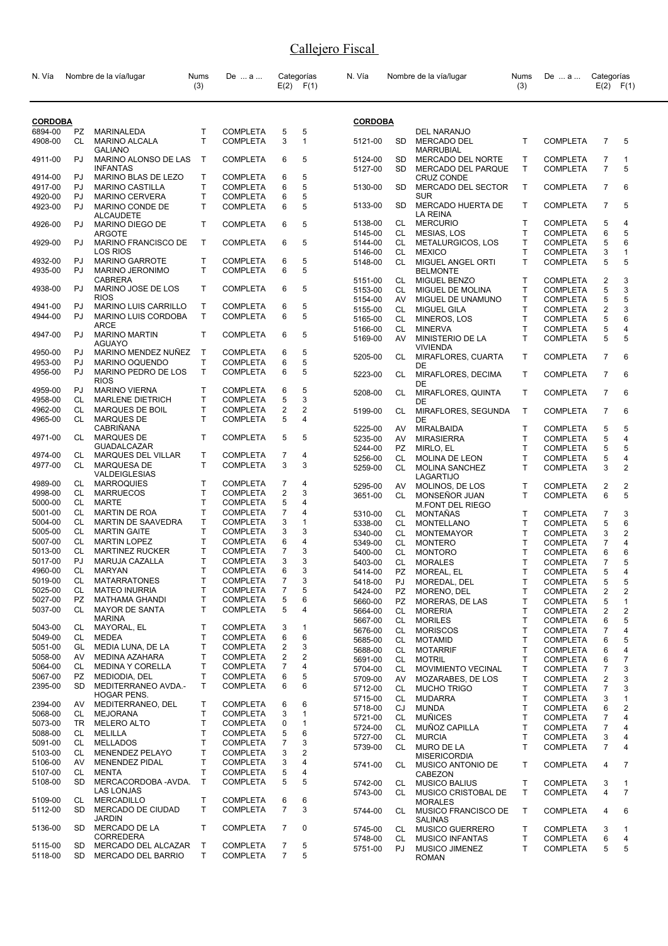| N. Vía             |                 | Nombre de la vía/lugar                          | Nums<br>(3)                  | De  a                              |                | Categorías<br>$E(2)$ $F(1)$ | N. Vía             |                        | Nombre de la vía/lugar                           | <b>Nums</b><br>(3) | De  a                              | Categorías<br>E(2)  | F(1)                |
|--------------------|-----------------|-------------------------------------------------|------------------------------|------------------------------------|----------------|-----------------------------|--------------------|------------------------|--------------------------------------------------|--------------------|------------------------------------|---------------------|---------------------|
| <b>CORDOBA</b>     |                 |                                                 |                              |                                    |                |                             | <b>CORDOBA</b>     |                        |                                                  |                    |                                    |                     |                     |
| 6894-00<br>4908-00 | PZ<br><b>CL</b> | MARINALEDA<br><b>MARINO ALCALA</b>              | T<br>T                       | <b>COMPLETA</b><br><b>COMPLETA</b> | 5<br>3         | 5<br>$\mathbf{1}$           | 5121-00            | SD.                    | DEL NARANJO<br><b>MERCADO DEL</b>                | T.                 | <b>COMPLETA</b>                    | $\overline{7}$      | 5                   |
|                    |                 | <b>GALIANO</b>                                  |                              |                                    |                |                             |                    |                        | <b>MARRUBIAL</b>                                 |                    |                                    |                     |                     |
| 4911-00            | PJ              | MARINO ALONSO DE LAS<br><b>INFANTAS</b>         | $\mathsf{T}$                 | <b>COMPLETA</b>                    | 6              | 5                           | 5124-00<br>5127-00 | <b>SD</b><br><b>SD</b> | MERCADO DEL NORTE<br>MERCADO DEL PARQUE          | Τ<br>T.            | <b>COMPLETA</b><br><b>COMPLETA</b> | 7<br>$\overline{7}$ | $\mathbf{1}$<br>5   |
| 4914-00            | PJ              | MARINO BLAS DE LEZO                             | Т                            | <b>COMPLETA</b>                    | 6              | 5                           |                    |                        | <b>CRUZ CONDE</b>                                |                    |                                    |                     |                     |
| 4917-00<br>4920-00 | PJ<br>PJ        | <b>MARINO CASTILLA</b><br><b>MARINO CERVERA</b> | T<br>$\mathsf{T}$            | <b>COMPLETA</b><br><b>COMPLETA</b> | 6<br>6         | 5<br>5                      | 5130-00            | <b>SD</b>              | MERCADO DEL SECTOR<br><b>SUR</b>                 | Τ                  | <b>COMPLETA</b>                    | 7                   | 6                   |
| 4923-00            | PJ              | MARINO CONDE DE                                 | T                            | <b>COMPLETA</b>                    | 6              | 5                           | 5133-00            | SD                     | MERCADO HUERTA DE                                | Τ                  | <b>COMPLETA</b>                    | $\overline{7}$      | 5                   |
| 4926-00            | PJ              | <b>ALCAUDETE</b><br>MARINO DIEGO DE             | T                            | <b>COMPLETA</b>                    | 6              | 5                           | 5138-00            | CL                     | LA REINA<br><b>MERCURIO</b>                      | Τ                  | <b>COMPLETA</b>                    | 5                   | 4                   |
|                    |                 | <b>ARGOTE</b>                                   |                              |                                    |                |                             | 5145-00            | CL                     | MESIAS, LOS                                      | Т                  | <b>COMPLETA</b>                    | 6                   | 5                   |
| 4929-00            | PJ              | MARINO FRANCISCO DE<br><b>LOS RIOS</b>          | T                            | <b>COMPLETA</b>                    | 6              | 5                           | 5144-00<br>5146-00 | CL<br>CL               | METALURGICOS, LOS<br><b>MEXICO</b>               | т<br>т             | <b>COMPLETA</b><br><b>COMPLETA</b> | 5<br>3              | 6<br>1              |
| 4932-00            | PJ              | <b>MARINO GARROTE</b>                           | T                            | <b>COMPLETA</b>                    | 6              | 5                           | 5148-00            | CL.                    | MIGUEL ANGEL ORTI                                | T                  | <b>COMPLETA</b>                    | 5                   | 5                   |
| 4935-00            | PJ              | <b>MARINO JERONIMO</b>                          | T                            | <b>COMPLETA</b>                    | 6              | 5                           |                    |                        | <b>BELMONTE</b>                                  |                    |                                    |                     |                     |
|                    |                 | <b>CABRERA</b>                                  |                              |                                    |                |                             | 5151-00            | CL                     | MIGUEL BENZO                                     | т                  | <b>COMPLETA</b>                    | 2                   | 3                   |
| 4938-00            | PJ              | MARINO JOSE DE LOS<br><b>RIOS</b>               | T                            | <b>COMPLETA</b>                    | 6              | 5                           | 5153-00            | CL                     | MIGUEL DE MOLINA                                 | т                  | <b>COMPLETA</b>                    | 5<br>5              | 3<br>5              |
| 4941-00            | PJ              | <b>MARINO LUIS CARRILLO</b>                     | T.                           | <b>COMPLETA</b>                    | 6              | 5                           | 5154-00<br>5155-00 | AV<br>CL.              | MIGUEL DE UNAMUNO<br><b>MIGUEL GILA</b>          | т<br>T             | <b>COMPLETA</b><br><b>COMPLETA</b> | $\overline{2}$      | 3                   |
| 4944-00            | PJ              | <b>MARINO LUIS CORDOBA</b>                      | $\mathsf{T}$                 | <b>COMPLETA</b>                    | 6              | 5                           | 5165-00            | CL                     | MINEROS, LOS                                     | Т                  | <b>COMPLETA</b>                    | 5                   | 6                   |
|                    |                 | ARCE                                            |                              |                                    |                |                             | 5166-00            | CL                     | <b>MINERVA</b>                                   | T                  | <b>COMPLETA</b>                    | 5                   | 4                   |
| 4947-00            | PJ              | <b>MARINO MARTIN</b><br><b>AGUAYO</b>           | $\mathsf{T}$                 | <b>COMPLETA</b>                    | 6              | 5                           | 5169-00            | AV                     | MINISTERIO DE LA<br><b>VIVIENDA</b>              | T                  | <b>COMPLETA</b>                    | 5                   | 5                   |
| 4950-00<br>4953-00 | PJ<br>PJ        | MARINO MENDEZ NUÑEZ<br>MARINO OQUENDO           | Т<br>T                       | <b>COMPLETA</b><br><b>COMPLETA</b> | 6<br>6         | 5<br>5                      | 5205-00            | CL                     | MIRAFLORES, CUARTA                               | Τ                  | <b>COMPLETA</b>                    | $\overline{7}$      | 6                   |
| 4956-00            | PJ              | MARINO PEDRO DE LOS                             | $\mathsf{T}$                 | <b>COMPLETA</b>                    | 6              | 5                           | 5223-00            | CL                     | DE<br>MIRAFLORES, DECIMA                         | т                  | <b>COMPLETA</b>                    | $\overline{7}$      | 6                   |
| 4959-00            | PJ              | <b>RIOS</b><br><b>MARINO VIERNA</b>             | T                            | <b>COMPLETA</b>                    | 6              | 5                           | 5208-00            | CL                     | DE<br>MIRAFLORES, QUINTA                         | Τ                  | <b>COMPLETA</b>                    | $\overline{7}$      | 6                   |
| 4958-00            | CL              | <b>MARLENE DIETRICH</b>                         | Т                            | <b>COMPLETA</b>                    | 5              | 3                           |                    |                        | DE                                               |                    |                                    |                     |                     |
| 4962-00<br>4965-00 | CL<br><b>CL</b> | MARQUES DE BOIL<br><b>MARQUES DE</b>            | $\mathsf{T}$<br>$\mathsf{T}$ | <b>COMPLETA</b><br><b>COMPLETA</b> | 2<br>5         | 2<br>$\overline{4}$         | 5199-00            | CL                     | MIRAFLORES, SEGUNDA<br>DE                        | T                  | <b>COMPLETA</b>                    | $\overline{7}$      | 6                   |
|                    |                 | CABRIÑANA                                       |                              |                                    |                |                             | 5225-00            | AV                     | MIRALBAIDA                                       | Τ                  | <b>COMPLETA</b>                    | 5                   | 5                   |
| 4971-00            | CL              | <b>MARQUES DE</b><br><b>GUADALCAZAR</b>         | $\mathsf{T}$                 | <b>COMPLETA</b>                    | 5              | 5                           | 5235-00            | AV                     | <b>MIRASIERRA</b>                                | т                  | <b>COMPLETA</b>                    | 5                   | 4                   |
| 4974-00            | CL              | <b>MARQUES DEL VILLAR</b>                       | T                            | <b>COMPLETA</b>                    | 7              | 4                           | 5244-00            | PZ<br><b>CL</b>        | MIRLO, EL                                        | т<br>T             | <b>COMPLETA</b>                    | 5<br>5              | 5<br>4              |
| 4977-00            | CL              | MARQUESA DE                                     | T                            | <b>COMPLETA</b>                    | 3              | 3                           | 5256-00<br>5259-00 | CL.                    | MOLINA DE LEON<br><b>MOLINA SANCHEZ</b>          | T.                 | <b>COMPLETA</b><br><b>COMPLETA</b> | 3                   | 2                   |
| 4989-00            | CL              | <b>VALDEIGLESIAS</b><br><b>MARROQUIES</b>       | T                            | <b>COMPLETA</b>                    | 7              | 4                           |                    |                        | LAGARTIJO                                        |                    |                                    |                     |                     |
| 4998-00            | CL              | <b>MARRUECOS</b>                                | $\mathsf{T}$                 | <b>COMPLETA</b>                    | 2              | 3                           | 5295-00            | AV                     | MOLINOS, DE LOS                                  | т<br>T.            | <b>COMPLETA</b>                    | 2<br>6              | 2<br>5              |
| 5000-00            | CL              | <b>MARTE</b>                                    | $\mathsf{T}$                 | <b>COMPLETA</b>                    | 5              | 4                           | 3651-00            | CL                     | MONSEÑOR JUAN<br><b>M.FONT DEL RIEGO</b>         |                    | <b>COMPLETA</b>                    |                     |                     |
| 5001-00            | CL              | MARTIN DE ROA                                   | $\mathsf{T}$                 | <b>COMPLETA</b>                    | 7              | 4                           | 5310-00            | CL                     | MONTAÑAS                                         | т                  | <b>COMPLETA</b>                    | 7                   | 3                   |
| 5004-00            | CL              | <b>MARTIN DE SAAVEDRA</b>                       | T                            | <b>COMPLETA</b>                    | 3              | $\mathbf{1}$                | 5338-00            | CL                     | <b>MONTELLANO</b>                                | T                  | <b>COMPLETA</b>                    | 5                   | 6                   |
| 5005-00            | CL              | <b>MARTIN GAITE</b>                             | T                            | <b>COMPLETA</b>                    | 3              | 3                           | 5340-00            | CL                     | <b>MONTEMAYOR</b>                                | т                  | <b>COMPLETA</b>                    | 3                   | 2                   |
| 5007-00            | CL              | <b>MARTIN LOPEZ</b>                             | T                            | <b>COMPLETA</b>                    | 6              | 4                           | 5349-00            | CL                     | <b>MONTERO</b>                                   | т                  | <b>COMPLETA</b>                    | 7                   | 4                   |
| 5013-00<br>5017-00 | <b>CL</b><br>PJ | <b>MARTINEZ RUCKER</b>                          | $\mathsf{T}$<br>$\mathsf{T}$ | <b>COMPLETA</b>                    | 7<br>3         | 3<br>3                      | 5400-00            | CL                     | <b>MONTORO</b>                                   | T                  | <b>COMPLETA</b>                    | 6                   | 6                   |
| 4960-00            | CL              | MARUJA CAZALLA<br>MARYAN                        | Т                            | <b>COMPLETA</b><br><b>COMPLETA</b> | 6              | 3                           | 5403-00<br>5414-00 | CL<br>PZ               | <b>MORALES</b><br>MOREAL, EL                     | T<br>Τ             | <b>COMPLETA</b><br><b>COMPLETA</b> | $\overline{7}$<br>5 | 5<br>$\overline{a}$ |
| 5019-00            | CL              | <b>MATARRATONES</b>                             | $\mathsf T$                  | <b>COMPLETA</b>                    | 7              | 3                           | 5418-00            | PJ                     | MOREDAL, DEL                                     | Τ                  | <b>COMPLETA</b>                    | 5                   | 5                   |
| 5025-00            | CL              | <b>MATEO INURRIA</b>                            | т                            | <b>COMPLETA</b>                    | 7              | 5                           | 5424-00            | PZ                     | MORENO, DEL                                      | T.                 | <b>COMPLETA</b>                    | 2                   | 2                   |
| 5027-00            | PZ              | MATHAMA GHANDI                                  | T                            | <b>COMPLETA</b>                    | 5              | 6                           | 5660-00            | <b>PZ</b>              | MORERAS, DE LAS                                  | т                  | <b>COMPLETA</b>                    | 5                   | $\mathbf{1}$        |
| 5037-00            | CL              | <b>MAYOR DE SANTA</b>                           | T                            | <b>COMPLETA</b>                    | 5              | 4                           | 5664-00            | CL                     | <b>MORERIA</b>                                   | т                  | COMPLETA                           | 2                   | 2                   |
|                    |                 | <b>MARINA</b>                                   |                              |                                    |                |                             | 5667-00            | CL                     | <b>MORILES</b>                                   | т                  | <b>COMPLETA</b>                    | 6                   | 5                   |
| 5043-00<br>5049-00 | CL<br>CL        | MAYORAL, EL<br>MEDEA                            | Т<br>T                       | <b>COMPLETA</b><br><b>COMPLETA</b> | 3<br>6         | 1<br>6                      | 5676-00            | CL                     | <b>MORISCOS</b>                                  | т                  | COMPLETA                           | 7                   | 4                   |
| 5051-00            | GL              | MEDIA LUNA, DE LA                               | т                            | <b>COMPLETA</b>                    | 2              | 3                           | 5685-00            | CL                     | <b>MOTAMID</b>                                   | т                  | <b>COMPLETA</b>                    | 6                   | 5                   |
| 5058-00            | AV              | MEDINA AZAHARA                                  | T                            | <b>COMPLETA</b>                    | 2              | 2                           | 5688-00            | CL<br>CL               | <b>MOTARRIF</b><br><b>MOTRIL</b>                 | т<br>Т             | <b>COMPLETA</b>                    | 6<br>6              | 4<br>7              |
| 5064-00            | CL              | MEDINA Y CORELLA                                | T                            | <b>COMPLETA</b>                    | 7              | 4                           | 5691-00<br>5704-00 | CL                     | <b>MOVIMIENTO VECINAL</b>                        | т                  | COMPLETA<br><b>COMPLETA</b>        | 7                   | 3                   |
| 5067-00            | PZ              | MEDIODIA, DEL                                   | Т                            | <b>COMPLETA</b>                    | 6              | 5                           | 5709-00            | AV                     | MOZARABES, DE LOS                                | T.                 | COMPLETA                           | 2                   | 3                   |
| 2395-00            | SD.             | MEDITERRANEO AVDA.-                             | $\mathsf{T}$                 | <b>COMPLETA</b>                    | 6              | 6                           | 5712-00            | CL                     | <b>MUCHO TRIGO</b>                               | т                  | <b>COMPLETA</b>                    | 7                   | 3                   |
| 2394-00            | AV.             | <b>HOGAR PENS.</b><br>MEDITERRANEO, DEL         | Т                            | <b>COMPLETA</b>                    | 6              | 6                           | 5715-00            | CL                     | <b>MUDARRA</b>                                   | т                  | COMPLETA                           | 3                   | 1                   |
| 5068-00            | CL              | <b>MEJORANA</b>                                 | т                            | <b>COMPLETA</b>                    | 3              | $\mathbf{1}$                | 5718-00            | CJ                     | MUNDA                                            | т                  | COMPLETA                           | 6                   | 2                   |
| 5073-00            | TR.             | MELERO ALTO                                     | T                            | <b>COMPLETA</b>                    | 0              | $\mathbf{1}$                | 5721-00            | CL                     | <b>MUÑICES</b>                                   | т                  | <b>COMPLETA</b>                    | 7                   | 4<br>4              |
| 5088-00            | CL              | MELILLA                                         | T                            | <b>COMPLETA</b>                    | 5              | 6                           | 5724-00<br>5727-00 | CL<br>CL               | MUÑOZ CAPILLA<br><b>MURCIA</b>                   | т<br>Т             | COMPLETA<br><b>COMPLETA</b>        | $\overline{7}$<br>3 | 4                   |
| 5091-00            | CL              | <b>MELLADOS</b>                                 | т                            | <b>COMPLETA</b>                    | 7              | 3                           | 5739-00            | CL                     | MURO DE LA                                       | T.                 | COMPLETA                           | $\overline{7}$      | 4                   |
| 5103-00            | CL              | MENENDEZ PELAYO                                 | $\mathsf{T}$                 | <b>COMPLETA</b>                    | 3              | 2                           |                    |                        | <b>MISERICORDIA</b>                              |                    |                                    |                     |                     |
| 5106-00            | AV              | <b>MENENDEZ PIDAL</b>                           | Т                            | <b>COMPLETA</b>                    | 3              | 4                           | 5741-00            | CL                     | MUSICO ANTONIO DE                                | Τ                  | COMPLETA                           | 4                   | 7                   |
| 5107-00            | CL              | <b>MENTA</b>                                    | T                            | <b>COMPLETA</b>                    | 5              | 4                           |                    |                        | CABEZON                                          |                    |                                    |                     |                     |
| 5108-00            | <b>SD</b>       | MERCACORDOBA -AVDA.<br>LAS LONJAS               | $\mathsf{T}$                 | <b>COMPLETA</b>                    | 5              | 5                           | 5742-00            | CL                     | <b>MUSICO BALIUS</b>                             | т                  | <b>COMPLETA</b>                    | 3                   | 1                   |
| 5109-00            | CL              | <b>MERCADILLO</b>                               | T.                           | <b>COMPLETA</b>                    | 6              | 6                           | 5743-00            | CL.                    | MUSICO CRISTOBAL DE<br><b>MORALES</b>            | Τ                  | <b>COMPLETA</b>                    | 4                   | $\overline{7}$      |
| 5112-00            | <b>SD</b>       | MERCADO DE CIUDAD                               | Т                            | <b>COMPLETA</b>                    | $\overline{7}$ | 3                           | 5744-00            | CL                     | MUSICO FRANCISCO DE                              | T                  | <b>COMPLETA</b>                    | 4                   | 6                   |
| 5136-00            | SD              | <b>JARDIN</b><br>MERCADO DE LA                  | T                            | <b>COMPLETA</b>                    | 7              | 0                           |                    |                        | <b>SALINAS</b>                                   |                    |                                    |                     |                     |
|                    |                 | <b>CORREDERA</b>                                |                              |                                    |                |                             | 5745-00<br>5748-00 | CL<br>CL               | <b>MUSICO GUERRERO</b><br><b>MUSICO INFANTAS</b> | т<br>т             | <b>COMPLETA</b><br><b>COMPLETA</b> | 3<br>6              | 1<br>4              |
| 5115-00            | SD              | MERCADO DEL ALCAZAR                             | $\top$                       | <b>COMPLETA</b>                    | 7              | 5                           | 5751-00            | PJ                     | <b>MUSICO JIMENEZ</b>                            | T.                 | COMPLETA                           | 5                   | 5                   |
| 5118-00            | SD.             | MERCADO DEL BARRIO                              | T                            | <b>COMPLETA</b>                    | $\overline{7}$ | 5                           |                    |                        | <b>ROMAN</b>                                     |                    |                                    |                     |                     |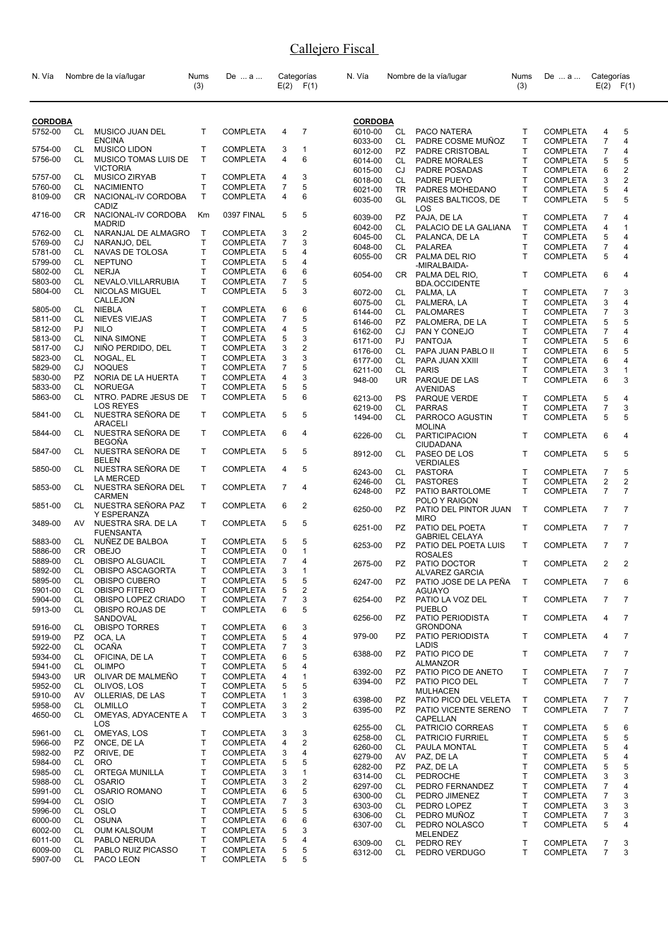| N. Vía             |           | Nombre de la vía/lugar                   | Nums<br>(3) | De  a                              |        | Categorías<br>$E(2)$ $F(1)$ | N. Vía             |           | Nombre de la vía/lugar                                | Nums<br>(3)  | De  a                              | Categorías               | $E(2)$ $F(1)$  |
|--------------------|-----------|------------------------------------------|-------------|------------------------------------|--------|-----------------------------|--------------------|-----------|-------------------------------------------------------|--------------|------------------------------------|--------------------------|----------------|
| <b>CORDOBA</b>     |           |                                          |             |                                    |        |                             | <b>CORDOBA</b>     |           |                                                       |              |                                    |                          |                |
| 5752-00            | CL        | MUSICO JUAN DEL                          | т           | <b>COMPLETA</b>                    | 4      | $\overline{7}$              | 6010-00            | CL        | PACO NATERA                                           | т            | <b>COMPLETA</b>                    | 4                        | 5              |
|                    |           | <b>ENCINA</b>                            |             |                                    |        |                             | 6033-00            | CL        | PADRE COSME MUÑOZ                                     | T.           | <b>COMPLETA</b>                    | $\overline{7}$           | 4              |
| 5754-00            | CL        | <b>MUSICO LIDON</b>                      | T.          | <b>COMPLETA</b>                    | 3      | 1                           | 6012-00            | <b>PZ</b> | PADRE CRISTOBAL                                       | T.           | <b>COMPLETA</b>                    | 7                        | 4              |
| 5756-00            | CL        | MUSICO TOMAS LUIS DE                     | T.          | <b>COMPLETA</b>                    | 4      | 6                           | 6014-00            | CL        | <b>PADRE MORALES</b>                                  | T.           | <b>COMPLETA</b>                    | 5                        | 5              |
|                    |           | <b>VICTORIA</b>                          | T           |                                    |        |                             | 6015-00            | CJ        | PADRE POSADAS                                         | Τ            | <b>COMPLETA</b>                    | 6                        | $\overline{2}$ |
| 5757-00            | CL        | <b>MUSICO ZIRYAB</b>                     | T           | <b>COMPLETA</b><br><b>COMPLETA</b> | 4<br>7 | 3<br>5                      | 6018-00            | CL        | PADRE PUEYO                                           | T            | <b>COMPLETA</b>                    | 3                        | $\overline{2}$ |
| 5760-00<br>8109-00 | CL<br>CR. | <b>NACIMIENTO</b><br>NACIONAL-IV CORDOBA | т           | <b>COMPLETA</b>                    | 4      | 6                           | 6021-00            | TR.       | PADRES MOHEDANO                                       | T.           | <b>COMPLETA</b>                    | 5                        | 4              |
|                    |           | CADIZ                                    |             |                                    |        |                             | 6035-00            | GL        | PAISES BALTICOS, DE<br>LOS                            | T.           | COMPLETA                           | 5                        | 5              |
| 4716-00            | CR        | NACIONAL-IV CORDOBA                      | Κm          | 0397 FINAL                         | 5      | 5                           | 6039-00            | PZ        | PAJA, DE LA                                           | т            | <b>COMPLETA</b>                    | 7                        | 4              |
|                    |           | <b>MADRID</b>                            |             |                                    |        |                             | 6042-00            | CL        | PALACIO DE LA GALIANA                                 | Τ            | <b>COMPLETA</b>                    | 4                        | $\mathbf{1}$   |
| 5762-00<br>5769-00 | CL<br>CJ  | NARANJAL DE ALMAGRO<br>NARANJO, DEL      | Т<br>T.     | <b>COMPLETA</b><br><b>COMPLETA</b> | 3<br>7 | 2<br>3                      | 6045-00            | CL        | PALANCA, DE LA                                        | Τ            | <b>COMPLETA</b>                    | 5                        | 4              |
| 5781-00            | CL        | NAVAS DE TOLOSA                          | Т           | COMPLETA                           | 5      | 4                           | 6048-00            | CL        | <b>PALAREA</b>                                        | T.           | <b>COMPLETA</b>                    | 7                        | 4              |
| 5799-00            | CL        | <b>NEPTUNO</b>                           | T           | COMPLETA                           | 5      | 4                           | 6055-00            |           | CR PALMA DEL RIO                                      | T.           | <b>COMPLETA</b>                    | 5                        | 4              |
| 5802-00            | CL        | <b>NERJA</b>                             | T           | <b>COMPLETA</b>                    | 6      | 6                           |                    |           | -MIRALBAIDA-                                          |              |                                    |                          |                |
| 5803-00            | CL        | NEVALO.VILLARRUBIA                       | T.          | <b>COMPLETA</b>                    | 7      | 5                           | 6054-00            |           | CR PALMA DEL RIO,                                     | T            | <b>COMPLETA</b>                    | 6                        | 4              |
| 5804-00            | CL        | NICOLAS MIGUEL                           | т           | <b>COMPLETA</b>                    | 5      | 3                           | 6072-00            | CL        | <b>BDA.OCCIDENTE</b><br>PALMA, LA                     | т            | <b>COMPLETA</b>                    | 7                        | 3              |
|                    |           | CALLEJON                                 |             |                                    |        |                             | 6075-00            | CL        | PALMERA, LA                                           | T.           | <b>COMPLETA</b>                    | 3                        | 4              |
| 5805-00            | CL        | <b>NIEBLA</b>                            | T           | <b>COMPLETA</b>                    | 6      | 6                           | 6144-00            | CL        | <b>PALOMARES</b>                                      | Τ            | <b>COMPLETA</b>                    | 7                        | 3              |
| 5811-00            | CL        | <b>NIEVES VIEJAS</b>                     | T           | <b>COMPLETA</b>                    | 7      | 5                           | 6146-00            | PZ.       | PALOMERA, DE LA                                       | Τ            | <b>COMPLETA</b>                    | 5                        | 5              |
| 5812-00            | PJ        | <b>NILO</b>                              | T           | <b>COMPLETA</b>                    | 4      | 5                           | 6162-00            | CJ        | PAN Y CONEJO                                          | Τ            | <b>COMPLETA</b>                    | $\overline{\mathcal{I}}$ | 4              |
| 5813-00            | СL        | <b>NINA SIMONE</b>                       | T           | <b>COMPLETA</b>                    | 5      | 3                           | 6171-00            | PJ        | <b>PANTOJA</b>                                        | Τ            | <b>COMPLETA</b>                    | 5                        | 6              |
| 5817-00            | CJ        | NIÑO PERDIDO, DEL                        | T           | <b>COMPLETA</b>                    | 3      | $\overline{c}$              | 6176-00            | CL        | PAPA JUAN PABLO II                                    | Τ            | <b>COMPLETA</b>                    | 6                        | 5              |
| 5823-00            | CL        | NOGAL, EL                                | T           | <b>COMPLETA</b>                    | 3      | 3                           | 6177-00            | CL        | PAPA JUAN XXIII                                       | Τ            | <b>COMPLETA</b>                    | 6                        | 4              |
| 5829-00            | CJ        | <b>NOQUES</b>                            | T           | <b>COMPLETA</b>                    | 7      | 5                           | 6211-00            | CL        | <b>PARIS</b>                                          | T.           | <b>COMPLETA</b>                    | 3                        | 1              |
| 5830-00            | <b>PZ</b> | NORIA DE LA HUERTA                       | T           | <b>COMPLETA</b>                    | 4      | 3                           | 948-00             | UR.       | PARQUE DE LAS                                         | T.           | <b>COMPLETA</b>                    | 6                        | 3              |
| 5833-00            | СL        | <b>NORUEGA</b>                           | T           | COMPLETA                           | 5      | 5                           |                    |           | <b>AVENIDAS</b>                                       |              |                                    |                          |                |
| 5863-00            | CL        | NTRO. PADRE JESUS DE                     | T.          | <b>COMPLETA</b>                    | 5      | 6                           | 6213-00            | <b>PS</b> | PARQUE VERDE                                          | T            | <b>COMPLETA</b>                    | 5                        | 4              |
| 5841-00            | CL        | <b>LOS REYES</b><br>NUESTRA SEÑORA DE    | T           | <b>COMPLETA</b>                    | 5      | 5                           | 6219-00<br>1494-00 | CL<br>CL  | <b>PARRAS</b><br>PARROCO AGUSTIN                      | Τ<br>T.      | <b>COMPLETA</b><br><b>COMPLETA</b> | $\overline{7}$<br>5      | 3<br>5         |
| 5844-00            | CL        | ARACELI<br>NUESTRA SEÑORA DE             | T           | <b>COMPLETA</b>                    | 6      | 4                           | 6226-00            | CL        | <b>MOLINA</b><br><b>PARTICIPACION</b>                 | T            | <b>COMPLETA</b>                    | 6                        | 4              |
| 5847-00            | CL        | <b>BEGOÑA</b><br>NUESTRA SEÑORA DE       | T           | <b>COMPLETA</b>                    | 5      | 5                           | 8912-00            | CL.       | CIUDADANA<br>PASEO DE LOS                             | T            | <b>COMPLETA</b>                    | 5                        | 5              |
| 5850-00            | CL        | <b>BELEN</b><br>NUESTRA SEÑORA DE        | T           | <b>COMPLETA</b>                    | 4      | 5                           | 6243-00            | CL        | <b>VERDIALES</b><br><b>PASTORA</b>                    | T.           | <b>COMPLETA</b>                    | $\overline{7}$           | 5              |
| 5853-00            | CL        | LA MERCED<br>NUESTRA SEÑORA DEL          | T           | <b>COMPLETA</b>                    | 7      | 4                           | 6246-00            | CL        | <b>PASTORES</b>                                       | Τ            | <b>COMPLETA</b>                    | 2                        | $\overline{2}$ |
|                    |           | <b>CARMEN</b>                            |             |                                    |        |                             | 6248-00            | <b>PZ</b> | PATIO BARTOLOME                                       | T.           | <b>COMPLETA</b>                    | $\overline{7}$           | $\overline{7}$ |
| 5851-00            | CL        | NUESTRA SEÑORA PAZ<br>Y ESPERANZA        | T           | <b>COMPLETA</b>                    | 6      | 2                           | 6250-00            | PZ        | POLO Y RAIGON<br>PATIO DEL PINTOR JUAN<br><b>MIRO</b> | $\mathsf{T}$ | <b>COMPLETA</b>                    | $\overline{7}$           | $\overline{7}$ |
| 3489-00            | AV        | NUESTRA SRA. DE LA<br><b>FUENSANTA</b>   | T.          | <b>COMPLETA</b>                    | 5      | 5                           | 6251-00            | PZ.       | PATIO DEL POETA                                       | T            | <b>COMPLETA</b>                    | $\overline{7}$           | 7              |
| 5883-00            | CL        | NUÑEZ DE BALBOA                          | т           | <b>COMPLETA</b>                    | 5      | 5                           | 6253-00            | PZ        | <b>GABRIEL CELAYA</b><br>PATIO DEL POETA LUIS         | T            | <b>COMPLETA</b>                    | $\overline{7}$           | 7              |
| 5886-00            | CR.       | <b>OBEJO</b>                             | T.          | <b>COMPLETA</b>                    | 0      | 1                           |                    |           | <b>ROSALES</b>                                        |              |                                    |                          |                |
| 5889-00            | CL        | <b>OBISPO ALGUACIL</b>                   | T           | <b>COMPLETA</b>                    | 7      | 4                           | 2675-00            | PZ –      | PATIO DOCTOR                                          | T            | <b>COMPLETA</b>                    | $\overline{2}$           | $\overline{2}$ |
| 5892-00            | СL        | OBISPO ASCAGORTA                         | Τ           | <b>COMPLETA</b>                    | 3      |                             |                    |           | ALVAREZ GARCIA                                        |              |                                    |                          |                |
| 5895-00            | CL        | OBISPO CUBERO                            | T           | <b>COMPLETA</b>                    | 5      | 5                           | 6247-00            | PZ        | PATIO JOSE DE LA PEÑA                                 | Т            | <b>COMPLETA</b>                    | 7                        | 6              |
| 5901-00<br>5904-00 | CL        | OBISPO FITERO                            | Т           | <b>COMPLETA</b>                    | 5      | $\overline{c}$              | 6254-00            |           | <b>AGUAYO</b>                                         |              |                                    |                          |                |
| 5913-00            | CL<br>CL  | OBISPO LOPEZ CRIADO<br>OBISPO ROJAS DE   | т<br>T      | <b>COMPLETA</b><br><b>COMPLETA</b> | 7<br>6 | 3<br>5                      |                    | PZ        | PATIO LA VOZ DEL<br><b>PUEBLO</b>                     | T            | <b>COMPLETA</b>                    | $\overline{7}$           | 7              |
|                    |           | SANDOVAL                                 |             |                                    |        |                             | 6256-00            | PZ        | PATIO PERIODISTA                                      | T            | <b>COMPLETA</b>                    | 4                        | 7              |
| 5916-00            | CL        | OBISPO TORRES                            | T           | <b>COMPLETA</b>                    | 6      | 3                           | 979-00             | PZ.       | <b>GRONDONA</b>                                       | T            | <b>COMPLETA</b>                    | 4                        | 7              |
| 5919-00            | PZ        | OCA, LA                                  | Т           | <b>COMPLETA</b>                    | 5      | 4                           |                    |           | PATIO PERIODISTA<br>LADIS                             |              |                                    |                          |                |
| 5922-00            | CL        | <b>OCAÑA</b>                             | T           | <b>COMPLETA</b>                    | 7      | 3                           | 6388-00            | PZ        | PATIO PICO DE                                         | T            | <b>COMPLETA</b>                    | $\overline{7}$           | 7              |
| 5934-00<br>5941-00 | CL<br>CL  | OFICINA, DE LA<br><b>OLIMPO</b>          | Т<br>T      | <b>COMPLETA</b><br><b>COMPLETA</b> | 6<br>5 | 5<br>4                      |                    |           | ALMANZOR                                              |              |                                    |                          |                |
| 5943-00            | UR.       | OLIVAR DE MALMEÑO                        | T           | <b>COMPLETA</b>                    | 4      | 1                           | 6392-00            | PZ        | PATIO PICO DE ANETO                                   | т            | <b>COMPLETA</b>                    | 7                        | 7              |
| 5952-00            | CL        | OLIVOS, LOS                              | T           | <b>COMPLETA</b>                    | 5      | 5                           | 6394-00            | PZ.       | PATIO PICO DEL                                        | T.           | <b>COMPLETA</b>                    | $\overline{7}$           | $\overline{7}$ |
| 5910-00            | AV        | OLLERIAS, DE LAS                         | Т           | <b>COMPLETA</b>                    | 1      | 3                           |                    |           | <b>MULHACEN</b>                                       |              |                                    |                          |                |
| 5958-00            | CL        | OLMILLO                                  | T.          | <b>COMPLETA</b>                    | 3      | 2                           | 6398-00            | PZ        | PATIO PICO DEL VELETA                                 | T            | <b>COMPLETA</b>                    | 7                        | 7              |
| 4650-00            | CL        | OMEYAS, ADYACENTE A<br>LOS               | T           | <b>COMPLETA</b>                    | 3      | 3                           | 6395-00            | PZ.       | PATIO VICENTE SERENO<br>CAPELLAN                      | T            | COMPLETA                           | $\overline{7}$           | $\overline{7}$ |
| 5961-00            | CL        | OMEYAS, LOS                              | т           | <b>COMPLETA</b>                    | 3      | 3                           | 6255-00            | CL        | PATRICIO CORREAS                                      | т            | <b>COMPLETA</b>                    | 5                        | 6              |
| 5966-00            | PZ        | ONCE, DE LA                              | т           | <b>COMPLETA</b>                    | 4      | 2                           | 6258-00            | CL        | PATRICIO FURRIEL                                      | Τ            | <b>COMPLETA</b>                    | 5                        | 5              |
| 5982-00            | PZ        | ORIVE, DE                                | T           | <b>COMPLETA</b>                    | 3      | 4                           | 6260-00<br>6279-00 | CL<br>AV  | PAULA MONTAL<br>PAZ, DE LA                            | Τ<br>Τ       | <b>COMPLETA</b><br><b>COMPLETA</b> | 5<br>5                   | 4<br>4         |
| 5984-00            | CL        | <b>ORO</b>                               | T           | <b>COMPLETA</b>                    | 5      | 5                           | 6282-00            | PZ        | PAZ, DE LA                                            | Τ            | <b>COMPLETA</b>                    | 5                        | 5              |
| 5985-00            | CL        | ORTEGA MUNILLA                           | Т           | <b>COMPLETA</b>                    | 3      | 1                           | 6314-00            | CL        | PEDROCHE                                              | Τ            | <b>COMPLETA</b>                    | 3                        | 3              |
| 5988-00            | CL        | <b>OSARIO</b>                            | T           | <b>COMPLETA</b>                    | 3      | 2                           | 6297-00            | CL        | PEDRO FERNANDEZ                                       | Τ            | <b>COMPLETA</b>                    | 7                        | 4              |
| 5991-00            | CL        | <b>OSARIO ROMANO</b>                     | Т           | <b>COMPLETA</b>                    | 6      | 5                           | 6300-00            | CL        | PEDRO JIMENEZ                                         | Τ            | <b>COMPLETA</b>                    | 7                        | 3              |
| 5994-00            | CL        | <b>OSIO</b>                              | T           | <b>COMPLETA</b>                    | 7      | 3                           | 6303-00            | CL        | PEDRO LOPEZ                                           | Τ            | <b>COMPLETA</b>                    | 3                        | 3              |
| 5996-00            | CL        | <b>OSLO</b>                              | T           | <b>COMPLETA</b>                    | 5      | 5                           | 6306-00            | CL        | PEDRO MUÑOZ                                           | T.           | <b>COMPLETA</b>                    | 7                        | 3              |
| 6000-00            | CL        | <b>OSUNA</b>                             | T           | <b>COMPLETA</b>                    | 6      | 6                           | 6307-00            | CL.       | PEDRO NOLASCO                                         | T.           | <b>COMPLETA</b>                    | 5                        | 4              |
| 6002-00            | CL        | OUM KALSOUM                              | T           | <b>COMPLETA</b>                    | 5      | 3                           |                    |           | MELENDEZ                                              |              |                                    |                          |                |
| 6011-00<br>6009-00 | CL<br>CL  | PABLO NERUDA<br>PABLO RUIZ PICASSO       | Т<br>т      | <b>COMPLETA</b>                    | 5<br>5 | 4<br>5                      | 6309-00            | CL        | PEDRO REY                                             | T            | <b>COMPLETA</b>                    | 7                        | 3              |
| 5907-00            | CL        | PACO LEON                                | T.          | <b>COMPLETA</b><br><b>COMPLETA</b> | 5      | 5                           | 6312-00            | CL        | PEDRO VERDUGO                                         | T.           | <b>COMPLETA</b>                    | 7                        | 3              |
|                    |           |                                          |             |                                    |        |                             |                    |           |                                                       |              |                                    |                          |                |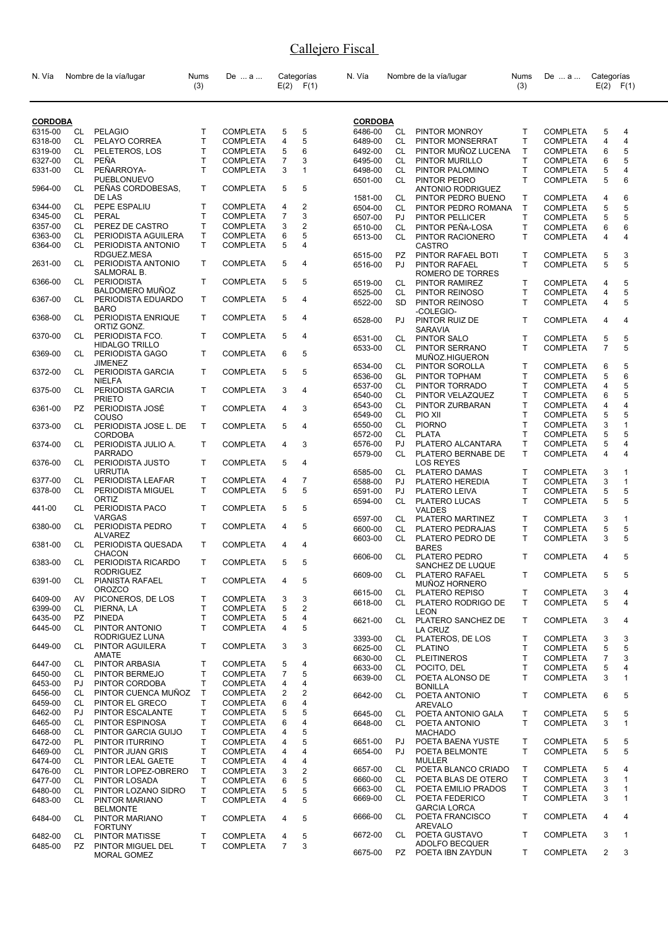| N. Vía         |           | Nombre de la vía/lugar                  | Nums<br>(3)  | De  a           |                | Categorías<br>$E(2)$ $F(1)$ | N. Vía         |     | Nombre de la vía/lugar                      | Nums<br>(3)  | De  a           | Categorías     | $E(2)$ $F(1)$  |
|----------------|-----------|-----------------------------------------|--------------|-----------------|----------------|-----------------------------|----------------|-----|---------------------------------------------|--------------|-----------------|----------------|----------------|
| <b>CORDOBA</b> |           |                                         |              |                 |                |                             | <b>CORDOBA</b> |     |                                             |              |                 |                |                |
| 6315-00        | CL        | <b>PELAGIO</b>                          | $\mathsf{T}$ | <b>COMPLETA</b> | 5              | 5                           | 6486-00        | CL  | PINTOR MONROY                               | $\mathsf{T}$ | <b>COMPLETA</b> | 5              | 4              |
| 6318-00        | CL        | PELAYO CORREA                           | $\mathsf{T}$ | <b>COMPLETA</b> | 4              | 5                           | 6489-00        | CL  | PINTOR MONSERRAT                            | $\mathsf{T}$ | <b>COMPLETA</b> | 4              | 4              |
| 6319-00        | CL        | PELETEROS, LOS                          | $\mathsf{T}$ | <b>COMPLETA</b> | 5              | 6                           | 6492-00        | CL  | PINTOR MUÑOZ LUCENA                         | $\mathsf{T}$ | <b>COMPLETA</b> | 6              | 5              |
| 6327-00        | CL        | PEÑA                                    | T            | <b>COMPLETA</b> | $\overline{7}$ | 3                           | 6495-00        | CL. | PINTOR MURILLO                              | T.           | <b>COMPLETA</b> | 6              | 5              |
| 6331-00        | CL        | PEÑARROYA-                              | T            | <b>COMPLETA</b> | 3              | $\mathbf{1}$                | 6498-00        | CL  | PINTOR PALOMINO                             | $\mathsf{T}$ | <b>COMPLETA</b> | 5              | $\overline{4}$ |
|                |           | PUEBLONUEVO                             |              |                 |                |                             | 6501-00        | CL. | PINTOR PEDRO                                | $\mathsf{T}$ | <b>COMPLETA</b> | 5              | 6              |
| 5964-00        | CL.       | PEÑAS CORDOBESAS.                       | T.           | <b>COMPLETA</b> | 5              | 5                           |                |     | <b>ANTONIO RODRIGUEZ</b>                    |              |                 |                |                |
|                |           | DE LAS                                  |              |                 |                |                             | 1581-00        | CL  | PINTOR PEDRO BUENO                          | Τ            | <b>COMPLETA</b> | 4              | 6              |
| 6344-00        | CL        | PEPE ESPALIU                            | T            | <b>COMPLETA</b> | 4              | 2                           | 6504-00        | CL  | PINTOR PEDRO ROMANA                         | $\mathsf{T}$ | <b>COMPLETA</b> | 5              | 5              |
| 6345-00        | CL        | PERAL                                   | T            | <b>COMPLETA</b> | $\overline{7}$ | 3                           | 6507-00        | PJ  | <b>PINTOR PELLICER</b>                      | T            | <b>COMPLETA</b> | 5              | 5              |
| 6357-00        | CL        | PEREZ DE CASTRO                         | T            | <b>COMPLETA</b> | 3              | $\overline{2}$              | 6510-00        | CL  | PINTOR PEÑA-LOSA                            | $\mathsf{T}$ | <b>COMPLETA</b> | 6              | 6              |
| 6363-00        | <b>CL</b> | PERIODISTA AGUILERA                     | T            | <b>COMPLETA</b> | 6              | 5                           | 6513-00        | CL  | PINTOR RACIONERO                            | $\mathsf{T}$ | <b>COMPLETA</b> | 4              | 4              |
| 6364-00        | CL        | PERIODISTA ANTONIO                      | T            | <b>COMPLETA</b> | 5              | $\overline{4}$              |                |     | <b>CASTRO</b>                               |              |                 |                |                |
|                |           | RDGUEZ.MESA                             |              |                 |                |                             | 6515-00        | PZ  | PINTOR RAFAEL BOTI                          | $\mathsf{T}$ | <b>COMPLETA</b> | 5              | 3              |
| 2631-00        | CL        | PERIODISTA ANTONIO                      | T            | <b>COMPLETA</b> | 5              | 4                           | 6516-00        | PJ. | PINTOR RAFAEL                               | $\mathsf{T}$ | <b>COMPLETA</b> | 5              | 5              |
|                |           | SALMORAL B.                             |              |                 |                |                             |                |     | ROMERO DE TORRES                            |              |                 |                |                |
| 6366-00        | CL        | <b>PERIODISTA</b>                       | T.           | <b>COMPLETA</b> | 5              | 5                           | 6519-00        | CL  | PINTOR RAMIREZ                              | $\mathsf{T}$ | <b>COMPLETA</b> | 4              | 5              |
|                |           | <b>BALDOMERO MUÑOZ</b>                  |              |                 |                |                             | 6525-00        | CL  | PINTOR REINOSO                              | $\mathsf{T}$ | <b>COMPLETA</b> | $\overline{4}$ | 5              |
| 6367-00        | CL        | PERIODISTA EDUARDO                      | T            | <b>COMPLETA</b> | 5              | 4                           | 6522-00        | SD  | PINTOR REINOSO                              | $\mathsf{T}$ | <b>COMPLETA</b> | 4              | 5              |
|                |           | <b>BARO</b>                             |              |                 |                |                             |                |     | -COLEGIO-                                   |              |                 |                |                |
| 6368-00        | CL.       | PERIODISTA ENRIQUE                      | T            | <b>COMPLETA</b> | 5              | 4                           | 6528-00        | PJ  | PINTOR RUIZ DE                              | $\mathsf{T}$ | <b>COMPLETA</b> | 4              | 4              |
|                |           | ORTIZ GONZ.                             |              |                 |                |                             |                |     | <b>SARAVIA</b>                              |              |                 |                |                |
| 6370-00        | CL        | PERIODISTA FCO.                         | T.           | <b>COMPLETA</b> | 5              | 4                           | 6531-00        | CL  | <b>PINTOR SALO</b>                          | T            | <b>COMPLETA</b> | 5              | 5              |
|                |           | <b>HIDALGO TRILLO</b>                   | T            |                 |                | 5                           | 6533-00        | CL  | PINTOR SERRANO                              | $\mathsf{T}$ | <b>COMPLETA</b> | $\overline{7}$ | 5              |
| 6369-00        | CL        | PERIODISTA GAGO                         |              | <b>COMPLETA</b> | 6              |                             |                |     | MUÑOZ.HIGUERON                              |              |                 |                |                |
| 6372-00        | CL.       | <b>JIMENEZ</b><br>PERIODISTA GARCIA     | T            | <b>COMPLETA</b> | 5              | 5                           | 6534-00        | CL  | PINTOR SOROLLA                              | $\mathsf{T}$ | <b>COMPLETA</b> | 6              | 5              |
|                |           | <b>NIELFA</b>                           |              |                 |                |                             | 6536-00        | GL  | PINTOR TOPHAM                               | T            | <b>COMPLETA</b> | 5              | 6              |
| 6375-00        | CL        | PERIODISTA GARCIA                       | T            | <b>COMPLETA</b> | 3              | 4                           | 6537-00        | CL. | PINTOR TORRADO                              | T.           | <b>COMPLETA</b> | $\overline{4}$ | 5              |
|                |           | <b>PRIETO</b>                           |              |                 |                |                             | 6540-00        | CL. | PINTOR VELAZQUEZ                            | T.           | <b>COMPLETA</b> | 6              | 5              |
| 6361-00        | PZ        | PERIODISTA JOSÉ                         | T            | <b>COMPLETA</b> | 4              | 3                           | 6543-00        | CL  | PINTOR ZURBARAN                             | $\mathsf{T}$ | <b>COMPLETA</b> | $\overline{4}$ | 4              |
|                |           | COUSO                                   |              |                 |                |                             | 6549-00        | CL  | PIO XII                                     | T            | <b>COMPLETA</b> | 5              | 5              |
| 6373-00        | CL        | PERIODISTA JOSE L. DE                   | T            | <b>COMPLETA</b> | 5              | $\overline{4}$              | 6550-00        | CL  | <b>PIORNO</b>                               | $\mathsf{T}$ | <b>COMPLETA</b> | 3              | $\mathbf{1}$   |
|                |           | <b>CORDOBA</b>                          |              |                 |                |                             | 6572-00        | CL  | <b>PLATA</b>                                | $\mathsf{T}$ | <b>COMPLETA</b> | 5              | 5              |
| 6374-00        | CL        | PERIODISTA JULIO A.                     | T.           | <b>COMPLETA</b> | $\overline{4}$ | 3                           | 6576-00        | PJ  | PLATERO ALCANTARA                           | T            | <b>COMPLETA</b> | 5              | 4              |
|                |           | <b>PARRADO</b>                          |              |                 |                |                             | 6579-00        | CL  | PLATERO BERNABE DE                          | $\mathsf{T}$ | <b>COMPLETA</b> | $\overline{4}$ | 4              |
| 6376-00        | CL        | PERIODISTA JUSTO                        | T            | <b>COMPLETA</b> | 5              | $\overline{4}$              |                |     | <b>LOS REYES</b>                            |              |                 |                |                |
|                |           | <b>URRUTIA</b>                          |              |                 |                |                             | 6585-00        | CL  | <b>PLATERO DAMAS</b>                        | Τ            | <b>COMPLETA</b> | 3              | $\mathbf{1}$   |
| 6377-00        | CL        | PERIODISTA LEAFAR                       | T            | <b>COMPLETA</b> | 4              | 7                           | 6588-00        | PJ  | PLATERO HEREDIA                             | $\mathsf{T}$ | <b>COMPLETA</b> | 3              | $\mathbf{1}$   |
| 6378-00        | CL        | PERIODISTA MIGUEL                       | T.           | <b>COMPLETA</b> | 5              | 5                           | 6591-00        | PJ  | PLATERO LEIVA                               | $\mathsf{T}$ | <b>COMPLETA</b> | 5              | 5              |
|                |           | ORTIZ                                   |              |                 |                |                             | 6594-00        | CL  | PLATERO LUCAS                               | $\mathsf{T}$ | <b>COMPLETA</b> | 5              | 5              |
| 441-00         | CL        | PERIODISTA PACO                         | T            | <b>COMPLETA</b> | 5              | 5                           |                |     | <b>VALDES</b>                               |              |                 |                |                |
|                |           | <b>VARGAS</b>                           |              |                 |                |                             | 6597-00        | CL  | PLATERO MARTINEZ                            | Τ            | <b>COMPLETA</b> | 3              | $\mathbf{1}$   |
| 6380-00        | CL        | PERIODISTA PEDRO                        | T            | <b>COMPLETA</b> | 4              | 5                           | 6600-00        | CL  | PLATERO PEDRAJAS                            | $\mathsf{T}$ | <b>COMPLETA</b> | 5              | 5              |
| 6381-00        |           | <b>ALVAREZ</b><br>CL PERIODISTA QUESADA | T            | <b>COMPLETA</b> | 4              | 4                           | 6603-00        | CL  | PLATERO PEDRO DE                            | $\mathsf{T}$ | <b>COMPLETA</b> | 3              | 5              |
|                |           | <b>CHACON</b>                           |              |                 |                |                             |                |     | <b>BARES</b>                                |              |                 |                |                |
| 6383-00        | CL        | PERIODISTA RICARDO                      | T            | <b>COMPLETA</b> | 5              | 5                           | 6606-00        | CL  | <b>PLATERO PEDRO</b>                        | $\mathsf{T}$ | <b>COMPLETA</b> | 4              | 5              |
|                |           | <b>RODRIGUEZ</b>                        |              |                 |                |                             |                |     | SANCHEZ DE LUQUE                            |              |                 |                |                |
| 6391-00        | CL        | PIANISTA RAFAEL                         | T.           | <b>COMPLETA</b> | 4              | 5                           | 6609-00 CL     |     | PLATERO RAFAEL                              | T.           | COMPLETA 5      |                | 5              |
|                |           | <b>OROZCO</b>                           |              |                 |                |                             | 6615-00        | CL  | MUÑOZ HORNERO                               | Τ            | <b>COMPLETA</b> |                |                |
| 6409-00        | AV        | PICONEROS, DE LOS                       | Т            | <b>COMPLETA</b> | 3              | 3                           | 6618-00        | CL  | <b>PLATERO REPISO</b><br>PLATERO RODRIGO DE | T            | <b>COMPLETA</b> | 3<br>5         | 4<br>4         |
| 6399-00        | CL        | PIERNA, LA                              | Т            | <b>COMPLETA</b> | 5              | $\overline{c}$              |                |     | <b>LEON</b>                                 |              |                 |                |                |
| 6435-00        | PZ        | <b>PINEDA</b>                           | Т            | <b>COMPLETA</b> | 5              | 4                           | 6621-00        | CL  | PLATERO SANCHEZ DE                          | Τ            | <b>COMPLETA</b> | 3              | 4              |
| 6445-00        | CL        | PINTOR ANTONIO                          | T            | <b>COMPLETA</b> | 4              | 5                           |                |     | LA CRUZ                                     |              |                 |                |                |
|                |           | RODRIGUEZ LUNA                          |              |                 |                |                             | 3393-00        |     | CL PLATEROS, DE LOS                         | Τ            | <b>COMPLETA</b> | 3              | 3              |
| 6449-00        | CL        | PINTOR AGUILERA                         | Т            | <b>COMPLETA</b> | 3              | 3                           | 6625-00        | CL  | PLATINO                                     | T            | <b>COMPLETA</b> | 5              | 5              |
|                |           | AMATE                                   |              |                 |                |                             | 6630-00        | CL  | <b>PLEITINEROS</b>                          | T            | <b>COMPLETA</b> | $\overline{7}$ | 3              |
| 6447-00        | CL        | PINTOR ARBASIA                          | T            | <b>COMPLETA</b> | 5              | 4                           | 6633-00        | CL. | POCITO, DEL                                 | $\mathsf{T}$ | <b>COMPLETA</b> | 5              | 4              |
| 6450-00        | CL        | PINTOR BERMEJO                          | T            | <b>COMPLETA</b> | $\overline{7}$ | 5                           | 6639-00        | CL. | POETA ALONSO DE                             | $\mathsf{T}$ | <b>COMPLETA</b> | 3              | $\mathbf{1}$   |
| 6453-00        | PJ        | PINTOR CORDOBA                          | $\mathsf{T}$ | <b>COMPLETA</b> | 4              | 4                           |                |     | <b>BONILLA</b>                              |              |                 |                |                |
| 6456-00        | CL        | PINTOR CUENCA MUÑOZ                     | $\mathsf{T}$ | <b>COMPLETA</b> | 2              | $\boldsymbol{2}$            | 6642-00        | CL. | POETA ANTONIO                               | $\mathsf{T}$ | <b>COMPLETA</b> | 6              | 5              |
| 6459-00        | CL        | PINTOR EL GRECO                         | Т            | <b>COMPLETA</b> | 6              | 4                           |                |     | <b>AREVALO</b>                              |              |                 |                |                |
| 6462-00        | PJ        | PINTOR ESCALANTE                        | T            | <b>COMPLETA</b> | 5              | 5                           | 6645-00        | CL  | POETA ANTONIO GALA                          | Τ            | <b>COMPLETA</b> | 5              | 5              |
| 6465-00        | <b>CL</b> | PINTOR ESPINOSA                         | T            | <b>COMPLETA</b> | 6              | 4                           | 6648-00        | CL  | POETA ANTONIO                               | $\mathsf{T}$ | <b>COMPLETA</b> | 3              | $\mathbf{1}$   |
| 6468-00        | CL        | PINTOR GARCIA GUIJO                     | т            | <b>COMPLETA</b> | 4              | 5                           |                |     | <b>MACHADO</b>                              |              |                 |                |                |
| 6472-00        | <b>PL</b> | PINTOR ITURRINO                         | T            | <b>COMPLETA</b> | 4              | 5                           | 6651-00        | PJ  | POETA BAENA YUSTE                           | Τ            | <b>COMPLETA</b> | 5              | 5              |
| 6469-00        | CL        | PINTOR JUAN GRIS                        | т            | <b>COMPLETA</b> | 4              | 4                           | 6654-00        | PJ  | POETA BELMONTE                              | $\mathsf{T}$ | <b>COMPLETA</b> | 5              | 5              |
| 6474-00        | CL        | PINTOR LEAL GAETE                       | T            | <b>COMPLETA</b> | 4              | 4                           |                |     | <b>MULLER</b>                               |              |                 |                |                |
| 6476-00        | CL        | PINTOR LOPEZ-OBRERO                     | Т            | <b>COMPLETA</b> | 3              | $\overline{2}$              | 6657-00        | CL  | POETA BLANCO CRIADO                         | Τ            | <b>COMPLETA</b> | 5              | 4              |
| 6477-00        | CL        | PINTOR LOSADA                           | T            | <b>COMPLETA</b> | 6              | 5                           | 6660-00        | CL. | POETA BLAS DE OTERO                         | T            | <b>COMPLETA</b> | 3              | $\mathbf{1}$   |
| 6480-00        | CL        | PINTOR LOZANO SIDRO                     | т            | <b>COMPLETA</b> | 5              | 5                           | 6663-00        | CL. | POETA EMILIO PRADOS                         | T            | <b>COMPLETA</b> | 3              | 1              |
| 6483-00        | CL        | PINTOR MARIANO                          | T            | <b>COMPLETA</b> | 4              | 5                           | 6669-00        | CL  | POETA FEDERICO                              | $\mathsf{T}$ | <b>COMPLETA</b> | 3              | $\mathbf{1}$   |
|                |           | <b>BELMONTE</b>                         |              |                 |                |                             |                |     | <b>GARCIA LORCA</b>                         |              |                 |                |                |
| 6484-00        | CL.       | PINTOR MARIANO                          | T            | <b>COMPLETA</b> | 4              | 5                           | 6666-00        | CL. | POETA FRANCISCO                             | Τ            | <b>COMPLETA</b> | 4              | 4              |
|                |           | <b>FORTUNY</b>                          |              |                 |                |                             |                |     | <b>AREVALO</b>                              |              |                 |                |                |
| 6482-00        | CL        | PINTOR MATISSE                          | T            | <b>COMPLETA</b> | 4              | 5                           | 6672-00        | CL  | POETA GUSTAVO                               | $\mathsf{T}$ | <b>COMPLETA</b> | 3              | 1              |
| 6485-00        | PZ.       | PINTOR MIGUEL DEL                       | T            | <b>COMPLETA</b> | $\overline{7}$ | 3                           |                |     | ADOLFO BECQUER                              |              |                 |                |                |
|                |           | MORAL GOMEZ                             |              |                 |                |                             | 6675-00        | PZ  | POETA IBN ZAYDUN                            | $\mathsf{T}$ | <b>COMPLETA</b> | 2              | 3              |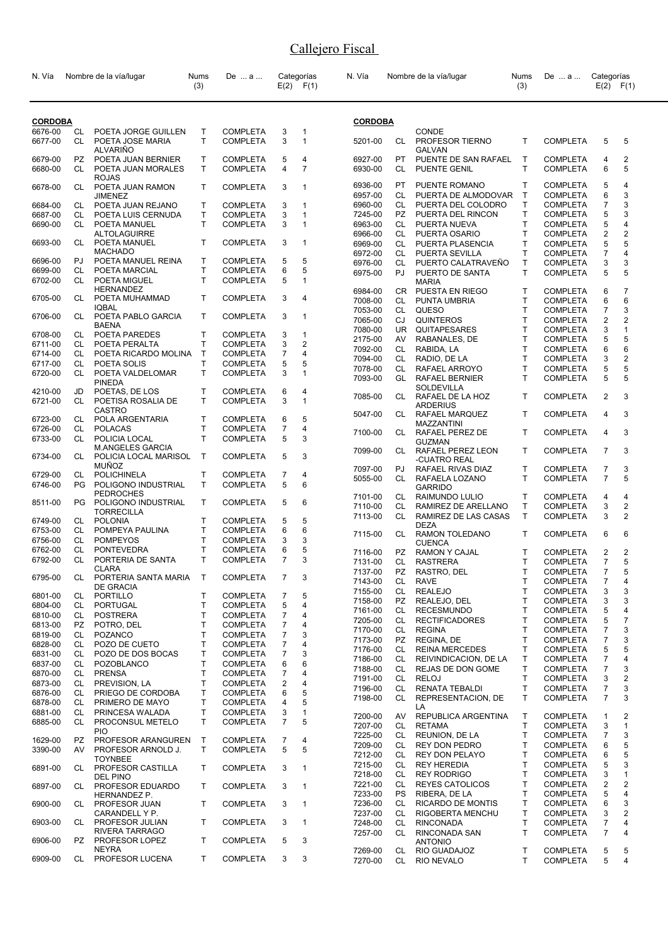| N. Vía             |           | Nombre de la vía/lugar                  | Nums<br>(3)  | De  a                              |                     | Categorías<br>$E(2)$ $F(1)$ | N. Vía             |           | Nombre de la vía/lugar                      | <b>Nums</b><br>(3) | De  a                              | Categorías     | $E(2)$ $F(1)$                  |
|--------------------|-----------|-----------------------------------------|--------------|------------------------------------|---------------------|-----------------------------|--------------------|-----------|---------------------------------------------|--------------------|------------------------------------|----------------|--------------------------------|
| <b>CORDOBA</b>     |           |                                         |              |                                    |                     |                             | <b>CORDOBA</b>     |           |                                             |                    |                                    |                |                                |
| 6676-00            | CL        | POETA JORGE GUILLEN                     | T            | <b>COMPLETA</b>                    | 3                   | 1                           |                    |           | CONDE                                       |                    |                                    |                |                                |
| 6677-00            | CL        | POETA JOSE MARIA                        | T.           | <b>COMPLETA</b>                    | 3                   | $\mathbf{1}$                | 5201-00            | CL.       | PROFESOR TIERNO                             | T                  | <b>COMPLETA</b>                    | 5              | 5                              |
| 6679-00            | PZ.       | <b>ALVARIÑO</b><br>POETA JUAN BERNIER   | T            | <b>COMPLETA</b>                    | 5                   | 4                           | 6927-00            | PT.       | GALVAN<br>PUENTE DE SAN RAFAEL              | $\mathsf{T}$       | <b>COMPLETA</b>                    | 4              | $\overline{2}$                 |
| 6680-00            | CL        | POETA JUAN MORALES                      | T            | <b>COMPLETA</b>                    | 4                   | $\overline{7}$              | 6930-00            | CL        | PUENTE GENIL                                | T                  | <b>COMPLETA</b>                    | 6              | 5                              |
| 6678-00            | CL        | <b>ROJAS</b><br>POETA JUAN RAMON        | T            | <b>COMPLETA</b>                    | 3                   | 1                           | 6936-00            | PT.       | PUENTE ROMANO                               | T                  | <b>COMPLETA</b>                    | 5              | 4                              |
|                    |           | <b>JIMENEZ</b>                          |              |                                    |                     |                             | 6957-00            | CL.       | PUERTA DE ALMODOVAR                         | $\mathsf{T}$       | <b>COMPLETA</b>                    | 6              | 3                              |
| 6684-00            | CL        | POETA JUAN REJANO                       | т            | <b>COMPLETA</b>                    | 3                   | 1                           | 6960-00            | CL        | PUERTA DEL COLODRO                          | т                  | <b>COMPLETA</b>                    | 7              | 3                              |
| 6687-00<br>6690-00 | CL<br>CL  | POETA LUIS CERNUDA<br>POETA MANUEL      | T.<br>T.     | <b>COMPLETA</b><br><b>COMPLETA</b> | 3<br>3              | 1<br>$\mathbf{1}$           | 7245-00<br>6963-00 | PZ<br>CL  | PUERTA DEL RINCON<br>PUERTA NUEVA           | Т<br>T             | <b>COMPLETA</b><br>COMPLETA        | 5<br>5         | 3<br>4                         |
|                    |           | <b>ALTOLAGUIRRE</b>                     |              |                                    |                     |                             | 6966-00            | CL        | PUERTA OSARIO                               | T                  | <b>COMPLETA</b>                    | 2              | $\overline{\mathbf{c}}$        |
| 6693-00            | CL.       | POETA MANUEL                            | T.           | <b>COMPLETA</b>                    | 3                   | 1                           | 6969-00            | CL.       | PUERTA PLASENCIA                            | T                  | <b>COMPLETA</b>                    | 5              | 5                              |
|                    |           | <b>MACHADO</b>                          |              |                                    |                     |                             | 6972-00            | CL        | PUERTA SEVILLA                              | T                  | <b>COMPLETA</b>                    | $\overline{7}$ | 4                              |
| 6696-00<br>6699-00 | PJ<br>CL  | POETA MANUEL REINA<br>POETA MARCIAL     | T<br>T.      | <b>COMPLETA</b><br><b>COMPLETA</b> | 5<br>6              | 5<br>5                      | 6976-00            | CL        | PUERTO CALATRAVEÑO                          | Τ                  | <b>COMPLETA</b>                    | 3              | 3                              |
| 6702-00            | CL        | POETA MIGUEL                            | T.           | <b>COMPLETA</b>                    | 5                   | 1                           | 6975-00            | PJ        | PUERTO DE SANTA<br><b>MARIA</b>             | T.                 | <b>COMPLETA</b>                    | 5              | 5                              |
|                    |           | <b>HERNANDEZ</b>                        |              |                                    |                     |                             | 6984-00            | CR        | PUESTA EN RIEGO                             | T                  | <b>COMPLETA</b>                    | 6              | 7                              |
| 6705-00            | CL        | POETA MUHAMMAD                          | T.           | <b>COMPLETA</b>                    | 3                   | 4                           | 7008-00            | CL        | PUNTA UMBRIA                                | T.                 | <b>COMPLETA</b>                    | 6              | 6                              |
| 6706-00            | CL.       | <b>IQBAL</b><br>POETA PABLO GARCIA      | T            | <b>COMPLETA</b>                    | 3                   | 1                           | 7053-00            | CL        | QUESO                                       | Τ                  | <b>COMPLETA</b>                    | $\overline{7}$ | 3                              |
|                    |           | <b>BAENA</b>                            |              |                                    |                     |                             | 7065-00            | CJ        | <b>QUINTEROS</b>                            | T                  | <b>COMPLETA</b>                    | 2              | $\overline{\mathbf{c}}$        |
| 6708-00            | CL        | POETA PAREDES                           | T            | <b>COMPLETA</b>                    | 3                   | 1                           | 7080-00            | <b>UR</b> | QUITAPESARES                                | T                  | <b>COMPLETA</b>                    | 3              | $\mathbf{1}$                   |
| 6711-00            | CL        | POETA PERALTA                           | T            | <b>COMPLETA</b>                    | 3                   | $\overline{2}$              | 2175-00<br>7092-00 | AV<br>CL  | RABANALES, DE<br>RABIDA, LA                 | Τ<br>T             | <b>COMPLETA</b><br><b>COMPLETA</b> | 5<br>6         | 5<br>6                         |
| 6714-00            | CL        | POETA RICARDO MOLINA                    | $\mathsf{T}$ | <b>COMPLETA</b>                    | 7                   | 4                           | 7094-00            | CL        | RADIO, DE LA                                | T                  | COMPLETA                           | 3              | $\boldsymbol{2}$               |
| 6717-00            | CL        | POETA SOLIS                             | T.           | <b>COMPLETA</b>                    | 5                   | 5                           | 7078-00            | CL        | RAFAEL ARROYO                               | T                  | <b>COMPLETA</b>                    | 5              | 5                              |
| 6720-00            | CL        | POETA VALDELOMAR<br><b>PINEDA</b>       | T.           | <b>COMPLETA</b>                    | 3                   | 1                           | 7093-00            | GL        | <b>RAFAEL BERNIER</b>                       | T                  | <b>COMPLETA</b>                    | 5              | 5                              |
| 4210-00            | JD        | POETAS, DE LOS                          | T.           | <b>COMPLETA</b>                    | 6                   | 4                           |                    |           | SOLDEVILLA                                  |                    |                                    |                |                                |
| 6721-00            | CL        | POETISA ROSALIA DE                      | T.           | <b>COMPLETA</b>                    | 3                   | $\mathbf{1}$                | 7085-00            | CL        | RAFAEL DE LA HOZ                            | T                  | <b>COMPLETA</b>                    | $\overline{2}$ | 3                              |
|                    |           | <b>CASTRO</b>                           |              |                                    |                     |                             | 5047-00            | CL.       | <b>ARDERIUS</b><br>RAFAEL MARQUEZ           | T                  | <b>COMPLETA</b>                    | 4              | 3                              |
| 6723-00            | CL        | POLA ARGENTARIA                         | T            | <b>COMPLETA</b>                    | 6                   | 5                           |                    |           | MAZZANTINI                                  |                    |                                    |                |                                |
| 6726-00<br>6733-00 | CL<br>CL  | <b>POLACAS</b><br>POLICIA LOCAL         | T.<br>T      | <b>COMPLETA</b><br><b>COMPLETA</b> | $\overline{7}$<br>5 | 4<br>3                      | 7100-00            | CL.       | RAFAEL PEREZ DE                             | T                  | <b>COMPLETA</b>                    | 4              | 3                              |
|                    |           | <b>M.ANGELES GARCIA</b>                 |              |                                    |                     |                             |                    |           | <b>GUZMAN</b>                               | T                  |                                    | $\overline{7}$ | 3                              |
| 6734-00            | CL        | POLICIA LOCAL MARISOL                   | Τ            | <b>COMPLETA</b>                    | 5                   | 3                           | 7099-00            | CL.       | RAFAEL PEREZ LEON<br>-CUATRO REAL           |                    | <b>COMPLETA</b>                    |                |                                |
|                    |           | <b>MUÑOZ</b>                            |              |                                    |                     |                             | 7097-00            | PJ.       | RAFAEL RIVAS DIAZ                           | т                  | <b>COMPLETA</b>                    | 7              | 3                              |
| 6729-00            | CL<br>PG  | POLICHINELA                             | т<br>T.      | <b>COMPLETA</b>                    | 7<br>5              | 4<br>6                      | 5055-00            | CL        | RAFAELA LOZANO                              | T                  | <b>COMPLETA</b>                    | $\overline{7}$ | 5                              |
| 6746-00            |           | POLIGONO INDUSTRIAL<br><b>PEDROCHES</b> |              | <b>COMPLETA</b>                    |                     |                             |                    |           | <b>GARRIDO</b>                              |                    |                                    |                |                                |
| 8511-00            | PG.       | POLIGONO INDUSTRIAL                     | T            | <b>COMPLETA</b>                    | 5                   | 6                           | 7101-00<br>7110-00 | CL.<br>CL | RAIMUNDO LULIO<br>RAMIREZ DE ARELLANO       | T<br>Τ             | <b>COMPLETA</b><br><b>COMPLETA</b> | 4<br>3         | 4<br>$\overline{\mathbf{c}}$   |
|                    |           | <b>TORRECILLA</b>                       |              |                                    |                     |                             | 7113-00            | CL        | RAMIREZ DE LAS CASAS                        | T                  | <b>COMPLETA</b>                    | 3              | 2                              |
| 6749-00            | CL        | <b>POLONIA</b>                          | т            | <b>COMPLETA</b>                    | 5                   | 5                           |                    |           | <b>DEZA</b>                                 |                    |                                    |                |                                |
| 6753-00<br>6756-00 | CL<br>CL  | POMPEYA PAULINA<br><b>POMPEYOS</b>      | T.<br>T      | <b>COMPLETA</b><br><b>COMPLETA</b> | 6<br>3              | 6<br>3                      | 7115-00            | CL        | RAMON TOLEDANO                              | Τ                  | <b>COMPLETA</b>                    | 6              | 6                              |
| 6762-00            | CL        | <b>PONTEVEDRA</b>                       | T.           | <b>COMPLETA</b>                    | 6                   | 5                           |                    |           | <b>CUENCA</b><br><b>RAMON Y CAJAL</b>       | T.                 |                                    | 2              | $\overline{2}$                 |
| 6792-00            | CL        | PORTERIA DE SANTA                       | т            | <b>COMPLETA</b>                    | 7                   | 3                           | 7116-00<br>7131-00 | PZ<br>CL  | <b>RASTRERA</b>                             | T                  | <b>COMPLETA</b><br><b>COMPLETA</b> | 7              | 5                              |
|                    |           | <b>CLARA</b>                            |              |                                    |                     |                             | 7137-00            | <b>PZ</b> | RASTRO, DEL                                 | Τ                  | <b>COMPLETA</b>                    | $\overline{7}$ | 5                              |
| 6795-00            | CL        | PORTERIA SANTA MARIA                    | Τ            | <b>COMPLETA</b>                    | 7                   | 3                           | 7143-00            | CL        | <b>RAVE</b>                                 | Τ                  | COMPLETA                           | 7              | 4                              |
| 6801-00            | CL        | <b>DE GRACIA</b><br>PORTILLO            | т            | <b>COMPLETA</b>                    | 7                   | 5                           | 7155-00            | CL        | <b>REALEJO</b>                              | T                  | <b>COMPLETA</b>                    | 3              | 3                              |
| 6804-00            | CL        | PORTUGAL                                | т            | <b>COMPLETA</b>                    | 5                   | 4                           | 7158-00            | PZ        | REALEJO, DEL                                | Τ                  | COMPLETA                           | 3              | 3                              |
| 6810-00            | CL        | <b>POSTRERA</b>                         | Τ            | <b>COMPLETA</b>                    | 7                   | 4                           | 7161-00            | CL        | <b>RECESMUNDO</b>                           | Τ                  | COMPLETA                           | 5              | 4                              |
| 6813-00            | PZ.       | POTRO, DEL                              | T            | <b>COMPLETA</b>                    | 7                   | 4                           | 7205-00<br>7170-00 | CL<br>CL  | <b>RECTIFICADORES</b><br><b>REGINA</b>      | Τ<br>Т             | COMPLETA<br>COMPLETA               | 5<br>7         | $\overline{\mathfrak{c}}$<br>3 |
| 6819-00            | CL        | <b>POZANCO</b>                          | T            | <b>COMPLETA</b>                    | 7                   | 3                           | 7173-00            | PZ        | REGINA, DE                                  | T                  | <b>COMPLETA</b>                    | 7              | 3                              |
| 6828-00            | CL        | POZO DE CUETO                           | Т            | <b>COMPLETA</b>                    | 7                   | 4                           | 7176-00            | CL        | <b>REINA MERCEDES</b>                       | Т                  | COMPLETA                           | 5              | 5                              |
| 6831-00<br>6837-00 | CL<br>CL. | POZO DE DOS BOCAS<br><b>POZOBLANCO</b>  | т<br>т       | <b>COMPLETA</b><br><b>COMPLETA</b> | 7<br>6              | 3<br>6                      | 7186-00            | CL        | REIVINDICACION, DE LA                       | Τ                  | COMPLETA                           | 7              | 4                              |
| 6870-00            | CL        | <b>PRENSA</b>                           | T.           | <b>COMPLETA</b>                    | 7                   | 4                           | 7188-00            | CL        | REJAS DE DON GOME                           | Τ                  | <b>COMPLETA</b>                    | 7              | 3                              |
| 6873-00            | CL        | PREVISION, LA                           | т            | <b>COMPLETA</b>                    | 2                   | 4                           | 7191-00            | CL        | <b>RELOJ</b>                                | T                  | <b>COMPLETA</b>                    | 3              | 2                              |
| 6876-00            | CL        | PRIEGO DE CORDOBA                       | T.           | <b>COMPLETA</b>                    | 6                   | 5                           | 7196-00<br>7198-00 | CL<br>CL  | <b>RENATA TEBALDI</b><br>REPRESENTACION, DE | Τ<br>T             | <b>COMPLETA</b><br>COMPLETA        | 7<br>7         | 3<br>3                         |
| 6878-00            | CL        | PRIMERO DE MAYO                         | т            | <b>COMPLETA</b>                    | 4                   | 5                           |                    |           | LA                                          |                    |                                    |                |                                |
| 6881-00            | CL        | PRINCESA WALADA                         | T            | <b>COMPLETA</b>                    | 3                   | 1                           | 7200-00            | AV        | REPUBLICA ARGENTINA                         | Τ                  | COMPLETA                           | 1              | 2                              |
| 6885-00            | CL        | PROCONSUL METELO<br><b>PIO</b>          | T            | <b>COMPLETA</b>                    | 7                   | 5                           | 7207-00            | CL        | <b>RETAMA</b>                               | T.                 | <b>COMPLETA</b>                    | 3              | 1                              |
| 1629-00            | PZ        | PROFESOR ARANGUREN                      | Τ            | <b>COMPLETA</b>                    | 7                   | 4                           | 7225-00            | CL        | REUNION, DE LA                              | Τ                  | <b>COMPLETA</b>                    | 7              | 3                              |
| 3390-00            | AV        | PROFESOR ARNOLD J.                      | T            | <b>COMPLETA</b>                    | 5                   | 5                           | 7209-00            | CL        | <b>REY DON PEDRO</b>                        | Τ                  | <b>COMPLETA</b>                    | 6              | 5                              |
|                    |           | <b>TOYNBEE</b>                          |              |                                    |                     |                             | 7212-00<br>7215-00 | CL<br>CL  | <b>REY DON PELAYO</b><br><b>REY HEREDIA</b> | Τ<br>Τ             | <b>COMPLETA</b><br><b>COMPLETA</b> | 6<br>5         | 5<br>3                         |
| 6891-00            | CL.       | PROFESOR CASTILLA                       | $\mathsf{T}$ | <b>COMPLETA</b>                    | 3                   | 1                           | 7218-00            | CL        | <b>REY RODRIGO</b>                          | Τ                  | <b>COMPLETA</b>                    | 3              | $\mathbf{1}$                   |
| 6897-00            | CL        | DEL PINO<br>PROFESOR EDUARDO            | T            | <b>COMPLETA</b>                    | 3                   | 1                           | 7221-00            | CL        | <b>REYES CATOLICOS</b>                      | Т                  | <b>COMPLETA</b>                    | 2              | 2                              |
|                    |           | HERNANDEZ P.                            |              |                                    |                     |                             | 7233-00            | PS        | RIBERA, DE LA                               | Τ                  | <b>COMPLETA</b>                    | 5              | 4                              |
| 6900-00            | CL        | PROFESOR JUAN                           | T            | <b>COMPLETA</b>                    | 3                   | $\mathbf{1}$                | 7236-00            | CL        | RICARDO DE MONTIS                           | Τ                  | <b>COMPLETA</b>                    | 6              | 3                              |
|                    |           | CARANDELL Y P.                          |              |                                    |                     |                             | 7237-00            | CL        | RIGOBERTA MENCHU                            | T                  | <b>COMPLETA</b>                    | 3              | 2                              |
| 6903-00            | CL.       | PROFESOR JULIAN<br>RIVERA TARRAGO       | T            | <b>COMPLETA</b>                    | 3                   | 1                           | 7248-00            | CL<br>CL  | <b>RINCONADA</b><br><b>RINCONADA SAN</b>    | T<br>T             | <b>COMPLETA</b>                    | 7<br>7         | 4<br>4                         |
| 6906-00            | PZ        | PROFESOR LOPEZ<br><b>NEYRA</b>          | Т            | <b>COMPLETA</b>                    | 5                   | 3                           | 7257-00            |           | <b>ANTONIO</b>                              |                    | <b>COMPLETA</b>                    |                |                                |
| 6909-00            | CL        | PROFESOR LUCENA                         | Т            | <b>COMPLETA</b>                    | 3                   | 3                           | 7269-00<br>7270-00 | CL<br>CL  | RIO GUADAJOZ<br>RIO NEVALO                  | т<br>T             | <b>COMPLETA</b><br><b>COMPLETA</b> | 5<br>5         | 5<br>4                         |
|                    |           |                                         |              |                                    |                     |                             |                    |           |                                             |                    |                                    |                |                                |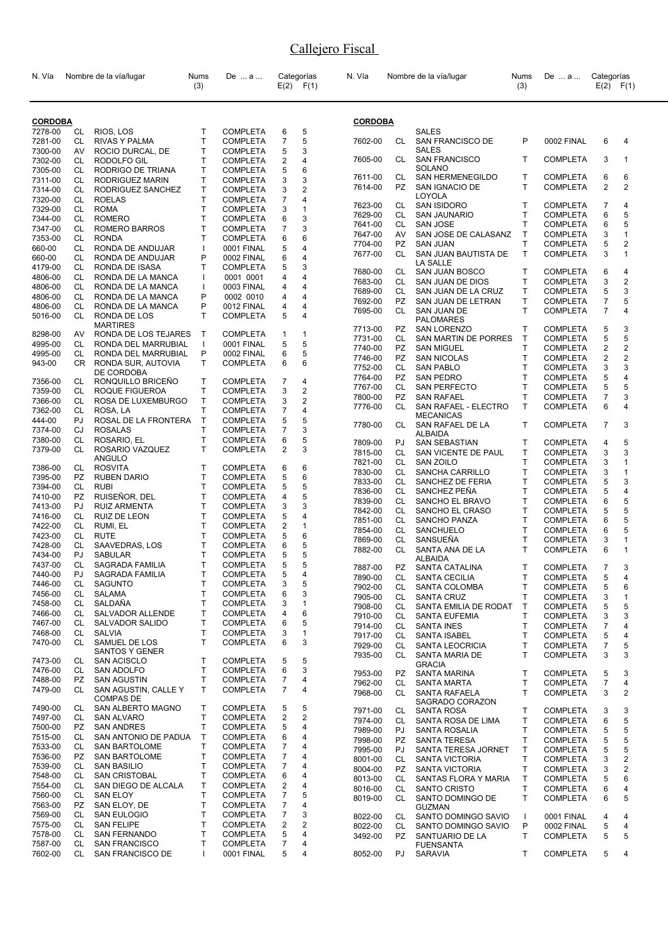| N. Vía             |                 | Nombre de la vía/lugar                       | Nums<br>(3)                  | De  a                              |                     | Categorías<br>$E(2)$ $F(1)$ | N. Vía             |           | Nombre de la vía/lugar                                | Nums<br>(3)  | De  a                              | Categorías          | $E(2)$ $F(1)$     |
|--------------------|-----------------|----------------------------------------------|------------------------------|------------------------------------|---------------------|-----------------------------|--------------------|-----------|-------------------------------------------------------|--------------|------------------------------------|---------------------|-------------------|
| <b>CORDOBA</b>     |                 |                                              |                              |                                    |                     |                             | <b>CORDOBA</b>     |           |                                                       |              |                                    |                     |                   |
| 7278-00<br>7281-00 | CL<br><b>CL</b> | RIOS, LOS<br><b>RIVAS Y PALMA</b>            | T<br>T                       | <b>COMPLETA</b><br><b>COMPLETA</b> | 6<br>$\overline{7}$ | 5<br>5                      | 7602-00            | CL        | <b>SALES</b><br>SAN FRANCISCO DE                      | P            | 0002 FINAL                         | 6                   | 4                 |
| 7300-00            | AV              | ROCIO DURCAL, DE                             | T                            | <b>COMPLETA</b>                    | 5                   | 3                           |                    |           | <b>SALES</b>                                          |              |                                    |                     |                   |
| 7302-00            | CL              | RODOLFO GIL                                  | T                            | <b>COMPLETA</b>                    | 2                   | 4                           | 7605-00            | CL        | <b>SAN FRANCISCO</b>                                  | T            | <b>COMPLETA</b>                    | 3                   | $\mathbf{1}$      |
| 7305-00            | CL              | RODRIGO DE TRIANA                            | Т                            | <b>COMPLETA</b>                    | 5                   | 6                           | 7611-00            | CL        | <b>SOLANO</b><br>SAN HERMENEGILDO                     | т            | <b>COMPLETA</b>                    | 6                   | 6                 |
| 7311-00<br>7314-00 | <b>CL</b><br>CL | RODRIGUEZ MARIN<br>RODRIGUEZ SANCHEZ         | T<br>Т                       | <b>COMPLETA</b><br><b>COMPLETA</b> | 3<br>3              | 3<br>2                      | 7614-00            | PZ        | SAN IGNACIO DE                                        | T            | <b>COMPLETA</b>                    | $\overline{2}$      | $\overline{2}$    |
| 7320-00            | CL              | <b>ROELAS</b>                                | $\mathsf{T}$                 | <b>COMPLETA</b>                    | 7                   | 4                           |                    |           | LOYOLA                                                |              |                                    |                     |                   |
| 7329-00            | CL              | <b>ROMA</b>                                  | T                            | <b>COMPLETA</b>                    | 3                   | $\mathbf{1}$                | 7623-00            | CL        | <b>SAN ISIDORO</b>                                    | т            | <b>COMPLETA</b>                    | $\overline{7}$      | 4                 |
| 7344-00            | CL              | <b>ROMERO</b>                                | T                            | <b>COMPLETA</b>                    | 6                   | 3                           | 7629-00<br>7641-00 | CL<br>CL  | <b>SAN JAUNARIO</b><br><b>SAN JOSE</b>                | T<br>Т       | <b>COMPLETA</b><br><b>COMPLETA</b> | 6<br>6              | 5<br>5            |
| 7347-00            | <b>CL</b>       | <b>ROMERO BARROS</b>                         | $\mathsf{T}$<br>T            | <b>COMPLETA</b>                    | $\overline{7}$      | 3<br>6                      | 7647-00            | AV        | SAN JOSE DE CALASANZ                                  | T            | <b>COMPLETA</b>                    | 3                   | 1                 |
| 7353-00<br>660-00  | CL<br>CL        | <b>RONDA</b><br>RONDA DE ANDUJAR             | $\mathbf{I}$                 | <b>COMPLETA</b><br>0001 FINAL      | 6<br>5              | 4                           | 7704-00            | PZ        | <b>SAN JUAN</b>                                       | T            | <b>COMPLETA</b>                    | 5                   | $\overline{2}$    |
| 660-00             | СL              | RONDA DE ANDUJAR                             | P                            | 0002 FINAL                         | 6                   | 4                           | 7677-00            | <b>CL</b> | SAN JUAN BAUTISTA DE                                  | T            | <b>COMPLETA</b>                    | 3                   | $\mathbf{1}$      |
| 4179-00            | CL.             | RONDA DE ISASA                               | T                            | <b>COMPLETA</b>                    | 5                   | 3                           | 7680-00            | CL        | LA SALLE<br>SAN JUAN BOSCO                            | т            | <b>COMPLETA</b>                    | 6                   | 4                 |
| 4806-00            | CL              | RONDA DE LA MANCA                            | -1                           | 0001 0001                          | 4                   | 4                           | 7683-00            | CL        | SAN JUAN DE DIOS                                      | T            | <b>COMPLETA</b>                    | 3                   | $\overline{2}$    |
| 4806-00<br>4806-00 | CL<br>CL        | RONDA DE LA MANCA<br>RONDA DE LA MANCA       | -1<br>P                      | 0003 FINAL<br>0002 0010            | 4<br>4              | 4<br>4                      | 7689-00            | CL        | SAN JUAN DE LA CRUZ                                   | Т            | <b>COMPLETA</b>                    | 5                   | 3                 |
| 4806-00            | CL              | RONDA DE LA MANCA                            | P                            | 0012 FINAL                         | 4                   | 4                           | 7692-00            | <b>PZ</b> | SAN JUAN DE LETRAN                                    | T            | <b>COMPLETA</b>                    | 7                   | 5                 |
| 5016-00            | CL              | RONDA DE LOS<br><b>MARTIRES</b>              | T                            | <b>COMPLETA</b>                    | 5                   | 4                           | 7695-00<br>7713-00 | CL<br>PZ. | SAN JUAN DE<br><b>PALOMARES</b><br><b>SAN LORENZO</b> | T<br>т       | <b>COMPLETA</b><br><b>COMPLETA</b> | $\overline{7}$<br>5 | 4<br>3            |
| 8298-00            | AV              | RONDA DE LOS TEJARES                         | Т                            | <b>COMPLETA</b>                    | 1                   | 1                           | 7731-00            | CL        | SAN MARTIN DE PORRES                                  | Τ            | <b>COMPLETA</b>                    | 5                   | 5                 |
| 4995-00<br>4995-00 | CL<br>CL        | RONDA DEL MARRUBIAL<br>RONDA DEL MARRUBIAL   | $\mathbf{I}$<br>P            | 0001 FINAL<br>0002 FINAL           | 5<br>6              | 5<br>5                      | 7740-00            | <b>PZ</b> | <b>SAN MIGUEL</b>                                     | T            | <b>COMPLETA</b>                    | $\overline{2}$      | $\overline{2}$    |
| 943-00             | CR.             | RONDA SUR, AUTOVIA                           | T                            | <b>COMPLETA</b>                    | 6                   | 6                           | 7746-00            | <b>PZ</b> | <b>SAN NICOLAS</b>                                    | T            | <b>COMPLETA</b>                    | $\overline{2}$      | $\overline{2}$    |
|                    |                 | DE CORDOBA                                   |                              |                                    |                     |                             | 7752-00<br>7764-00 | CL<br>PZ. | <b>SAN PABLO</b><br><b>SAN PEDRO</b>                  | T<br>T       | <b>COMPLETA</b><br><b>COMPLETA</b> | 3<br>5              | 3<br>4            |
| 7356-00            | CL              | RONQUILLO BRICEÑO                            | Т                            | <b>COMPLETA</b>                    | 7                   | 4                           | 7767-00            | CL        | <b>SAN PERFECTO</b>                                   | T            | <b>COMPLETA</b>                    | 5                   | 5                 |
| 7359-00<br>7366-00 | CL<br>CL        | ROQUE FIGUEROA<br>ROSA DE LUXEMBURGO         | Τ<br>T                       | <b>COMPLETA</b><br><b>COMPLETA</b> | 3<br>3              | 2<br>2                      | 7800-00            | PZ        | <b>SAN RAFAEL</b>                                     | Т            | <b>COMPLETA</b>                    | 7                   | 3                 |
| 7362-00            | <b>CL</b>       | ROSA, LA                                     | T                            | <b>COMPLETA</b>                    | 7                   | 4                           | 7776-00            | CL        | SAN RAFAEL - ELECTRO                                  | T            | <b>COMPLETA</b>                    | 6                   | 4                 |
| 444-00             | PJ              | ROSAL DE LA FRONTERA                         | Т                            | <b>COMPLETA</b>                    | 5                   | 5                           | 7780-00            | CL        | <b>MECANICAS</b><br>SAN RAFAEL DE LA                  | T            | <b>COMPLETA</b>                    | $\overline{7}$      | 3                 |
| 7374-00            | CJ              | <b>ROSALAS</b>                               | $\mathsf{T}$                 | <b>COMPLETA</b>                    | $\overline{7}$      | 3                           |                    |           | <b>ALBAIDA</b>                                        |              |                                    |                     |                   |
| 7380-00<br>7379-00 | CL<br>CL.       | ROSARIO, EL                                  | T<br>T                       | COMPLETA                           | 6<br>$\overline{2}$ | 5<br>3                      | 7809-00            | PJ.       | <b>SAN SEBASTIAN</b>                                  | T            | <b>COMPLETA</b>                    | 4                   | 5                 |
|                    |                 | ROSARIO VAZQUEZ<br>ANGULO                    |                              | <b>COMPLETA</b>                    |                     |                             | 7815-00            | CL        | SAN VICENTE DE PAUL                                   | Τ            | <b>COMPLETA</b>                    | 3                   | 3                 |
| 7386-00            | CL              | <b>ROSVITA</b>                               | T                            | <b>COMPLETA</b>                    | 6                   | 6                           | 7821-00<br>7830-00 | CL<br>CL  | <b>SAN ZOILO</b><br>SANCHA CARRILLO                   | T<br>Τ       | <b>COMPLETA</b><br><b>COMPLETA</b> | 3<br>3              | 1<br>$\mathbf{1}$ |
| 7395-00            | PZ              | <b>RUBEN DARIO</b>                           | T                            | <b>COMPLETA</b>                    | 5                   | 6                           | 7833-00            | CL        | SANCHEZ DE FERIA                                      | T            | <b>COMPLETA</b>                    | 5                   | 3                 |
| 7394-00<br>7410-00 | CL<br><b>PZ</b> | <b>RUBI</b><br>RUISEÑOR, DEL                 | T<br>$\mathsf{T}$            | <b>COMPLETA</b><br><b>COMPLETA</b> | 5<br>4              | 5<br>5                      | 7836-00            | CL        | SANCHEZ PEÑA                                          | T            | <b>COMPLETA</b>                    | 5                   | 4                 |
| 7413-00            | PJ              | <b>RUIZ ARMENTA</b>                          | Т                            | <b>COMPLETA</b>                    | 3                   | 3                           | 7839-00            | CL        | SANCHO EL BRAVO                                       | Т            | <b>COMPLETA</b>                    | 6                   | 5                 |
| 7416-00            | CL.             | RUIZ DE LEON                                 | Т                            | <b>COMPLETA</b>                    | 5                   | 4                           | 7842-00<br>7851-00 | CL<br>CL  | SANCHO EL CRASO<br>SANCHO PANZA                       | Т<br>Т       | <b>COMPLETA</b>                    | 5<br>6              | 5<br>5            |
| 7422-00            | CL              | RUMI, EL                                     | Т                            | <b>COMPLETA</b>                    | 2                   | $\mathbf{1}$                | 7854-00            | <b>CL</b> | SANCHUELO                                             | T            | COMPLETA<br><b>COMPLETA</b>        | 6                   | 5                 |
| 7423-00            | CL              | <b>RUTE</b>                                  | T                            | <b>COMPLETA</b>                    | 5                   | 6                           | 7869-00            | CL        | SANSUEÑA                                              | T            | <b>COMPLETA</b>                    | 3                   | 1                 |
| 7428-00<br>7434-00 | CL<br>PJ        | SAAVEDRAS, LOS<br><b>SABULAR</b>             | $\mathsf{T}$<br>$\mathsf{T}$ | <b>COMPLETA</b><br><b>COMPLETA</b> | 6<br>5              | 5<br>5                      | 7882-00            | CL        | SANTA ANA DE LA                                       | T            | <b>COMPLETA</b>                    | 6                   | 1                 |
| 7437-00            | CL              | SAGRADA FAMILIA                              | T                            | <b>COMPLETA</b>                    | 5                   | 5                           | 7887-00            | <b>PZ</b> | ALBAIDA<br>SANTA CATALINA                             | т            | <b>COMPLETA</b>                    | $\overline{7}$      | 3                 |
| 7440-00            | PJ.             | SAGRADA FAMILIA                              | Τ                            | COMPLETA                           | 5                   | 4                           | 7890-00            | CL        | SANTA CECILIA                                         | Τ            | <b>COMPLETA</b>                    | 5                   | 4                 |
| 7446-00            | CL              | <b>SAGUNTO</b>                               | T                            | <b>COMPLETA</b>                    | 3                   | 5                           | 7902-00            | CL        | <b>SANTA COLOMBA</b>                                  | Τ            | <b>COMPLETA</b>                    | 5                   | 6                 |
| 7456-00<br>7458-00 | CL<br>CL        | SALAMA<br>SALDAÑA                            | $\mathsf{T}$<br>Т            | <b>COMPLETA</b><br><b>COMPLETA</b> | 6<br>3              | 3<br>1                      | 7905-00            | CL        | <b>SANTA CRUZ</b>                                     | T            | <b>COMPLETA</b>                    | 3                   | 1                 |
| 7466-00            | CL              | SALVADOR ALLENDE                             | т                            | <b>COMPLETA</b>                    | 4                   | 6                           | 7908-00<br>7910-00 | CL<br>CL  | SANTA EMILIA DE RODAT<br><b>SANTA EUFEMIA</b>         | т<br>Т       | <b>COMPLETA</b><br><b>COMPLETA</b> | 5<br>3              | 5<br>3            |
| 7467-00            | CL              | SALVADOR SALIDO                              | Т                            | <b>COMPLETA</b>                    | 6                   | 5                           | 7914-00            | CL        | <b>SANTA INES</b>                                     | T            | <b>COMPLETA</b>                    | 7                   | 4                 |
| 7468-00            | CL              | <b>SALVIA</b>                                | T                            | <b>COMPLETA</b>                    | 3                   | 1                           | 7917-00            | CL        | <b>SANTA ISABEL</b>                                   | т            | <b>COMPLETA</b>                    | 5                   | 4                 |
| 7470-00            | CL              | SAMUEL DE LOS<br>SANTOS Y GENER              | T                            | <b>COMPLETA</b>                    | 6                   | 3                           | 7929-00            | CL        | SANTA LEOCRICIA                                       | T            | <b>COMPLETA</b>                    | 7                   | 5                 |
| 7473-00            | CL              | <b>SAN ACISCLO</b>                           | T                            | <b>COMPLETA</b>                    | 5                   | 5                           | 7935-00            | CL        | SANTA MARIA DE<br><b>GRACIA</b>                       | T            | <b>COMPLETA</b>                    | 3                   | 3                 |
| 7476-00            | CL              | SAN ADOLFO                                   | T                            | <b>COMPLETA</b>                    | 6                   | 3                           | 7953-00            | PZ.       | <b>SANTA MARINA</b>                                   | т            | <b>COMPLETA</b>                    | 5                   | 3                 |
| 7488-00            | <b>PZ</b>       | <b>SAN AGUSTIN</b>                           | T                            | <b>COMPLETA</b>                    | 7                   | 4                           | 7962-00            | CL        | <b>SANTA MARTA</b>                                    | Т            | <b>COMPLETA</b>                    | 7                   | 4                 |
| 7479-00            | CL              | SAN AGUSTIN, CALLEY<br><b>COMPAS DE</b>      | T                            | <b>COMPLETA</b>                    | 7                   | 4                           | 7968-00            | CL        | <b>SANTA RAFAELA</b>                                  | T            | COMPLETA                           | 3                   | 2                 |
| 7490-00            | CL              | SAN ALBERTO MAGNO                            | Т                            | <b>COMPLETA</b>                    | 5                   | 5                           | 7971-00            | CL        | SAGRADO CORAZON<br>SANTA ROSA                         | т            | COMPLETA                           | 3                   | 3                 |
| 7497-00            | CL              | SAN ALVARO                                   | T                            | <b>COMPLETA</b>                    | 2                   | 2                           | 7974-00            | <b>CL</b> | SANTA ROSA DE LIMA                                    | Τ            | <b>COMPLETA</b>                    | 6                   | 5                 |
| 7500-00            | <b>PZ</b>       | <b>SAN ANDRES</b>                            | T                            | <b>COMPLETA</b>                    | 5                   | 4                           | 7989-00            | PJ        | SANTA ROSALIA                                         | Т            | <b>COMPLETA</b>                    | 5                   | 5                 |
| 7515-00<br>7533-00 | CL<br>CL        | SAN ANTONIO DE PADUA<br><b>SAN BARTOLOME</b> | Т<br>$\mathsf{T}$            | <b>COMPLETA</b><br><b>COMPLETA</b> | 6<br>7              | 4<br>4                      | 7998-00            | PZ        | SANTA TERESA                                          | Τ            | COMPLETA                           | 5                   | 5                 |
| 7536-00            | PZ.             | SAN BARTOLOME                                | т                            | <b>COMPLETA</b>                    | 7                   | 4                           | 7995-00<br>8001-00 | PJ<br>CL  | SANTA TERESA JORNET<br><b>SANTA VICTORIA</b>          | Т<br>T       | <b>COMPLETA</b><br><b>COMPLETA</b> | 5<br>3              | 5<br>2            |
| 7539-00            | CL              | <b>SAN BASILIO</b>                           | $\mathsf{T}$                 | <b>COMPLETA</b>                    | 7                   | 4                           | 8004-00            | PZ.       | <b>SANTA VICTORIA</b>                                 | Τ            | <b>COMPLETA</b>                    | 3                   | 2                 |
| 7548-00            | CL              | <b>SAN CRISTOBAL</b>                         | $\mathsf{T}$                 | <b>COMPLETA</b>                    | 6                   | 4                           | 8013-00            | CL        | SANTAS FLORA Y MARIA                                  | T            | <b>COMPLETA</b>                    | 5                   | 6                 |
| 7554-00<br>7560-00 | CL<br>CL        | SAN DIEGO DE ALCALA<br><b>SAN ELOY</b>       | Т<br>T                       | <b>COMPLETA</b><br><b>COMPLETA</b> | 2<br>7              | 4<br>5                      | 8016-00            | CL        | SANTO CRISTO                                          | T            | <b>COMPLETA</b>                    | 6                   | 4                 |
| 7563-00            | PZ              | SAN ELOY, DE                                 | T                            | <b>COMPLETA</b>                    | 7                   | 4                           | 8019-00            | CL        | SANTO DOMINGO DE<br><b>GUZMAN</b>                     | T            | <b>COMPLETA</b>                    | 6                   | 5                 |
| 7569-00            | CL              | SAN EULOGIO                                  | T                            | <b>COMPLETA</b>                    | 7                   | 3                           | 8022-00            | CL        | SANTO DOMINGO SAVIO                                   | $\mathbf{I}$ | 0001 FINAL                         | 4                   | 4                 |
| 7575-00            | CL              | <b>SAN FELIPE</b>                            | Τ                            | <b>COMPLETA</b>                    | 2                   | 2                           | 8022-00            | CL        | SANTO DOMINGO SAVIO                                   | P            | 0002 FINAL                         | 5                   | 4                 |
| 7578-00<br>7587-00 | CL<br>CL        | SAN FERNANDO<br><b>SAN FRANCISCO</b>         | T<br>Τ                       | <b>COMPLETA</b><br><b>COMPLETA</b> | 5<br>7              | 4<br>4                      | 3492-00            | PZ.       | SANTUARIO DE LA                                       | T            | <b>COMPLETA</b>                    | 5                   | 5                 |
| 7602-00            | CL              | SAN FRANCISCO DE                             | $\mathbf{I}$                 | 0001 FINAL                         | 5                   | 4                           | 8052-00            | PJ        | <b>FUENSANTA</b><br>SARAVIA                           | т            | <b>COMPLETA</b>                    | 5                   | 4                 |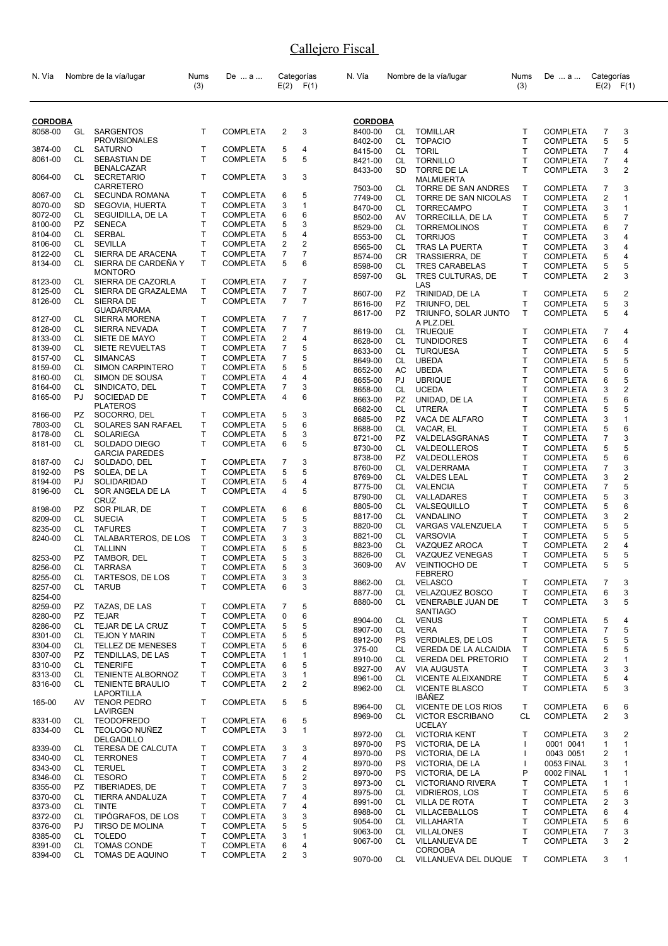| N. Vía             |           | Nombre de la vía/lugar                    | Nums<br>(3) | De  a                              |                | Categorías<br>$E(2)$ $F(1)$ | N. Vía             |           | Nombre de la vía/lugar                             | <b>Nums</b><br>(3)       | De  a                              | Categorías                | $E(2)$ $F(1)$       |
|--------------------|-----------|-------------------------------------------|-------------|------------------------------------|----------------|-----------------------------|--------------------|-----------|----------------------------------------------------|--------------------------|------------------------------------|---------------------------|---------------------|
| <b>CORDOBA</b>     |           |                                           |             |                                    |                |                             | <b>CORDOBA</b>     |           |                                                    |                          |                                    |                           |                     |
| 8058-00            | GL        | SARGENTOS                                 | T           | <b>COMPLETA</b>                    | 2              | 3                           | 8400-00            | CL        | <b>TOMILLAR</b>                                    | т                        | <b>COMPLETA</b>                    | 7                         | 3                   |
|                    |           | <b>PROVISIONALES</b>                      |             |                                    |                |                             | 8402-00            | <b>CL</b> | <b>TOPACIO</b>                                     | T.                       | <b>COMPLETA</b>                    | 5                         | 5                   |
| 3874-00            | CL        | <b>SATURNO</b>                            | т           | <b>COMPLETA</b>                    | 5              | 4                           | 8415-00            | CL        | <b>TORIL</b>                                       | T.                       | <b>COMPLETA</b>                    | 7                         | 4                   |
| 8061-00            | <b>CL</b> | SEBASTIAN DE                              | T           | <b>COMPLETA</b>                    | 5              | 5                           | 8421-00            | <b>CL</b> | <b>TORNILLO</b>                                    | T                        | <b>COMPLETA</b>                    | 7                         | 4                   |
|                    |           | <b>BENALCAZAR</b>                         |             |                                    |                |                             | 8433-00            | <b>SD</b> | <b>TORRE DE LA</b>                                 | T                        | <b>COMPLETA</b>                    | 3                         | $\overline{2}$      |
| 8064-00            | CL        | <b>SECRETARIO</b>                         | т           | <b>COMPLETA</b>                    | 3              | 3                           |                    |           | <b>MALMUERTA</b>                                   |                          |                                    |                           |                     |
|                    |           | CARRETERO                                 |             |                                    |                |                             | 7503-00            | CL        | TORRE DE SAN ANDRES                                | Τ                        | <b>COMPLETA</b>                    | 7                         | 3                   |
| 8067-00<br>8070-00 | CL<br>SD  | <b>SECUNDA ROMANA</b><br>SEGOVIA, HUERTA  | т<br>Τ      | <b>COMPLETA</b><br><b>COMPLETA</b> | 6<br>3         | 5<br>1                      | 7749-00            | CL        | TORRE DE SAN NICOLAS                               | T                        | <b>COMPLETA</b>                    | 2                         | 1                   |
| 8072-00            | CL        | SEGUIDILLA, DE LA                         | T           | <b>COMPLETA</b>                    | 6              | 6                           | 8470-00            | <b>CL</b> | <b>TORRECAMPO</b>                                  | T.                       | <b>COMPLETA</b>                    | 3                         | $\mathbf{1}$        |
| 8100-00            | PZ        | <b>SENECA</b>                             | T           | <b>COMPLETA</b>                    | 5              | 3                           | 8502-00            | AV        | TORRECILLA, DE LA                                  | т                        | <b>COMPLETA</b>                    | 5                         | $\overline{7}$      |
| 8104-00            | CL        | SERBAL                                    | Τ           | <b>COMPLETA</b>                    | 5              | 4                           | 8529-00            | CL.       | <b>TORREMOLINOS</b>                                | т                        | <b>COMPLETA</b>                    | 6                         | $\overline{7}$      |
| 8106-00            | CL        | <b>SEVILLA</b>                            | T           | COMPLETA                           | 2              | 2                           | 8553-00<br>8565-00 | CL<br>CL  | <b>TORRIJOS</b><br><b>TRAS LA PUERTA</b>           | т<br>T.                  | <b>COMPLETA</b><br><b>COMPLETA</b> | 3<br>3                    | 4<br>4              |
| 8122-00            | CL        | SIERRA DE ARACENA                         | Τ           | COMPLETA                           | 7              | 7                           | 8574-00            | CR.       | TRASSIERRA, DE                                     | T.                       | <b>COMPLETA</b>                    | 5                         | 4                   |
| 8134-00            | CL.       | SIERRA DE CARDEÑA Y                       | т           | COMPLETA                           | 5              | 6                           | 8598-00            | CL        | <b>TRES CARABELAS</b>                              | т                        | <b>COMPLETA</b>                    | 5                         | 5                   |
|                    |           | <b>MONTORO</b>                            |             |                                    |                |                             | 8597-00            | GL        | TRES CULTURAS, DE                                  | T.                       | <b>COMPLETA</b>                    | 2                         | 3                   |
| 8123-00            | CL        | SIERRA DE CAZORLA                         | Τ           | <b>COMPLETA</b>                    | 7              | $\overline{7}$              |                    |           | LAS                                                |                          |                                    |                           |                     |
| 8125-00            | CL.       | SIERRA DE GRAZALEMA                       | T           | <b>COMPLETA</b>                    | 7              | $\overline{7}$              | 8607-00            | PZ        | TRINIDAD, DE LA                                    | T                        | <b>COMPLETA</b>                    | 5                         | $\overline{2}$      |
| 8126-00            | CL        | SIERRA DE                                 | T           | COMPLETA                           | $\overline{7}$ | $\overline{7}$              | 8616-00            | PZ        | TRIUNFO, DEL                                       | т                        | <b>COMPLETA</b>                    | 5                         | 3                   |
| 8127-00            | CL        | <b>GUADARRAMA</b><br><b>SIERRA MORENA</b> | т           | <b>COMPLETA</b>                    | 7              | 7                           | 8617-00            | PZ.       | TRIUNFO, SOLAR JUNTO                               | T.                       | <b>COMPLETA</b>                    | 5                         | 4                   |
| 8128-00            | CL        | SIERRA NEVADA                             | T           | COMPLETA                           | 7              | $\overline{7}$              |                    |           | A PLZ.DEL                                          |                          |                                    |                           |                     |
| 8133-00            | CL        | SIETE DE MAYO                             | Τ           | <b>COMPLETA</b>                    | 2              | 4                           | 8619-00            | CL        | <b>TRUEQUE</b>                                     | Τ                        | <b>COMPLETA</b>                    | 7                         | 4<br>4              |
| 8139-00            | CL        | SIETE REVUELTAS                           | Τ           | <b>COMPLETA</b>                    | 7              | 5                           | 8628-00<br>8633-00 | СL<br>CL  | <b>TUNDIDORES</b><br><b>TURQUESA</b>               | т<br>т                   | <b>COMPLETA</b><br>COMPLETA        | 6<br>5                    | 5                   |
| 8157-00            | CL        | <b>SIMANCAS</b>                           | T           | COMPLETA                           | 7              | 5                           | 8649-00            | CL        | <b>UBEDA</b>                                       | т                        | <b>COMPLETA</b>                    | 5                         | 5                   |
| 8159-00            | CL        | <b>SIMON CARPINTERO</b>                   | T           | <b>COMPLETA</b>                    | 5              | 5                           | 8652-00            | AC        | <b>UBEDA</b>                                       | т                        | <b>COMPLETA</b>                    | 5                         | 6                   |
| 8160-00            | CL        | SIMON DE SOUSA                            | T           | COMPLETA                           | 4              | 4                           | 8655-00            | PJ        | <b>UBRIQUE</b>                                     | T                        | <b>COMPLETA</b>                    | 6                         | 5                   |
| 8164-00            | CL        | SINDICATO, DEL                            | Τ           | COMPLETA                           | 7              | 3                           | 8658-00            | CL.       | <b>UCEDA</b>                                       | T.                       | <b>COMPLETA</b>                    | 3                         | $\overline{2}$      |
| 8165-00            | PJ        | SOCIEDAD DE                               | т           | COMPLETA                           | 4              | 6                           | 8663-00            | <b>PZ</b> | UNIDAD, DE LA                                      | т                        | <b>COMPLETA</b>                    | 5                         | 6                   |
|                    |           | <b>PLATEROS</b>                           |             |                                    |                |                             | 8682-00            | CL.       | <b>UTRERA</b>                                      | т                        | <b>COMPLETA</b>                    | 5                         | 5                   |
| 8166-00            | PZ        | SOCORRO, DEL                              | т           | <b>COMPLETA</b>                    | 5              | 3                           | 8685-00            | PZ        | VACA DE ALFARO                                     | т                        | <b>COMPLETA</b>                    | 3                         | 1                   |
| 7803-00            | CL<br>CL  | SOLARES SAN RAFAEL<br>SOLARIEGA           | T<br>Τ      | COMPLETA                           | 5<br>5         | 6<br>3                      | 8688-00            | CL        | VACAR, EL                                          | т                        | <b>COMPLETA</b>                    | 5                         | 6                   |
| 8178-00<br>8181-00 | CL.       | SOLDADO DIEGO                             | T           | COMPLETA<br>COMPLETA               | 6              | 5                           | 8721-00            | <b>PZ</b> | VALDELASGRANAS                                     | т                        | <b>COMPLETA</b>                    | $\overline{\mathfrak{c}}$ | 3                   |
|                    |           | <b>GARCIA PAREDES</b>                     |             |                                    |                |                             | 8730-00            | CL        | VALDEOLLEROS                                       | т                        | <b>COMPLETA</b>                    | 5                         | 5                   |
| 8187-00            | CJ        | SOLDADO, DEL                              | Τ           | <b>COMPLETA</b>                    | 7              | 3                           | 8738-00            | PZ        | VALDEOLLEROS                                       | т                        | <b>COMPLETA</b>                    | 5                         | 6                   |
| 8192-00            | PS        | SOLEA, DE LA                              | T           | COMPLETA                           | 5              | 5                           | 8760-00            | CL        | VALDERRAMA                                         | т                        | <b>COMPLETA</b>                    | $\overline{\mathfrak{c}}$ | 3                   |
| 8194-00            | PJ        | SOLIDARIDAD                               | Τ           | COMPLETA                           | 5              | 4                           | 8769-00            | CL.       | <b>VALDES LEAL</b>                                 | т<br>т                   | <b>COMPLETA</b>                    | 3<br>7                    | $\overline{2}$<br>5 |
| 8196-00            | CL        | SOR ANGELA DE LA                          | T           | COMPLETA                           | 4              | 5                           | 8775-00<br>8790-00 | CL<br>CL  | <b>VALENCIA</b><br>VALLADARES                      | т                        | <b>COMPLETA</b><br><b>COMPLETA</b> | 5                         | 3                   |
|                    |           | CRUZ                                      |             |                                    |                |                             | 8805-00            | СL        | VALSEQUILLO                                        | T                        | <b>COMPLETA</b>                    | 5                         | 6                   |
| 8198-00            | PZ        | SOR PILAR, DE                             | т           | <b>COMPLETA</b>                    | 6              | 6                           | 8817-00            | CL        | VANDALINO                                          | т                        | <b>COMPLETA</b>                    | 3                         | $\overline{2}$      |
| 8209-00<br>8235-00 | CL        | <b>SUECIA</b>                             | T<br>Τ      | <b>COMPLETA</b>                    | 5<br>7         | 5<br>3                      | 8820-00            | CL        | VARGAS VALENZUELA                                  | т                        | <b>COMPLETA</b>                    | 5                         | 5                   |
| 8240-00            | CL<br>CL  | <b>TAFURES</b><br>TALABARTEROS, DE LOS    | Т           | <b>COMPLETA</b><br>COMPLETA        | 3              | 3                           | 8821-00            | CL        | <b>VARSOVIA</b>                                    | т                        | <b>COMPLETA</b>                    | 5                         | 5                   |
|                    | CL        | <b>TALLINN</b>                            | T           | <b>COMPLETA</b>                    | 5              | 5                           | 8823-00            | CL        | VAZQUEZ AROCA                                      | т                        | <b>COMPLETA</b>                    | 2                         | 4                   |
| 8253-00            | <b>PZ</b> | TAMBOR, DEL                               | T           | COMPLETA                           | 5              | 3                           | 8826-00            | СL        | VAZQUEZ VENEGAS                                    | т                        | <b>COMPLETA</b>                    | 5                         | 5                   |
| 8256-00            | CL        | <b>TARRASA</b>                            | T           | COMPLETA                           | 5              | 3                           | 3609-00            | AV        | <b>VEINTIOCHO DE</b>                               | T.                       | <b>COMPLETA</b>                    | 5                         | 5                   |
| 8255-00            | CL        | TARTESOS, DE LOS                          | Τ           | COMPLETA                           | 3              | 3                           |                    |           | FEBRERO                                            |                          |                                    |                           |                     |
| 8257-00            | CL        | <b>TARUB</b>                              | т           | <b>COMPLETA</b>                    | 6              | 3                           | 8862-00            | CL        | <b>VELASCO</b>                                     | т                        | <b>COMPLETA</b>                    | $\overline{7}$            | 3                   |
| 8254-00            |           |                                           |             |                                    |                |                             | 8877-00<br>8880-00 | CL<br>CL  | <b>VELAZQUEZ BOSCO</b><br><b>VENERABLE JUAN DE</b> | T.<br>T.                 | <b>COMPLETA</b>                    | 6<br>3                    | 3<br>5              |
| 8259-00            | PZ        | TAZAS, DE LAS                             | т           | COMPLETA                           | 7              | 5                           |                    |           | <b>SANTIAGO</b>                                    |                          | <b>COMPLETA</b>                    |                           |                     |
| 8280-00            | PZ        | <b>TEJAR</b>                              | Τ           | <b>COMPLETA</b>                    | 0              | 6                           | 8904-00            | CL        | <b>VENUS</b>                                       | Τ                        | <b>COMPLETA</b>                    | 5                         | 4                   |
| 8286-00            | CL        | TEJAR DE LA CRUZ                          | T           | COMPLETA                           | 5              | 5                           | 8907-00            | CL        | <b>VERA</b>                                        | Τ                        | <b>COMPLETA</b>                    | 7                         | 5                   |
| 8301-00            | CL        | <b>TEJON Y MARIN</b>                      | т           | <b>COMPLETA</b>                    | 5              | 5                           | 8912-00            | PS        | <b>VERDIALES, DE LOS</b>                           | T                        | <b>COMPLETA</b>                    | 5                         | 5                   |
| 8304-00            | CL        | <b>TELLEZ DE MENESES</b>                  | T           | <b>COMPLETA</b>                    | 5              | 6                           | 375-00             | CL        | VEREDA DE LA ALCAIDIA                              | т                        | <b>COMPLETA</b>                    | 5                         | 5                   |
| 8307-00            | <b>PZ</b> | TENDILLAS, DE LAS<br><b>TENERIFE</b>      | т<br>т      | <b>COMPLETA</b>                    | 1              | 1                           | 8910-00            | CL        | <b>VEREDA DEL PRETORIO</b>                         | T                        | <b>COMPLETA</b>                    | 2                         | 1                   |
| 8310-00<br>8313-00 | CL.<br>CL | TENIENTE ALBORNOZ                         | T.          | <b>COMPLETA</b><br>COMPLETA        | 6<br>3         | 5<br>1                      | 8927-00            | AV        | <b>VIA AUGUSTA</b>                                 | т                        | <b>COMPLETA</b>                    | 3                         | 3                   |
| 8316-00            | CL        | <b>TENIENTE BRAULIO</b>                   | T.          | <b>COMPLETA</b>                    | $\overline{2}$ | $\overline{\mathbf{c}}$     | 8961-00            | CL        | <b>VICENTE ALEIXANDRE</b>                          | т                        | <b>COMPLETA</b>                    | 5                         | 4                   |
|                    |           | LAPORTILLA                                |             |                                    |                |                             | 8962-00            | CL        | <b>VICENTE BLASCO</b>                              | т                        | <b>COMPLETA</b>                    | 5                         | 3                   |
| 165-00             | AV        | <b>TENOR PEDRO</b>                        | Τ           | <b>COMPLETA</b>                    | 5              | 5                           |                    | CL        | IBÁÑEZ                                             | $\mathsf{T}$             |                                    |                           |                     |
|                    |           | LAVIRGEN                                  |             |                                    |                |                             | 8964-00<br>8969-00 | CL        | VICENTE DE LOS RIOS<br><b>VICTOR ESCRIBANO</b>     | CL                       | <b>COMPLETA</b><br><b>COMPLETA</b> | 6<br>2                    | 6<br>3              |
| 8331-00            | CL        | <b>TEODOFREDO</b>                         | т           | COMPLETA                           | 6              | 5                           |                    |           | <b>UCELAY</b>                                      |                          |                                    |                           |                     |
| 8334-00            | CL        | <b>TEOLOGO NUÑEZ</b>                      | т           | <b>COMPLETA</b>                    | 3              | 1                           | 8972-00            | CL        | <b>VICTORIA KENT</b>                               | Τ                        | <b>COMPLETA</b>                    | 3                         | 2                   |
|                    |           | DELGADILLO                                |             |                                    |                |                             | 8970-00            | PS        | VICTORIA, DE LA                                    |                          | 0001 0041                          | 1                         | 1                   |
| 8339-00<br>8340-00 | CL<br>CL  | TERESA DE CALCUTA<br><b>TERRONES</b>      | T<br>Τ      | <b>COMPLETA</b><br><b>COMPLETA</b> | 3<br>7         | 3<br>4                      | 8970-00            | PS        | VICTORIA, DE LA                                    | $\overline{\phantom{a}}$ | 0043 0051                          | 2                         | 1                   |
| 8343-00            | CL        | <b>TERUEL</b>                             | T           | COMPLETA                           | 3              | 2                           | 8970-00            | PS        | VICTORIA, DE LA                                    | $\overline{\phantom{a}}$ | 0053 FINAL                         | 3                         | $\mathbf{1}$        |
| 8346-00            | CL        | <b>TESORO</b>                             | T           | <b>COMPLETA</b>                    | 5              | $\boldsymbol{2}$            | 8970-00            | <b>PS</b> | VICTORIA, DE LA                                    | P                        | 0002 FINAL                         | 1                         | 1                   |
| 8355-00            | <b>PZ</b> | TIBERIADES, DE                            | T           | <b>COMPLETA</b>                    | $\overline{7}$ | 3                           | 8973-00            | CL        | <b>VICTORIANO RIVERA</b>                           | Τ                        | <b>COMPLETA</b>                    | 1                         | 1                   |
| 8370-00            | CL        | TIERRA ANDALUZA                           | Τ           | <b>COMPLETA</b>                    | 7              | 4                           | 8975-00            | CL        | <b>VIDRIEROS, LOS</b>                              | T                        | <b>COMPLETA</b>                    | 5                         | 6                   |
| 8373-00            | CL        | <b>TINTE</b>                              | т           | <b>COMPLETA</b>                    | 7              | 4                           | 8991-00            | CL        | VILLA DE ROTA                                      | T                        | <b>COMPLETA</b>                    | 2                         | 3                   |
| 8372-00            | CL.       | TIPÓGRAFOS, DE LOS                        | T           | <b>COMPLETA</b>                    | 3              | 3                           | 8988-00            | CL        | VILLACEBALLOS                                      | Τ                        | <b>COMPLETA</b>                    | 6                         | 4                   |
| 8376-00            | PJ        | <b>TIRSO DE MOLINA</b>                    | T           | <b>COMPLETA</b>                    | 5              | 5                           | 9054-00            | CL        | VILLAHARTA                                         | T<br>T                   | <b>COMPLETA</b>                    | 5                         | 6                   |
| 8385-00            | <b>CL</b> | <b>TOLEDO</b>                             | T           | <b>COMPLETA</b>                    | 3              | 1                           | 9063-00<br>9067-00 | CL<br>CL  | VILLALONES<br>VILLANUEVA DE                        | T.                       | <b>COMPLETA</b><br><b>COMPLETA</b> | 7<br>3                    | 3<br>2              |
| 8391-00            | CL        | TOMAS CONDE                               | Τ           | <b>COMPLETA</b>                    | 6              | 4                           |                    |           | <b>CORDOBA</b>                                     |                          |                                    |                           |                     |
| 8394-00            | CL        | TOMAS DE AQUINO                           | T.          | COMPLETA                           | $\overline{2}$ | 3                           | 9070-00            | CL        | VILLANUEVA DEL DUQUE                               | $\top$                   | <b>COMPLETA</b>                    | 3                         | $\mathbf{1}$        |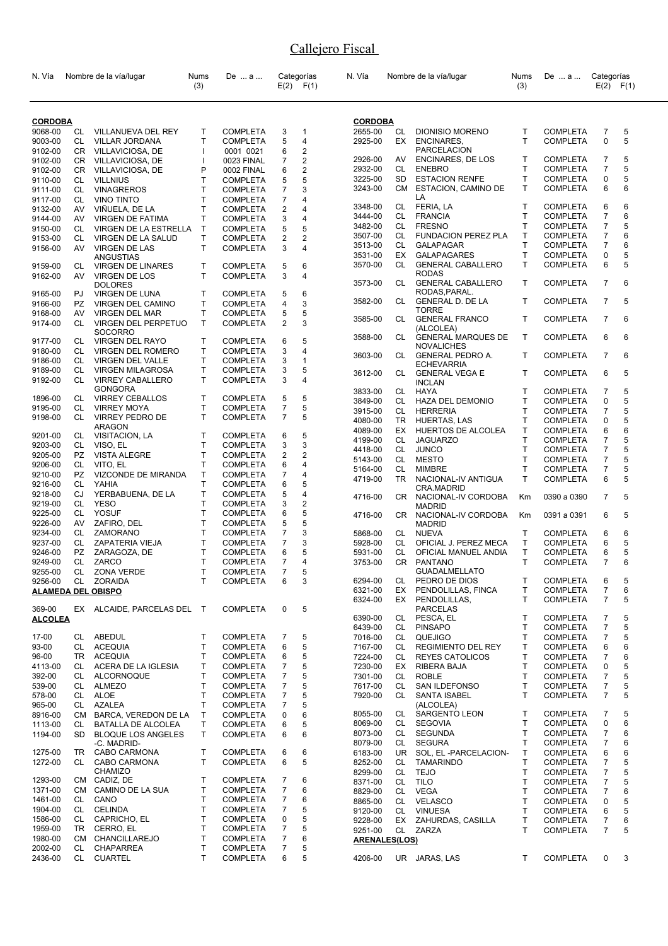| N. Vía                    |           | Nombre de la vía/lugar                              | Nums<br>(3)  | De  a                              |                | Categorías<br>$E(2)$ $F(1)$ | N. Vía               |           | Nombre de la vía/lugar                   | Nums<br>(3)  | De  a           | Categorías               | $E(2)$ $F(1)$ |
|---------------------------|-----------|-----------------------------------------------------|--------------|------------------------------------|----------------|-----------------------------|----------------------|-----------|------------------------------------------|--------------|-----------------|--------------------------|---------------|
| <b>CORDOBA</b>            |           |                                                     |              |                                    |                |                             | <b>CORDOBA</b>       |           |                                          |              |                 |                          |               |
| 9068-00                   |           | CL VILLANUEVA DEL REY                               | T            | <b>COMPLETA</b>                    | 3              | 1                           | 2655-00              | CL        | <b>DIONISIO MORENO</b>                   | T            | <b>COMPLETA</b> | 7                        | 5             |
| 9003-00                   | CL        | <b>VILLAR JORDANA</b>                               | T            | <b>COMPLETA</b>                    | 5              | 4                           | 2925-00              | EX        | ENCINARES,                               | T            | <b>COMPLETA</b> | 0                        | 5             |
| 9102-00                   |           | CR VILLAVICIOSA, DE                                 | $\mathbf{I}$ | 0001 0021                          | 6              | 2                           |                      |           | PARCELACION                              |              |                 |                          |               |
| 9102-00                   | CR        | VILLAVICIOSA, DE                                    | $\mathbf{I}$ | 0023 FINAL                         | 7              | $\overline{c}$              | 2926-00              | AV        | ENCINARES, DE LOS                        | т            | <b>COMPLETA</b> | 7                        | 5             |
| 9102-00                   | CR        | VILLAVICIOSA, DE                                    | P            | 0002 FINAL                         | 6              | $\overline{2}$              | 2932-00              | CL        | <b>ENEBRO</b>                            | Τ            | <b>COMPLETA</b> | 7                        | 5             |
| 9110-00                   | CL        | <b>VILLNIUS</b>                                     | T            | COMPLETA                           | 5              | 5                           | 3225-00              | SD        | <b>ESTACION RENFE</b>                    | T            | <b>COMPLETA</b> | 0                        | 5             |
| 9111-00                   | CL        | <b>VINAGREROS</b>                                   | T            | <b>COMPLETA</b>                    | 7              | 3                           | 3243-00              | CМ        | ESTACION, CAMINO DE                      | T            | <b>COMPLETA</b> | 6                        | 6             |
| 9117-00                   | CL        | <b>VINO TINTO</b>                                   | T            | <b>COMPLETA</b>                    | 7              | 4                           |                      |           | LA                                       |              |                 |                          |               |
| 9132-00                   | AV        | VIÑUELA, DE LA                                      | T            | <b>COMPLETA</b>                    | 2              | 4                           | 3348-00              | CL        | FERIA, LA                                | т            | <b>COMPLETA</b> | 6                        | 6             |
| 9144-00                   | AV        | <b>VIRGEN DE FATIMA</b>                             | T            | <b>COMPLETA</b>                    | 3              | 4                           | 3444-00              | CL        | <b>FRANCIA</b>                           | т            | <b>COMPLETA</b> | 7                        | 6             |
| 9150-00                   | CL        | VIRGEN DE LA ESTRELLA                               | $\mathsf{T}$ | <b>COMPLETA</b>                    | 5              | 5                           | 3482-00              | CL        | <b>FRESNO</b>                            | T            | <b>COMPLETA</b> | 7                        | 5             |
| 9153-00                   | CL        | VIRGEN DE LA SALUD                                  | т            | <b>COMPLETA</b>                    | 2              | 2                           | 3507-00              | CL        | <b>FUNDACION PEREZ PLA</b>               | Τ            | <b>COMPLETA</b> | $\overline{7}$           | 6             |
| 9156-00                   | AV        | <b>VIRGEN DE LAS</b>                                | T.           | <b>COMPLETA</b>                    | 3              | 4                           | 3513-00              | CL        | <b>GALAPAGAR</b>                         | T            | <b>COMPLETA</b> | 7                        | 6             |
|                           |           | ANGUSTIAS                                           |              |                                    |                |                             | 3531-00              | EX        | <b>GALAPAGARES</b>                       | T            | <b>COMPLETA</b> | 0                        | 5             |
| 9159-00                   | CL        | <b>VIRGEN DE LINARES</b>                            | T            | <b>COMPLETA</b>                    | 5              | 6                           | 3570-00              | CL.       | <b>GENERAL CABALLERO</b>                 | T            | <b>COMPLETA</b> | 6                        | 5             |
| 9162-00                   | AV        | VIRGEN DE LOS                                       | T            | <b>COMPLETA</b>                    | 3              | 4                           | 3573-00              | CL        | <b>RODAS</b><br><b>GENERAL CABALLERO</b> | Τ            | <b>COMPLETA</b> | $\overline{7}$           | 6             |
|                           |           | <b>DOLORES</b>                                      |              |                                    |                |                             |                      |           | RODAS, PARAL.                            |              |                 |                          |               |
| 9165-00                   | PJ        | <b>VIRGEN DE LUNA</b>                               | T            | <b>COMPLETA</b>                    | 5              | 6                           | 3582-00              | CL        | <b>GENERAL D. DE LA</b>                  | Т            | <b>COMPLETA</b> | $\overline{7}$           | 5             |
| 9166-00                   | <b>PZ</b> | VIRGEN DEL CAMINO                                   | т<br>T       | <b>COMPLETA</b><br><b>COMPLETA</b> | 4<br>5         | 3<br>5                      |                      |           | <b>TORRE</b>                             |              |                 |                          |               |
| 9168-00<br>9174-00        | AV<br>CL  | <b>VIRGEN DEL MAR</b><br><b>VIRGEN DEL PERPETUO</b> | T            | <b>COMPLETA</b>                    | $\overline{2}$ | 3                           | 3585-00              | CL        | <b>GENERAL FRANCO</b>                    | T            | <b>COMPLETA</b> | 7                        | 6             |
|                           |           | <b>SOCORRO</b>                                      |              |                                    |                |                             |                      |           | (ALCOLEA)                                |              |                 |                          |               |
| 9177-00                   | CL        | <b>VIRGEN DEL RAYO</b>                              | Т            | <b>COMPLETA</b>                    | 6              | 5                           | 3588-00              | CL.       | <b>GENERAL MARQUES DE</b>                | $\mathsf{T}$ | <b>COMPLETA</b> | 6                        | 6             |
| 9180-00                   | CL        | <b>VIRGEN DEL ROMERO</b>                            | т            | <b>COMPLETA</b>                    | 3              | 4                           |                      |           | <b>NOVALICHES</b>                        |              |                 |                          |               |
| 9186-00                   | CL        | VIRGEN DEL VALLE                                    | T            | <b>COMPLETA</b>                    | 3              | 1                           | 3603-00              | CL        | <b>GENERAL PEDRO A.</b>                  | Т            | <b>COMPLETA</b> | $\overline{7}$           | 6             |
| 9189-00                   | СL        | <b>VIRGEN MILAGROSA</b>                             | T            | <b>COMPLETA</b>                    | 3              | 5                           |                      |           | <b>ECHEVARRIA</b>                        |              |                 |                          |               |
| 9192-00                   | CL        | <b>VIRREY CABALLERO</b>                             | T            | <b>COMPLETA</b>                    | 3              | 4                           | 3612-00              | CL        | <b>GENERAL VEGA E</b><br><b>INCLAN</b>   | T            | <b>COMPLETA</b> | 6                        | 5             |
|                           |           | GONGORA                                             |              |                                    |                |                             | 3833-00              | CL        | HAYA                                     | т            | <b>COMPLETA</b> | 7                        | 5             |
| 1896-00                   | CL        | <b>VIRREY CEBALLOS</b>                              | T            | <b>COMPLETA</b>                    | 5              | 5                           | 3849-00              | CL        | HAZA DEL DEMONIO                         | T            | <b>COMPLETA</b> | 0                        | 5             |
| 9195-00                   | CL        | <b>VIRREY MOYA</b>                                  | T            | <b>COMPLETA</b>                    | 7              | 5                           | 3915-00              | CL        | <b>HERRERIA</b>                          | T            | <b>COMPLETA</b> | $\overline{\mathcal{I}}$ | 5             |
| 9198-00                   | CL        | <b>VIRREY PEDRO DE</b>                              | T.           | <b>COMPLETA</b>                    | $\overline{7}$ | 5                           | 4080-00              | TR        | <b>HUERTAS, LAS</b>                      | Τ            | <b>COMPLETA</b> | 0                        | 5             |
|                           |           | <b>ARAGON</b>                                       |              |                                    |                |                             | 4089-00              | EX        | HUERTOS DE ALCOLEA                       | Т            | <b>COMPLETA</b> | 6                        | 6             |
| 9201-00                   | CL        | VISITACION, LA                                      | Т            | <b>COMPLETA</b>                    | 6              | 5                           | 4199-00              | CL        | <b>JAGUARZO</b>                          | T            | <b>COMPLETA</b> | 7                        | 5             |
| 9203-00                   | CL        | VISO, EL                                            | Т            | <b>COMPLETA</b>                    | 3              | 3                           | 4418-00              | CL        | <b>JUNCO</b>                             | T            | <b>COMPLETA</b> | 7                        | 5             |
| 9205-00                   | PZ        | <b>VISTA ALEGRE</b>                                 | Т            | <b>COMPLETA</b>                    | 2              | 2                           | 5143-00              | CL        | <b>MESTO</b>                             | T            | <b>COMPLETA</b> | 7                        | 5             |
| 9206-00                   | CL        | VITO, EL                                            | T            | <b>COMPLETA</b>                    | 6              | 4                           | 5164-00              | CL        | <b>MIMBRE</b>                            | T            | <b>COMPLETA</b> | 7                        | 5             |
| 9210-00                   | PZ        | VIZCONDE DE MIRANDA                                 | T            | <b>COMPLETA</b>                    | 7              | 4                           | 4719-00              | <b>TR</b> | NACIONAL-IV ANTIGUA                      | т            | <b>COMPLETA</b> | 6                        | 5             |
| 9216-00                   | CL        | YAHIA                                               | T            | <b>COMPLETA</b>                    | 6              | 5                           |                      |           | CRA.MADRID                               |              |                 |                          |               |
| 9218-00                   | CJ        | YERBABUENA, DE LA                                   | Т            | <b>COMPLETA</b>                    | 5              | 4                           | 4716-00              | CR.       | NACIONAL-IV CORDOBA                      | Km           | 0390 a 0390     | $\overline{7}$           | 5             |
| 9219-00                   | СL        | <b>YESO</b>                                         | T<br>T       | COMPLETA                           | 3              | 2                           |                      |           | <b>MADRID</b>                            |              |                 |                          |               |
| 9225-00                   | CL<br>AV  | <b>YOSUF</b><br>ZAFIRO, DEL                         | Т            | <b>COMPLETA</b>                    | 6              | 5<br>5                      | 4716-00              | CR        | NACIONAL-IV CORDOBA                      | Кm           | 0391 a 0391     | 6                        | 5             |
| 9226-00<br>9234-00        | CL        | ZAMORANO                                            | Т            | <b>COMPLETA</b><br><b>COMPLETA</b> | 5<br>7         | 3                           | 5868-00              |           | <b>MADRID</b><br><b>NUEVA</b>            | Τ            | <b>COMPLETA</b> | 6                        | 6             |
| 9237-00                   | CL        | ZAPATERIA VIEJA                                     | Т            | <b>COMPLETA</b>                    | 7              | 3                           | 5928-00              | CL<br>CL. | OFICIAL J. PEREZ MECA                    | т            | <b>COMPLETA</b> | 6                        | 5             |
| 9246-00                   | <b>PZ</b> | ZARAGOZA, DE                                        | T            | COMPLETA                           | 6              | 5                           | 5931-00              | CL        | OFICIAL MANUEL ANDIA                     | T            | <b>COMPLETA</b> | 6                        | 5             |
| 9249-00                   | CL        | ZARCO                                               | T            | <b>COMPLETA</b>                    | 7              | 4                           | 3753-00              | CR        | PANTANO                                  | T            | <b>COMPLETA</b> | 7                        | 6             |
| 9255-00                   |           | CL ZONA VERDE                                       | T            | <b>COMPLETA</b>                    | $\overline{7}$ | 5                           |                      |           | <b>GUADALMELLATO</b>                     |              |                 |                          |               |
| 9256-00                   |           | CL ZORAIDA                                          | T.           | <b>COMPLETA</b>                    | 6              | 3                           | 6294-00              | CL        | PEDRO DE DIOS                            | т            | <b>COMPLETA</b> | 6                        | 5             |
| <b>ALAMEDA DEL OBISPO</b> |           |                                                     |              |                                    |                |                             | 6321-00              | EX        | PENDOLILLAS, FINCA                       | т            | <b>COMPLETA</b> | 7                        | 6             |
|                           |           |                                                     |              |                                    |                |                             | 6324-00              | EX        | PENDOLILLAS,                             | T            | <b>COMPLETA</b> | 7                        | 5             |
| 369-00                    |           | EX ALCAIDE, PARCELAS DEL T                          |              | <b>COMPLETA</b>                    | 0              | 5                           |                      |           | <b>PARCELAS</b>                          |              |                 |                          |               |
| <b>ALCOLEA</b>            |           |                                                     |              |                                    |                |                             | 6390-00              | CL        | PESCA, EL                                | т            | <b>COMPLETA</b> | 7                        | 5             |
|                           |           |                                                     |              |                                    |                |                             | 6439-00              | CL        | <b>PINSAPO</b>                           | Τ            | <b>COMPLETA</b> | 7                        | 5             |
| 17-00                     |           | CL ABEDUL                                           | т            | <b>COMPLETA</b>                    | 7              | 5                           | 7016-00              | CL .      | <b>QUEJIGO</b>                           | т            | <b>COMPLETA</b> | 7                        | 5             |
| 93-00                     | CL        | <b>ACEQUIA</b>                                      | т            | <b>COMPLETA</b>                    | 6              | 5                           | 7167-00              | CL        | <b>REGIMIENTO DEL REY</b>                | т            | <b>COMPLETA</b> | 6                        | 6             |
| 96-00                     |           | TR ACEQUIA                                          | T            | <b>COMPLETA</b>                    | 6              | 5                           | 7224-00              | CL.       | <b>REYES CATOLICOS</b>                   | T            | <b>COMPLETA</b> | 7                        | 6             |
| 4113-00                   |           | CL ACERA DE LA IGLESIA                              | T            | <b>COMPLETA</b>                    | 7              | 5                           | 7230-00              | EX        | RIBERA BAJA                              | Τ            | <b>COMPLETA</b> | 0                        | 5             |
| 392-00                    |           | CL ALCORNOQUE                                       | T            | <b>COMPLETA</b>                    | 7              | 5                           | 7301-00              | CL        | <b>ROBLE</b>                             | т            | <b>COMPLETA</b> | 7                        | 5             |
| 539-00                    |           | CL ALMEZO                                           | T            | <b>COMPLETA</b>                    | 7              | 5                           | 7617-00              | CL        | SAN ILDEFONSO                            | T            | <b>COMPLETA</b> | 7                        | 5             |
| 578-00                    | CL<br>CL  | <b>ALOE</b><br><b>AZALEA</b>                        | T<br>T       | <b>COMPLETA</b>                    | 7              | 5                           | 7920-00              | CL.       | <b>SANTA ISABEL</b><br>(ALCOLEA)         | T.           | <b>COMPLETA</b> | $\overline{7}$           | 5             |
| 965-00<br>8916-00         | CM.       | BARCA, VEREDON DE LA                                | т            | <b>COMPLETA</b><br><b>COMPLETA</b> | 7<br>0         | 5<br>6                      | 8055-00              | CL .      | SARGENTO LEON                            | Τ            | <b>COMPLETA</b> | 7                        | 5             |
| 1113-00                   | CL        | BATALLA DE ALCOLEA                                  | т            | <b>COMPLETA</b>                    | 6              | 5                           | 8069-00              | CL        | SEGOVIA                                  | Т            | <b>COMPLETA</b> | 0                        | 6             |
| 1194-00                   | SD.       | <b>BLOQUE LOS ANGELES</b>                           | T            | <b>COMPLETA</b>                    | 6              | 6                           | 8073-00              | CL .      | SEGUNDA                                  | T            | <b>COMPLETA</b> | $\overline{7}$           | 6             |
|                           |           | -C. MADRID-                                         |              |                                    |                |                             | 8079-00              | CL        | <b>SEGURA</b>                            | Τ            | <b>COMPLETA</b> | 7                        | 6             |
| 1275-00                   | TR.       | CABO CARMONA                                        | т            | <b>COMPLETA</b>                    | 6              | 6                           | 6183-00              |           | UR SOL, EL-PARCELACION-                  | Τ            | <b>COMPLETA</b> | 6                        | 6             |
| 1272-00                   | CL        | <b>CABO CARMONA</b>                                 | T            | <b>COMPLETA</b>                    | 6              | 5                           | 8252-00              |           | CL TAMARINDO                             | т            | <b>COMPLETA</b> | 7                        | 5             |
|                           |           | CHAMIZO                                             |              |                                    |                |                             | 8299-00              |           | CL TEJO                                  | т            | <b>COMPLETA</b> | 7                        | 5             |
| 1293-00                   | CM        | CADIZ, DE                                           | T            | <b>COMPLETA</b>                    | 7              | 6                           | 8371-00              |           | CL TILO                                  | т            | <b>COMPLETA</b> | 7                        | 5             |
| 1371-00                   | CM        | CAMINO DE LA SUA                                    | т            | <b>COMPLETA</b>                    | 7              | 6                           | 8829-00              |           | CL VEGA                                  | Τ            | <b>COMPLETA</b> | 7                        | 6             |
| 1461-00                   | CL        | CANO                                                | T            | <b>COMPLETA</b>                    | 7              | 6                           | 8865-00              | CL .      | VELASCO                                  | T.           | <b>COMPLETA</b> | 0                        | 5             |
| 1904-00                   | CL        | <b>CELINDA</b>                                      | Т            | <b>COMPLETA</b>                    | 7              | 5                           | 9120-00              | CL        | <b>VINUESA</b>                           | T.           | <b>COMPLETA</b> | 6                        | 5             |
| 1586-00                   | CL        | CAPRICHO, EL                                        | т            | <b>COMPLETA</b>                    | 0              | 5                           | 9228-00              |           | EX ZAHURDAS, CASILLA                     | T            | <b>COMPLETA</b> | 7                        | 6             |
| 1959-00                   | TR.       | CERRO, EL                                           | T            | <b>COMPLETA</b>                    | 7              | 5                           | 9251-00              | CL        | ZARZA                                    | T            | <b>COMPLETA</b> | 7                        | 5             |
| 1980-00                   | CM        | CHANCILLAREJO                                       | Т            | <b>COMPLETA</b>                    | 7              | 6                           | <b>ARENALES(LOS)</b> |           |                                          |              |                 |                          |               |
| 2002-00                   | CL        | <b>CHAPARREA</b>                                    | Т            | <b>COMPLETA</b>                    | 7              | 5                           |                      |           |                                          |              |                 |                          |               |
| 2436-00                   | CL        | <b>CUARTEL</b>                                      | T            | <b>COMPLETA</b>                    | 6              | 5                           | 4206-00              |           | UR JARAS, LAS                            | т            | <b>COMPLETA</b> | 0                        | 3             |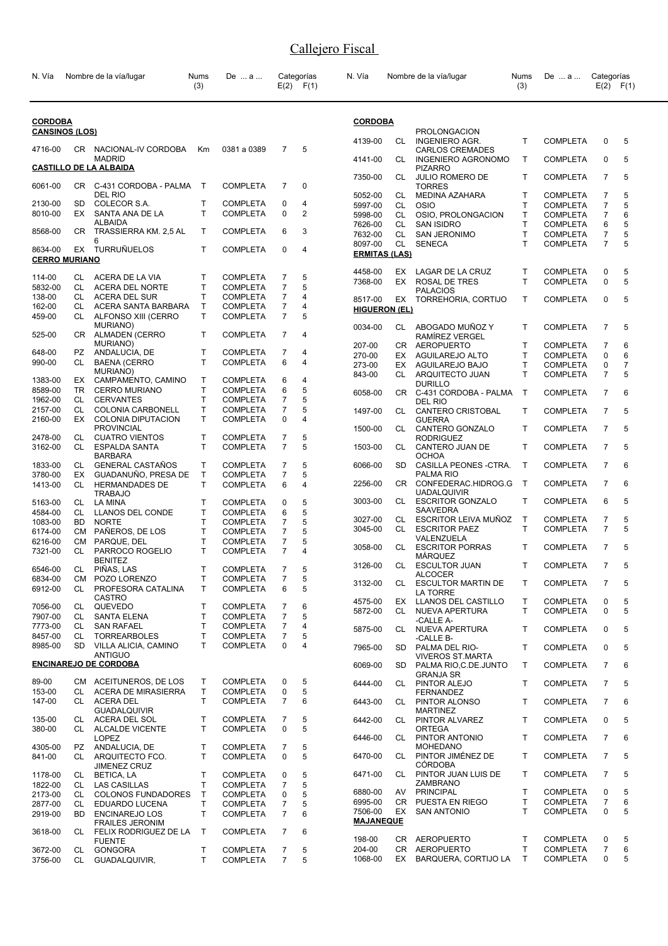| N. Vía                          |            | Nombre de la vía/lugar                          | Nums<br>(3)       | De  a                              |                     | Categorías<br>$E(2)$ $F(1)$ | N. Vía                          |           | Nombre de la vía/lugar                            | Nums<br>(3)       | De  a                              | Categorías          | $E(2)$ $F(1)$  |
|---------------------------------|------------|-------------------------------------------------|-------------------|------------------------------------|---------------------|-----------------------------|---------------------------------|-----------|---------------------------------------------------|-------------------|------------------------------------|---------------------|----------------|
| <b>CORDOBA</b>                  |            |                                                 |                   |                                    |                     |                             | <b>CORDOBA</b>                  |           |                                                   |                   |                                    |                     |                |
| <b>CANSINOS (LOS)</b>           |            |                                                 |                   |                                    |                     |                             | 4139-00                         | CL.       | <b>PROLONGACION</b><br><b>INGENIERO AGR.</b>      | т                 | <b>COMPLETA</b>                    | 0                   | 5              |
| 4716-00                         |            | CR NACIONAL-IV CORDOBA<br><b>MADRID</b>         | Km                | 0381 a 0389                        | 7                   | 5                           | 4141-00                         | CL.       | <b>CARLOS CREMADES</b><br>INGENIERO AGRONOMO      | Τ                 | <b>COMPLETA</b>                    | $\Omega$            | 5              |
|                                 |            | <u>CASTILLO DE LA ALBAIDA</u>                   |                   |                                    |                     |                             | 7350-00                         | CL.       | <b>PIZARRO</b><br><b>JULIO ROMERO DE</b>          | т                 | <b>COMPLETA</b>                    | $\overline{7}$      | 5              |
| 6061-00                         |            | CR C-431 CORDOBA - PALMA<br>DEL RIO             | $\top$            | <b>COMPLETA</b>                    | $\overline{7}$      | $\Omega$                    | 5052-00                         | CL        | <b>TORRES</b><br>MEDINA AZAHARA                   | т                 | <b>COMPLETA</b>                    | 7                   | 5              |
| 2130-00                         | SD         | COLECOR S.A.                                    | т                 | <b>COMPLETA</b>                    | 0                   | 4                           | 5997-00                         | CL        | <b>OSIO</b>                                       | т                 | <b>COMPLETA</b>                    | 7                   | 5              |
| 8010-00                         | EX.        | SANTA ANA DE LA<br><b>ALBAIDA</b>               | T                 | <b>COMPLETA</b>                    | 0                   | $\overline{2}$              | 5998-00                         | CL        | OSIO, PROLONGACION                                | Τ                 | <b>COMPLETA</b>                    | $\overline{7}$      | 6              |
| 8568-00                         |            | CR TRASSIERRA KM. 2,5 AL                        | T                 | <b>COMPLETA</b>                    | 6                   | 3                           | 7626-00<br>7632-00              | CL<br>CL  | <b>SAN ISIDRO</b><br><b>SAN JERONIMO</b>          | Т<br>Τ            | <b>COMPLETA</b><br><b>COMPLETA</b> | 6<br>$\overline{7}$ | 5<br>5         |
|                                 |            | 6                                               |                   |                                    |                     |                             | 8097-00                         | CL        | <b>SENECA</b>                                     | T                 | <b>COMPLETA</b>                    | $\overline{7}$      | 5              |
| 8634-00<br><b>CERRO MURIANO</b> |            | EX TURRUÑUELOS                                  | T                 | <b>COMPLETA</b>                    | $\mathbf 0$         | $\overline{4}$              | <u>ERMITAS (LAS)</u>            |           |                                                   |                   |                                    |                     |                |
|                                 |            |                                                 |                   |                                    |                     |                             | 4458-00                         | EX.       | LAGAR DE LA CRUZ                                  | т                 | <b>COMPLETA</b>                    | 0                   | 5              |
| 114-00                          | CL         | ACERA DE LA VIA                                 | т<br>T            | <b>COMPLETA</b><br><b>COMPLETA</b> | 7                   | 5<br>5                      | 7368-00                         | EX        | ROSAL DE TRES                                     | T                 | <b>COMPLETA</b>                    | 0                   | 5              |
| 5832-00<br>138-00               | CL<br>CL   | ACERA DEL NORTE<br><b>ACERA DEL SUR</b>         | T                 | <b>COMPLETA</b>                    | 7<br>$\overline{7}$ | 4                           |                                 |           | PALACIOS                                          |                   |                                    |                     |                |
| 162-00                          | CL         | ACERA SANTA BARBARA                             | $\mathsf{T}$      | <b>COMPLETA</b>                    | $\overline{7}$      | 4                           | 8517-00<br><b>HIGUERON (EL)</b> | EX        | <b>TORREHORIA, CORTIJO</b>                        | T                 | <b>COMPLETA</b>                    | 0                   | 5              |
| 459-00                          | CL.        | ALFONSO XIII (CERRO                             | т                 | <b>COMPLETA</b>                    | $\overline{7}$      | 5                           |                                 |           |                                                   |                   |                                    |                     |                |
| 525-00                          | CR.        | MURIANO)<br><b>ALMADEN (CERRO</b>               | T                 | <b>COMPLETA</b>                    | 7                   | 4                           | 0034-00                         | CL        | ABOGADO MUÑOZ Y<br>RAMIREZ VERGEL                 | т                 | <b>COMPLETA</b>                    | 7                   | 5              |
|                                 |            | MURIANO)                                        |                   |                                    |                     |                             | 207-00                          |           | CR AEROPUERTO                                     | т                 | <b>COMPLETA</b>                    | 7                   | 6              |
| 648-00                          | PZ         | ANDALUCIA, DE                                   | T                 | <b>COMPLETA</b>                    | 7                   | 4                           | 270-00                          | EX        | AGUILAREJO ALTO                                   | T                 | <b>COMPLETA</b>                    | 0                   | 6              |
| 990-00                          | CL         | <b>BAENA (CERRO</b><br>MURIANO)                 | T                 | <b>COMPLETA</b>                    | 6                   | 4                           | 273-00                          | EX        | AGUILAREJO BAJO                                   | Т                 | <b>COMPLETA</b>                    | 0                   | $\overline{7}$ |
| 1383-00                         | EX.        | CAMPAMENTO, CAMINO                              | т                 | <b>COMPLETA</b>                    | 6                   | 4                           | 843-00                          | CL        | ARQUITECTO JUAN<br><b>DURILLO</b>                 | T                 | <b>COMPLETA</b>                    | $\overline{7}$      | 5              |
| 8589-00                         | <b>TR</b>  | <b>CERRO MURIANO</b>                            | T                 | <b>COMPLETA</b>                    | 6                   | 5                           | 6058-00                         |           | CR C-431 CORDOBA - PALMA                          | T                 | <b>COMPLETA</b>                    | $\overline{7}$      | 6              |
| 1962-00                         | CL         | <b>CERVANTES</b>                                | T                 | <b>COMPLETA</b>                    | 7                   | 5                           |                                 |           | del Rio                                           |                   |                                    |                     |                |
| 2157-00<br>2160-00              | CL<br>EX   | COLONIA CARBONELL<br>COLONIA DIPUTACION         | T<br>T            | <b>COMPLETA</b><br><b>COMPLETA</b> | $\overline{7}$<br>0 | 5<br>4                      | 1497-00                         | CL        | <b>CANTERO CRISTOBAL</b><br><b>GUERRA</b>         | т                 | <b>COMPLETA</b>                    | 7                   | 5              |
|                                 |            | <b>PROVINCIAL</b>                               |                   |                                    |                     |                             | 1500-00                         | CL        | CANTERO GONZALO                                   | T                 | <b>COMPLETA</b>                    | $\overline{7}$      | 5              |
| 2478-00<br>3162-00              | CL<br>CL   | <b>CUATRO VIENTOS</b><br><b>ESPALDA SANTA</b>   | Т<br>T            | <b>COMPLETA</b><br><b>COMPLETA</b> | 7<br>$\overline{7}$ | 5<br>5                      | 1503-00                         | CL.       | <b>RODRIGUEZ</b><br>CANTERO JUAN DE               | т                 | <b>COMPLETA</b>                    | $\overline{7}$      | 5              |
| 1833-00                         | CL         | <b>BARBARA</b><br><b>GENERAL CASTAÑOS</b>       | T                 | <b>COMPLETA</b>                    | 7                   | 5                           | 6066-00                         | <b>SD</b> | OCHOA<br>CASILLA PEONES -CTRA.                    | Т                 | <b>COMPLETA</b>                    | $\overline{7}$      | 6              |
| 3780-00                         | EX         | GUADANUÑO, PRESA DE                             | T                 | <b>COMPLETA</b>                    | $\overline{7}$      | 5                           | 2256-00                         | CR.       | PALMA RIO<br>CONFEDERAC.HIDROG.G                  | $\mathsf{T}$      | <b>COMPLETA</b>                    | $\overline{7}$      | 6              |
| 1413-00                         | CL         | <b>HERMANDADES DE</b><br><b>TRABAJO</b>         | T                 | <b>COMPLETA</b>                    | 6                   | 4                           |                                 |           | <b>UADALQUIVIR</b>                                |                   |                                    |                     |                |
| 5163-00                         | CL         | LA MINA                                         | T                 | <b>COMPLETA</b>                    | 0                   | 5                           | 3003-00                         | CL        | <b>ESCRITOR GONZALO</b><br><b>SAAVEDRA</b>        | т                 | <b>COMPLETA</b>                    | 6                   | 5              |
| 4584-00                         | CL<br>BD.  | LLANOS DEL CONDE<br><b>NORTE</b>                | $\mathsf{T}$<br>T | <b>COMPLETA</b>                    | 6<br>7              | 5<br>5                      | 3027-00                         | CL        | ESCRITOR LEIVA MUÑOZ                              | т                 | <b>COMPLETA</b>                    | 7                   | 5              |
| 1083-00<br>6174-00              | <b>CM</b>  | PAÑEROS, DE LOS                                 | Τ                 | <b>COMPLETA</b><br><b>COMPLETA</b> | $\overline{7}$      | 5                           | 3045-00                         | CL        | <b>ESCRITOR PAEZ</b>                              | T                 | <b>COMPLETA</b>                    | $\overline{7}$      | 5              |
| 6216-00                         | <b>CM</b>  | PARQUE, DEL                                     | T                 | <b>COMPLETA</b>                    | 7                   | 5                           |                                 |           | VALENZUELA                                        |                   |                                    |                     |                |
| 7321-00                         | CL         | PARROCO ROGELIO<br><b>BENITEZ</b>               | T.                | <b>COMPLETA</b>                    | $\overline{7}$      | 4                           | 3058-00                         | CL        | <b>ESCRITOR PORRAS</b><br><b>MARQUEZ</b>          | T                 | <b>COMPLETA</b>                    | $\overline{7}$      | 5              |
| 6546-00                         | CL         | PIÑAS, LAS                                      | т                 | <b>COMPLETA</b>                    | $\overline{7}$      | 5                           | 3126-00                         | CL        | <b>ESCULTOR JUAN</b>                              | т                 | <b>COMPLETA</b>                    | $\overline{7}$      | 5              |
| 6834-00<br>6912-00              | CL         | CM POZO LORENZO<br>PROFESORA CATALINA           | T<br>T            | <b>COMPLETA</b><br><b>COMPLETA</b> | 7<br>6              | 5<br>5                      | 3132-00                         | CL        | <b>ALCOCER</b><br><b>ESCULTOR MARTIN DE</b>       | Τ                 | <b>COMPLETA</b>                    | $\overline{7}$      | 5              |
|                                 |            | <b>CASTRO</b>                                   |                   |                                    |                     |                             | 4575-00                         | EX        | LA TORRE<br>LLANOS DEL CASTILLO                   | т                 | <b>COMPLETA</b>                    | 0                   | 5              |
| 7056-00                         | CL         | QUEVEDO                                         | T                 | <b>COMPLETA</b>                    | 7                   | 6                           | 5872-00                         | CL        | NUEVA APERTURA                                    | T.                | <b>COMPLETA</b>                    | 0                   | 5              |
| 7907-00                         | CL         | SANTA ELENA                                     | T                 | <b>COMPLETA</b>                    | 7                   | 5                           |                                 |           | -CALLE A-                                         |                   |                                    |                     |                |
| 7773-00<br>8457-00              | CL.<br>CL. | <b>SAN RAFAEL</b><br><b>TORREARBOLES</b>        | т<br>T            | <b>COMPLETA</b><br><b>COMPLETA</b> | 7<br>7              | 4<br>5                      | 5875-00                         | CL        | NUEVA APERTURA                                    | т                 | <b>COMPLETA</b>                    | 0                   | 5              |
| 8985-00                         | <b>SD</b>  | VILLA ALICIA, CAMINO                            | T                 | <b>COMPLETA</b>                    | 0                   | 4                           | 7965-00                         | <b>SD</b> | -CALLE B-<br>PALMA DEL RIO-                       | т                 | <b>COMPLETA</b>                    | 0                   | 5              |
|                                 |            | <b>ANTIGUO</b><br><b>ENCINAREJO DE CORDOBA</b>  |                   |                                    |                     |                             | 6069-00                         | SD.       | <b>VIVEROS ST.MARTA</b><br>PALMA RIO, C.DE. JUNTO | т                 | <b>COMPLETA</b>                    | $\overline{7}$      | 6              |
|                                 |            |                                                 |                   |                                    |                     |                             |                                 |           | <b>GRANJA SR</b>                                  |                   |                                    |                     |                |
| 89-00<br>153-00                 | CL         | CM ACEITUNEROS, DE LOS<br>ACERA DE MIRASIERRA   | т<br>T            | <b>COMPLETA</b><br><b>COMPLETA</b> | 0<br>0              | 5<br>5                      | 6444-00                         | CL        | PINTOR ALEJO<br><b>FERNANDEZ</b>                  | т                 | <b>COMPLETA</b>                    | $\overline{7}$      | 5              |
| 147-00                          | CL         | ACERA DEL                                       | T                 | <b>COMPLETA</b>                    | $\overline{7}$      | 6                           | 6443-00                         | CL.       | PINTOR ALONSO                                     | т                 | <b>COMPLETA</b>                    | $\overline{7}$      | 6              |
| 135-00                          | CL         | <b>GUADALQUIVIR</b><br>ACERA DEL SOL            | T                 | <b>COMPLETA</b>                    | 7                   | 5                           | 6442-00                         | CL        | <b>MARTINEZ</b><br>PINTOR ALVAREZ                 | т                 | <b>COMPLETA</b>                    | 0                   | 5              |
| 380-00                          |            | CL ALCALDE VICENTE<br><b>LOPEZ</b>              | т                 | <b>COMPLETA</b>                    | 0                   | 5                           | 6446-00                         | CL        | ORTEGA<br>PINTOR ANTONIO                          | Τ                 | <b>COMPLETA</b>                    | $\overline{7}$      | 6              |
| 4305-00                         | PZ.        | ANDALUCIA, DE                                   | т                 | <b>COMPLETA</b>                    | 7                   | 5                           |                                 |           | <b>MOHEDANO</b>                                   |                   |                                    |                     |                |
| 841-00                          | CL         | ARQUITECTO FCO.<br><b>JIMENEZ CRUZ</b>          | T                 | <b>COMPLETA</b>                    | 0                   | 5                           | 6470-00                         | CL        | PINTOR JIMÉNEZ DE<br><b>CÓRDOBA</b>               | T                 | <b>COMPLETA</b>                    | $\overline{7}$      | 5              |
| 1178-00                         | CL         | BETICA, LA                                      | T                 | <b>COMPLETA</b>                    | 0                   | 5                           | 6471-00                         | CL.       | PINTOR JUAN LUIS DE<br>ZAMBRANO                   | Τ                 | <b>COMPLETA</b>                    | $\overline{7}$      | 5              |
| 1822-00<br>2173-00              | CL.<br>CL  | LAS CASILLAS<br><b>COLONOS FUNDADORES</b>       | T<br>$\mathsf{T}$ | <b>COMPLETA</b><br><b>COMPLETA</b> | 7<br>0              | 5<br>5                      | 6880-00                         | AV        | PRINCIPAL                                         | Τ                 | <b>COMPLETA</b>                    | 0                   | 5              |
| 2877-00                         | CL         | EDUARDO LUCENA                                  | Т                 | <b>COMPLETA</b>                    | 7                   | 5                           | 6995-00                         | CR .      | PUESTA EN RIEGO                                   | Τ                 | <b>COMPLETA</b>                    | 7                   | 6              |
| 2919-00                         | <b>BD</b>  | <b>ENCINAREJO LOS</b>                           | T                 | <b>COMPLETA</b>                    | $\overline{7}$      | 6                           | 7506-00<br><b>MAJANEQUE</b>     | EX        | <b>SAN ANTONIO</b>                                | T                 | <b>COMPLETA</b>                    | 0                   | 5              |
| 3618-00                         | CL         | <b>FRAILES JERONIM</b><br>FELIX RODRIGUEZ DE LA | $\mathsf{T}$      | <b>COMPLETA</b>                    | $\overline{7}$      | 6                           |                                 |           |                                                   |                   |                                    |                     |                |
|                                 |            | <b>FUENTE</b>                                   |                   |                                    |                     |                             | 198-00                          | CR        | <b>AEROPUERTO</b>                                 | Т                 | <b>COMPLETA</b>                    | 0                   | 5              |
| 3672-00                         | CL         | <b>GONGORA</b>                                  | Т                 | <b>COMPLETA</b>                    | 7                   | 5                           | 204-00<br>1068-00               | CR<br>EX  | <b>AEROPUERTO</b><br>BARQUERA, CORTIJO LA         | T<br>$\mathsf{T}$ | <b>COMPLETA</b><br><b>COMPLETA</b> | 7<br>0              | 6<br>5         |
| 3756-00                         | CL         | GUADALQUIVIR,                                   | T.                | <b>COMPLETA</b>                    | $\overline{7}$      | 5                           |                                 |           |                                                   |                   |                                    |                     |                |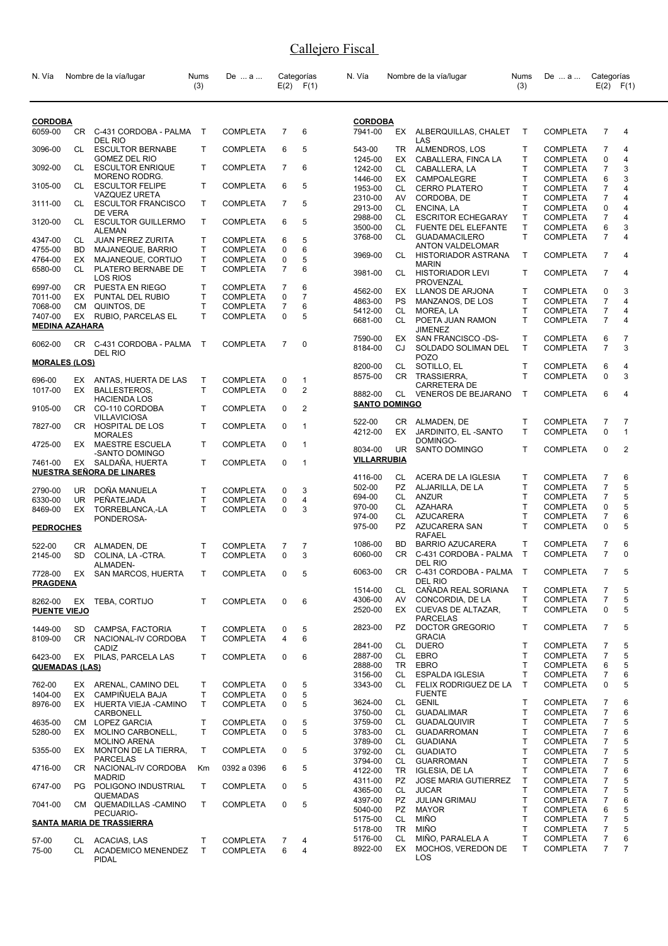| N. Vía                    |           | Nombre de la vía/lugar                              | <b>Nums</b><br>(3) | De  a                              |                  | Categorías<br>$E(2)$ $F(1)$    | N. Vía                          |                        | Nombre de la vía/lugar                           | Nums<br>(3)  | De  a                              | Categorías                       | $E(2)$ $F(1)$                  |
|---------------------------|-----------|-----------------------------------------------------|--------------------|------------------------------------|------------------|--------------------------------|---------------------------------|------------------------|--------------------------------------------------|--------------|------------------------------------|----------------------------------|--------------------------------|
| <b>CORDOBA</b><br>6059-00 |           | CR C-431 CORDOBA - PALMA<br><b>DEL RIO</b>          | $\top$             | <b>COMPLETA</b>                    | $\overline{7}$   | 6                              | <b>CORDOBA</b><br>7941-00       |                        | EX ALBERQUILLAS, CHALET<br>LAS                   | $\mathsf{T}$ | <b>COMPLETA</b>                    | $\overline{7}$                   | 4                              |
| 3096-00                   | CL        | <b>ESCULTOR BERNABE</b>                             | T                  | <b>COMPLETA</b>                    | 6                | 5                              | 543-00                          | TR                     | ALMENDROS, LOS                                   | т            | <b>COMPLETA</b>                    | 7                                | 4                              |
|                           |           | <b>GOMEZ DEL RIO</b>                                |                    |                                    |                  |                                | 1245-00                         | EX                     | CABALLERA, FINCA LA                              | T            | <b>COMPLETA</b>                    | 0                                | 4                              |
| 3092-00                   | CL        | <b>ESCULTOR ENRIQUE</b><br>MORENO RODRG.            | T                  | <b>COMPLETA</b>                    | $\overline{7}$   | 6                              | 1242-00<br>1446-00              | CL<br>EX               | CABALLERA, LA<br>CAMPOALEGRE                     | T<br>т       | <b>COMPLETA</b><br><b>COMPLETA</b> | $\overline{7}$<br>6              | 3<br>3                         |
| 3105-00                   | CL        | <b>ESCULTOR FELIPE</b>                              | T.                 | <b>COMPLETA</b>                    | 6                | 5                              | 1953-00                         | CL                     | <b>CERRO PLATERO</b>                             | Т            | <b>COMPLETA</b>                    | $\overline{7}$                   | 4                              |
| 3111-00                   | CL        | <b>VAZQUEZ URETA</b><br><b>ESCULTOR FRANCISCO</b>   | T                  | <b>COMPLETA</b>                    | $\overline{7}$   | 5                              | 2310-00                         | AV                     | CORDOBA, DE                                      | T            | <b>COMPLETA</b>                    | 7                                | 4                              |
|                           |           | DE VERA                                             |                    |                                    |                  |                                | 2913-00                         | CL.                    | ENCINA, LA                                       | T            | <b>COMPLETA</b>                    | 0                                | 4                              |
| 3120-00                   | CL        | <b>ESCULTOR GUILLERMO</b>                           | T                  | <b>COMPLETA</b>                    | 6                | 5                              | 2988-00<br>3500-00              | CL<br>CL               | <b>ESCRITOR ECHEGARAY</b><br>FUENTE DEL ELEFANTE | Т<br>T       | <b>COMPLETA</b><br><b>COMPLETA</b> | $\overline{7}$<br>6              | 4<br>3                         |
| 4347-00                   | CL        | <b>ALEMAN</b><br><b>JUAN PEREZ ZURITA</b>           | T.                 | <b>COMPLETA</b>                    | 6                | 5                              | 3768-00                         | CL                     | <b>GUADAMACILERO</b>                             | T            | <b>COMPLETA</b>                    | $\overline{7}$                   | 4                              |
| 4755-00                   | <b>BD</b> | MAJANEQUE, BARRIO                                   | T.                 | <b>COMPLETA</b>                    | 0                | 6                              |                                 |                        | <b>ANTON VALDELOMAR</b>                          |              |                                    |                                  |                                |
| 4764-00                   | EX        | MAJANEQUE, CORTIJO                                  | T.                 | <b>COMPLETA</b>                    | 0                | 5                              | 3969-00                         | CL                     | HISTORIADOR ASTRANA<br><b>MARIN</b>              | Τ            | <b>COMPLETA</b>                    | $\overline{7}$                   | 4                              |
| 6580-00                   | CL        | PLATERO BERNABE DE<br><b>LOS RIOS</b>               | T                  | <b>COMPLETA</b>                    | $\overline{7}$   | 6                              | 3981-00                         | CL                     | <b>HISTORIADOR LEVI</b>                          | T            | <b>COMPLETA</b>                    | $\overline{7}$                   | 4                              |
| 6997-00                   | CR.       | PUESTA EN RIEGO                                     | T.                 | <b>COMPLETA</b>                    | $\overline{7}$   | 6                              | 4562-00                         | EX                     | <b>PROVENZAL</b><br>LLANOS DE ARJONA             | т            | <b>COMPLETA</b>                    | 0                                | 3                              |
| 7011-00                   | EX        | PUNTAL DEL RUBIO                                    | T.<br>$\mathsf{T}$ | <b>COMPLETA</b>                    | 0<br>7           | 7<br>6                         | 4863-00                         | <b>PS</b>              | MANZANOS, DE LOS                                 | T            | <b>COMPLETA</b>                    | $\overline{7}$                   | 4                              |
| 7068-00<br>7407-00        | CМ<br>EX  | QUINTOS, DE<br>RUBIO, PARCELAS EL                   | T                  | <b>COMPLETA</b><br><b>COMPLETA</b> | 0                | 5                              | 5412-00                         | CL                     | MOREA, LA                                        | T            | <b>COMPLETA</b>                    | $\overline{7}$                   | 4                              |
| <b>MEDINA AZAHARA</b>     |           |                                                     |                    |                                    |                  |                                | 6681-00                         | CL.                    | POETA JUAN RAMON<br><b>JIMENEZ</b>               | T            | <b>COMPLETA</b>                    | $\overline{7}$                   | 4                              |
| 6062-00                   |           | CR C-431 CORDOBA - PALMA                            | $\mathsf{T}$       | <b>COMPLETA</b>                    | 7                | 0                              | 7590-00<br>8184-00              | EX<br>CJ               | SAN FRANCISCO -DS-<br>SOLDADO SOLIMAN DEL        | т<br>T.      | <b>COMPLETA</b><br><b>COMPLETA</b> | 6<br>$\overline{7}$              | 7<br>3                         |
| <b>MORALES (LOS)</b>      |           | DEL RIO                                             |                    |                                    |                  |                                | 8200-00                         |                        | <b>POZO</b>                                      | Τ            | <b>COMPLETA</b>                    | 6                                | 4                              |
|                           |           |                                                     |                    |                                    |                  |                                | 8575-00                         | CL                     | SOTILLO, EL<br>CR TRASSIERRA,                    | T            | <b>COMPLETA</b>                    | 0                                | 3                              |
| 696-00<br>1017-00         | EX<br>EX  | ANTAS, HUERTA DE LAS<br>BALLESTEROS,                | Т<br>T.            | <b>COMPLETA</b><br><b>COMPLETA</b> | 0<br>$\mathbf 0$ | $\mathbf{1}$<br>$\overline{2}$ |                                 |                        | <b>CARRETERA DE</b>                              |              |                                    |                                  |                                |
|                           |           | <b>HACIENDA LOS</b>                                 |                    |                                    |                  |                                | 8882-00<br><b>SANTO DOMINGO</b> | CL                     | <b>VENEROS DE BEJARANO</b>                       | $\mathsf{T}$ | <b>COMPLETA</b>                    | 6                                | 4                              |
| 9105-00                   | CR.       | CO-110 CORDOBA<br><b>VILLAVICIOSA</b>               | T.                 | <b>COMPLETA</b>                    | 0                | $\overline{2}$                 |                                 |                        |                                                  |              |                                    |                                  |                                |
| 7827-00                   |           | CR HOSPITAL DE LOS<br><b>MORALES</b>                | T                  | <b>COMPLETA</b>                    | 0                | 1                              | 522-00<br>4212-00               | CR<br>EX.              | ALMADEN, DE<br>JARDINITO, EL-SANTO               | T<br>T       | <b>COMPLETA</b><br><b>COMPLETA</b> | $\overline{7}$<br>$\mathbf 0$    | $\overline{7}$<br>$\mathbf{1}$ |
| 4725-00                   | EX.       | <b>MAESTRE ESCUELA</b><br>-SANTO DOMINGO            | T                  | <b>COMPLETA</b>                    | $\Omega$         | 1                              | 8034-00                         | UR                     | DOMINGO-<br>SANTO DOMINGO                        | T            | <b>COMPLETA</b>                    | 0                                | $\overline{2}$                 |
| 7461-00                   | EX        | SALDAÑA, HUERTA<br><b>NUESTRA SEÑORA DE LINARES</b> | T.                 | <b>COMPLETA</b>                    | $\mathbf 0$      | $\mathbf{1}$                   | <b>VILLARRUBIA</b>              |                        |                                                  |              |                                    |                                  |                                |
|                           |           |                                                     |                    |                                    |                  |                                | 4116-00                         | CL                     | ACERA DE LA IGLESIA                              | T            | <b>COMPLETA</b>                    | $\overline{7}$                   | 6                              |
| 2790-00                   | UR.       | DOÑA MANUELA                                        | T.                 | <b>COMPLETA</b>                    | 0                | 3                              | 502-00<br>694-00                | PZ<br>CL.              | ALJARILLA, DE LA<br>ANZUR                        | T<br>T       | <b>COMPLETA</b><br><b>COMPLETA</b> | $\overline{7}$<br>$\overline{7}$ | 5<br>5                         |
| 6330-00<br>8469-00        | UR.<br>EX | PEÑATEJADA<br>TORREBLANCA,-LA                       | $\mathsf{T}$<br>T. | <b>COMPLETA</b><br><b>COMPLETA</b> | 0<br>0           | 4<br>3                         | 970-00                          | CL                     | AZAHARA                                          | T            | <b>COMPLETA</b>                    | $\mathbf 0$                      | 5                              |
|                           |           | PONDEROSA-                                          |                    |                                    |                  |                                | 974-00                          | CL                     | AZUCARERA                                        | T            | <b>COMPLETA</b>                    | $\overline{7}$                   | 6                              |
| <b>PEDROCHES</b>          |           |                                                     |                    |                                    |                  |                                | 975-00                          | <b>PZ</b>              | AZUCARERA SAN<br>RAFAEL                          | T            | <b>COMPLETA</b>                    | 0                                | 5                              |
| 522-00                    | CR        | ALMADEN, DE                                         | Τ                  | <b>COMPLETA</b>                    | 7                | 7                              | 1086-00                         | BD                     | <b>BARRIO AZUCARERA</b>                          | T            | <b>COMPLETA</b>                    | 7                                | 6                              |
| 2145-00                   | <b>SD</b> | COLINA, LA-CTRA.                                    | T.                 | <b>COMPLETA</b>                    | $\Omega$         | 3                              | 6060-00                         | CR                     | C-431 CORDOBA - PALMA<br>DEL RIO                 | $\mathsf{T}$ | <b>COMPLETA</b>                    | $\overline{7}$                   | $\Omega$                       |
| 7728-00                   |           | ALMADEN-<br>EX SAN MARCOS, HUERTA                   | T                  | <b>COMPLETA</b>                    | 0                | 5                              | 6063-00                         | CR                     | C-431 CORDOBA - PALMA T<br>DEL RIO               |              | COMPLETA                           | $\overline{7}$                   | 5                              |
| <b>PRAGDENA</b>           |           |                                                     |                    |                                    |                  |                                | 1514-00                         | CL                     | CAÑADA REAL SORIANA                              | Τ            | <b>COMPLETA</b>                    | 7                                | 5                              |
| 8262-00                   |           | EX TEBA, CORTIJO                                    | T                  | <b>COMPLETA</b>                    | 0                | 6                              | 4306-00                         | AV                     | CONCORDIA, DE LA                                 | т            | COMPLETA                           | 7                                | 5                              |
| <b>PUENTE VIEJO</b>       |           |                                                     |                    |                                    |                  |                                | 2520-00                         | EX                     | CUEVAS DE ALTAZAR,<br><b>PARCELAS</b>            | T.           | <b>COMPLETA</b>                    | 0                                | 5                              |
| 1449-00                   | SD.       | CAMPSA, FACTORIA                                    | T                  | <b>COMPLETA</b>                    | 0                | 5                              | 2823-00                         | PZ -                   | DOCTOR GREGORIO<br><b>GRACIA</b>                 | T            | <b>COMPLETA</b>                    | 7                                | 5                              |
| 8109-00                   | CR.       | NACIONAL-IV CORDOBA<br>CADIZ                        | T.                 | <b>COMPLETA</b>                    | 4                | 6                              | 2841-00                         | CL                     | <b>DUERO</b>                                     | т            | <b>COMPLETA</b>                    | $\overline{7}$                   | 5                              |
| 6423-00                   |           | EX PILAS, PARCELA LAS                               | T.                 | <b>COMPLETA</b>                    | 0                | 6                              | 2887-00                         | CL                     | <b>EBRO</b>                                      | Т            | <b>COMPLETA</b>                    | $\overline{7}$                   | 5                              |
| <b>QUEMADAS (LAS)</b>     |           |                                                     |                    |                                    |                  |                                | 2888-00                         | TR<br>CL               | <b>EBRO</b><br><b>ESPALDA IGLESIA</b>            | T.<br>T      | <b>COMPLETA</b>                    | 6<br>$\overline{7}$              | 5<br>6                         |
| 762-00                    | EX        | ARENAL, CAMINO DEL                                  | T                  | <b>COMPLETA</b>                    | 0                | 5                              | 3156-00<br>3343-00              | CL -                   | FELIX RODRIGUEZ DE LA                            | T            | <b>COMPLETA</b><br><b>COMPLETA</b> | 0                                | 5                              |
| 1404-00                   | EX        | CAMPIÑUELA BAJA                                     | T                  | <b>COMPLETA</b>                    | 0                | 5                              |                                 |                        | <b>FUENTE</b>                                    |              |                                    |                                  |                                |
| 8976-00                   |           | EX HUERTA VIEJA - CAMINO                            | T                  | <b>COMPLETA</b>                    | 0                | 5                              | 3624-00                         | CL .                   | <b>GENIL</b>                                     | Т<br>T       | <b>COMPLETA</b>                    | 7                                | 6                              |
| 4635-00                   | CM        | CARBONELL<br>LOPEZ GARCIA                           | T                  | <b>COMPLETA</b>                    | 0                | 5                              | 3750-00<br>3759-00              | CL<br>CL.              | <b>GUADALIMAR</b><br><b>GUADALQUIVIR</b>         | т            | <b>COMPLETA</b><br><b>COMPLETA</b> | $\overline{7}$<br>$\overline{7}$ | 6<br>5                         |
| 5280-00                   | EX        | MOLINO CARBONELL,                                   | T.                 | <b>COMPLETA</b>                    | 0                | 5                              | 3783-00                         | CL -                   | <b>GUADARROMAN</b>                               | T.           | <b>COMPLETA</b>                    | $\overline{7}$                   | 6                              |
|                           |           | <b>MOLINO ARENA</b>                                 |                    |                                    |                  |                                | 3789-00                         | CL                     | <b>GUADIANA</b>                                  | т            | <b>COMPLETA</b>                    | $\overline{7}$                   | 5                              |
| 5355-00                   | EX        | MONTON DE LA TIERRA,<br><b>PARCELAS</b>             | T.                 | <b>COMPLETA</b>                    | 0                | 5                              | 3792-00<br>3794-00              | CL<br>CL               | <b>GUADIATO</b><br><b>GUARROMAN</b>              | т<br>Т       | <b>COMPLETA</b><br><b>COMPLETA</b> | 7<br>$\overline{7}$              | 5<br>5                         |
| 4716-00                   | CR.       | NACIONAL-IV CORDOBA                                 | Km                 | 0392 a 0396                        | 6                | 5                              | 4122-00                         | TR                     | IGLESIA, DE LA                                   | T            | <b>COMPLETA</b>                    | $\overline{7}$                   | 6                              |
| 6747-00                   | PG.       | <b>MADRID</b><br>POLIGONO INDUSTRIAL                | T.                 | <b>COMPLETA</b>                    | 0                | 5                              | 4311-00                         | PZ.                    | <b>JOSE MARIA GUTIERREZ</b>                      | Τ            | <b>COMPLETA</b>                    | $\boldsymbol{7}$                 | 5                              |
|                           |           | <b>QUEMADAS</b>                                     |                    |                                    |                  |                                | 4365-00                         | CL                     | <b>JUCAR</b>                                     | Т<br>T.      | <b>COMPLETA</b>                    | $\boldsymbol{7}$                 | 5                              |
| 7041-00                   |           | CM QUEMADILLAS -CAMINO<br>PECUARIO-                 | T                  | <b>COMPLETA</b>                    | $\mathbf 0$      | 5                              | 4397-00<br>5040-00              | <b>PZ</b><br><b>PZ</b> | <b>JULIAN GRIMAU</b><br><b>MAYOR</b>             | т            | <b>COMPLETA</b><br><b>COMPLETA</b> | $\overline{7}$<br>6              | 6<br>5                         |
|                           |           | <b>SANTA MARIA DE TRASSIERRA</b>                    |                    |                                    |                  |                                | 5175-00                         | CL                     | <b>MIÑO</b>                                      | T.           | <b>COMPLETA</b>                    | $\overline{7}$                   | 5                              |
| 57-00                     | CL        | ACACIAS, LAS                                        | Т                  | <b>COMPLETA</b>                    | 7                | 4                              | 5178-00<br>5176-00              | TR<br>CL               | <b>MIÑO</b><br>MIÑO, PARALELA A                  | T.<br>T.     | <b>COMPLETA</b><br><b>COMPLETA</b> | $\overline{7}$<br>7              | 5<br>6                         |
| 75-00                     |           | CL ACADEMICO MENENDEZ<br>PIDAL                      | T                  | <b>COMPLETA</b>                    | 6                | $\overline{4}$                 | 8922-00                         | EX.                    | MOCHOS, VEREDON DE<br>LOS                        | T.           | <b>COMPLETA</b>                    | $\overline{7}$                   | $\overline{7}$                 |